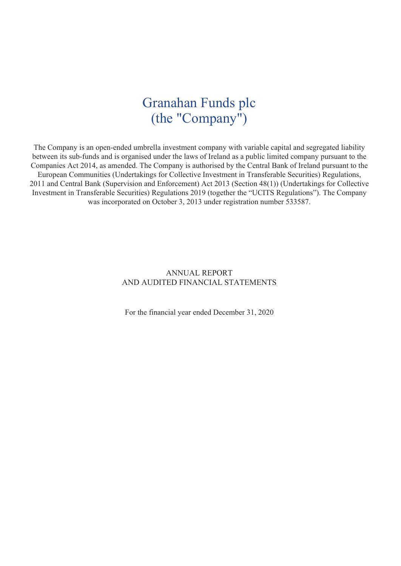## Granahan Funds plc (the "Company")

The Company is an open-ended umbrella investment company with variable capital and segregated liability between its sub-funds and is organised under the laws of Ireland as a public limited company pursuant to the Companies Act 2014, as amended. The Company is authorised by the Central Bank of Ireland pursuant to the European Communities (Undertakings for Collective Investment in Transferable Securities) Regulations, 2011 and Central Bank (Supervision and Enforcement) Act 2013 (Section 48(1)) (Undertakings for Collective Investment in Transferable Securities) Regulations 2019 (together the "UCITS Regulations"). The Company was incorporated on October 3, 2013 under registration number 533587.

### ANNUAL REPORT AND AUDITED FINANCIAL STATEMENTS

For the financial year ended December 31, 2020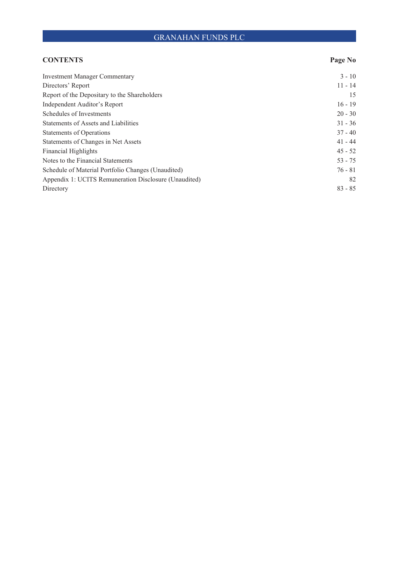| <b>CONTENTS</b>                                       | Page No   |
|-------------------------------------------------------|-----------|
| <b>Investment Manager Commentary</b>                  | $3 - 10$  |
| Directors' Report                                     | $11 - 14$ |
| Report of the Depositary to the Shareholders          | 15        |
| Independent Auditor's Report                          | $16 - 19$ |
| Schedules of Investments                              | $20 - 30$ |
| Statements of Assets and Liabilities                  | $31 - 36$ |
| <b>Statements of Operations</b>                       | $37 - 40$ |
| Statements of Changes in Net Assets                   | $41 - 44$ |
| <b>Financial Highlights</b>                           | $45 - 52$ |
| Notes to the Financial Statements                     | $53 - 75$ |
| Schedule of Material Portfolio Changes (Unaudited)    | $76 - 81$ |
| Appendix 1: UCITS Remuneration Disclosure (Unaudited) | 82        |
| Directory                                             | $83 - 85$ |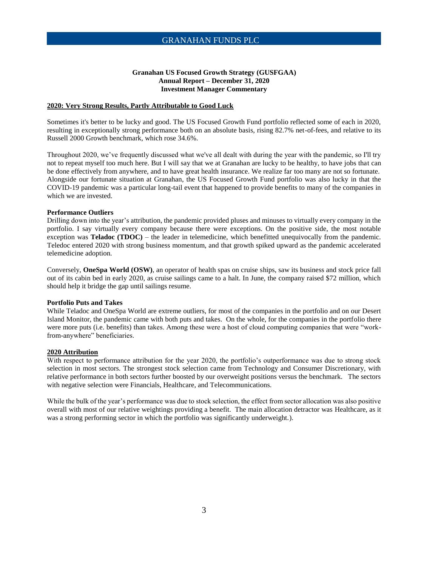#### **Granahan US Focused Growth Strategy (GUSFGAA) Annual Report – December 31, 2020 Investment Manager Commentary**

#### **2020: Very Strong Results, Partly Attributable to Good Luck**

Sometimes it's better to be lucky and good. The US Focused Growth Fund portfolio reflected some of each in 2020, resulting in exceptionally strong performance both on an absolute basis, rising 82.7% net-of-fees, and relative to its Russell 2000 Growth benchmark, which rose 34.6%.

Throughout 2020, we've frequently discussed what we've all dealt with during the year with the pandemic, so I'll try not to repeat myself too much here. But I will say that we at Granahan are lucky to be healthy, to have jobs that can be done effectively from anywhere, and to have great health insurance. We realize far too many are not so fortunate. Alongside our fortunate situation at Granahan, the US Focused Growth Fund portfolio was also lucky in that the COVID-19 pandemic was a particular long-tail event that happened to provide benefits to many of the companies in which we are invested.

#### **Performance Outliers**

Drilling down into the year's attribution, the pandemic provided pluses and minuses to virtually every company in the portfolio. I say virtually every company because there were exceptions. On the positive side, the most notable exception was **Teladoc (TDOC)** – the leader in telemedicine, which benefitted unequivocally from the pandemic. Teledoc entered 2020 with strong business momentum, and that growth spiked upward as the pandemic accelerated telemedicine adoption.

Conversely, **OneSpa World (OSW)**, an operator of health spas on cruise ships, saw its business and stock price fall out of its cabin bed in early 2020, as cruise sailings came to a halt. In June, the company raised \$72 million, which should help it bridge the gap until sailings resume.

#### **Portfolio Puts and Takes**

While Teladoc and OneSpa World are extreme outliers, for most of the companies in the portfolio and on our Desert Island Monitor, the pandemic came with both puts and takes. On the whole, for the companies in the portfolio there were more puts (i.e. benefits) than takes. Among these were a host of cloud computing companies that were "workfrom-anywhere" beneficiaries.

#### **2020 Attribution**

With respect to performance attribution for the year 2020, the portfolio's outperformance was due to strong stock selection in most sectors. The strongest stock selection came from Technology and Consumer Discretionary, with relative performance in both sectors further boosted by our overweight positions versus the benchmark. The sectors with negative selection were Financials, Healthcare, and Telecommunications.

While the bulk of the year's performance was due to stock selection, the effect from sector allocation was also positive overall with most of our relative weightings providing a benefit. The main allocation detractor was Healthcare, as it was a strong performing sector in which the portfolio was significantly underweight.).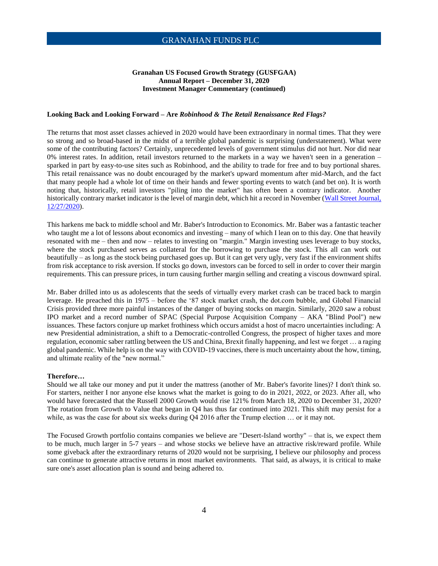#### **Granahan US Focused Growth Strategy (GUSFGAA) Annual Report – December 31, 2020 Investment Manager Commentary (continued)**

#### **Looking Back and Looking Forward – Are** *Robinhood & The Retail Renaissance Red Flags?*

The returns that most asset classes achieved in 2020 would have been extraordinary in normal times. That they were so strong and so broad-based in the midst of a terrible global pandemic is surprising (understatement). What were some of the contributing factors? Certainly, unprecedented levels of government stimulus did not hurt. Nor did near 0% interest rates. In addition, retail investors returned to the markets in a way we haven't seen in a generation – sparked in part by easy-to-use sites such as Robinhood, and the ability to trade for free and to buy portional shares. This retail renaissance was no doubt encouraged by the market's upward momentum after mid-March, and the fact that many people had a whole lot of time on their hands and fewer sporting events to watch (and bet on). It is worth noting that, historically, retail investors "piling into the market" has often been a contrary indicator. Another historically contrary market indicator is the level of margin debt, which hit a record in November [\(Wall Street Journal,](https://www.wsj.com/articles/investors-double-down-on-stocks-pushing-margin-debt-to-record-11609077600)  [12/27/2020\)](https://www.wsj.com/articles/investors-double-down-on-stocks-pushing-margin-debt-to-record-11609077600).

This harkens me back to middle school and Mr. Baber's Introduction to Economics. Mr. Baber was a fantastic teacher who taught me a lot of lessons about economics and investing – many of which I lean on to this day. One that heavily resonated with me – then and now – relates to investing on "margin." Margin investing uses leverage to buy stocks, where the stock purchased serves as collateral for the borrowing to purchase the stock. This all can work out beautifully – as long as the stock being purchased goes up. But it can get very ugly, very fast if the environment shifts from risk acceptance to risk aversion. If stocks go down, investors can be forced to sell in order to cover their margin requirements. This can pressure prices, in turn causing further margin selling and creating a viscous downward spiral.

Mr. Baber drilled into us as adolescents that the seeds of virtually every market crash can be traced back to margin leverage. He preached this in 1975 – before the '87 stock market crash, the dot.com bubble, and Global Financial Crisis provided three more painful instances of the danger of buying stocks on margin. Similarly, 2020 saw a robust IPO market and a record number of SPAC (Special Purpose Acquisition Company – AKA "Blind Pool") new issuances. These factors conjure up market frothiness which occurs amidst a host of macro uncertainties including: A new Presidential administration, a shift to a Democratic-controlled Congress, the prospect of higher taxes and more regulation, economic saber rattling between the US and China, Brexit finally happening, and lest we forget … a raging global pandemic. While help is on the way with COVID-19 vaccines, there is much uncertainty about the how, timing, and ultimate reality of the "new normal."

#### **Therefore…**

Should we all take our money and put it under the mattress (another of Mr. Baber's favorite lines)? I don't think so. For starters, neither I nor anyone else knows what the market is going to do in 2021, 2022, or 2023. After all, who would have forecasted that the Russell 2000 Growth would rise 121% from March 18, 2020 to December 31, 2020? The rotation from Growth to Value that began in Q4 has thus far continued into 2021. This shift may persist for a while, as was the case for about six weeks during Q4 2016 after the Trump election ... or it may not.

The Focused Growth portfolio contains companies we believe are "Desert-Island worthy" – that is, we expect them to be much, much larger in 5-7 years – and whose stocks we believe have an attractive risk/reward profile. While some giveback after the extraordinary returns of 2020 would not be surprising, I believe our philosophy and process can continue to generate attractive returns in most market environments. That said, as always, it is critical to make sure one's asset allocation plan is sound and being adhered to.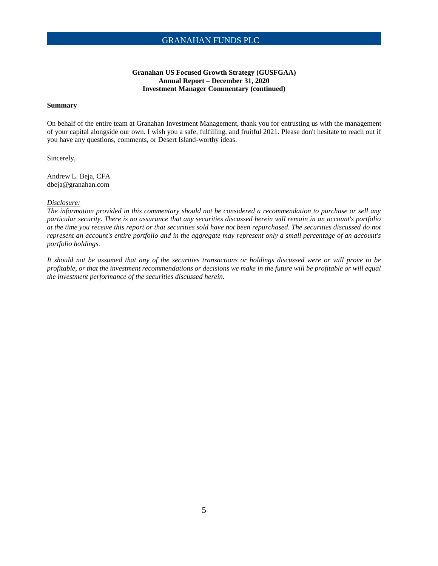#### **Granahan US Focused Growth Strategy (GUSFGAA) Annual Report – December 31, 2020 Investment Manager Commentary (continued)**

#### **Summary**

On behalf of the entire team at Granahan Investment Management, thank you for entrusting us with the management of your capital alongside our own. I wish you a safe, fulfilling, and fruitful 2021. Please don't hesitate to reach out if you have any questions, comments, or Desert Island-worthy ideas.

Sincerely,

Andrew L. Beja, CFA dbeja@granahan.com

#### *Disclosure:*

*The information provided in this commentary should not be considered a recommendation to purchase or sell any particular security. There is no assurance that any securities discussed herein will remain in an account's portfolio at the time you receive this report or that securities sold have not been repurchased. The securities discussed do not represent an account's entire portfolio and in the aggregate may represent only a small percentage of an account's portfolio holdings.* 

*It should not be assumed that any of the securities transactions or holdings discussed were or will prove to be profitable, or that the investment recommendations or decisions we make in the future will be profitable or will equal the investment performance of the securities discussed herein.*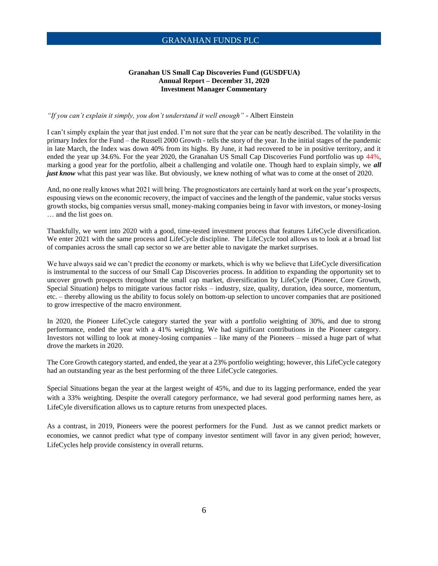#### **Granahan US Small Cap Discoveries Fund (GUSDFUA) Annual Report – December 31, 2020 Investment Manager Commentary**

#### *"If you can't explain it simply, you don't understand it well enough"* - Albert Einstein

I can't simply explain the year that just ended. I'm not sure that the year can be neatly described. The volatility in the primary Index for the Fund – the Russell 2000 Growth - tells the story of the year. In the initial stages of the pandemic in late March, the Index was down 40% from its highs. By June, it had recovered to be in positive territory, and it ended the year up 34.6%. For the year 2020, the Granahan US Small Cap Discoveries Fund portfolio was up 44%, marking a good year for the portfolio, albeit a challenging and volatile one. Though hard to explain simply, we *all just know* what this past year was like. But obviously, we knew nothing of what was to come at the onset of 2020.

And, no one really knows what 2021 will bring. The prognosticators are certainly hard at work on the year's prospects, espousing views on the economic recovery, the impact of vaccines and the length of the pandemic, value stocks versus growth stocks, big companies versus small, money-making companies being in favor with investors, or money-losing … and the list goes on.

Thankfully, we went into 2020 with a good, time-tested investment process that features LifeCycle diversification. We enter 2021 with the same process and LifeCycle discipline. The LifeCycle tool allows us to look at a broad list of companies across the small cap sector so we are better able to navigate the market surprises.

We have always said we can't predict the economy or markets, which is why we believe that LifeCycle diversification is instrumental to the success of our Small Cap Discoveries process. In addition to expanding the opportunity set to uncover growth prospects throughout the small cap market, diversification by LifeCycle (Pioneer, Core Growth, Special Situation) helps to mitigate various factor risks – industry, size, quality, duration, idea source, momentum, etc. – thereby allowing us the ability to focus solely on bottom-up selection to uncover companies that are positioned to grow irrespective of the macro environment.

In 2020, the Pioneer LifeCycle category started the year with a portfolio weighting of 30%, and due to strong performance, ended the year with a 41% weighting. We had significant contributions in the Pioneer category. Investors not willing to look at money-losing companies – like many of the Pioneers – missed a huge part of what drove the markets in 2020.

The Core Growth category started, and ended, the year at a 23% portfolio weighting; however, this LifeCycle category had an outstanding year as the best performing of the three LifeCycle categories.

Special Situations began the year at the largest weight of 45%, and due to its lagging performance, ended the year with a 33% weighting. Despite the overall category performance, we had several good performing names here, as LifeCyle diversification allows us to capture returns from unexpected places.

As a contrast, in 2019, Pioneers were the poorest performers for the Fund. Just as we cannot predict markets or economies, we cannot predict what type of company investor sentiment will favor in any given period; however, LifeCycles help provide consistency in overall returns.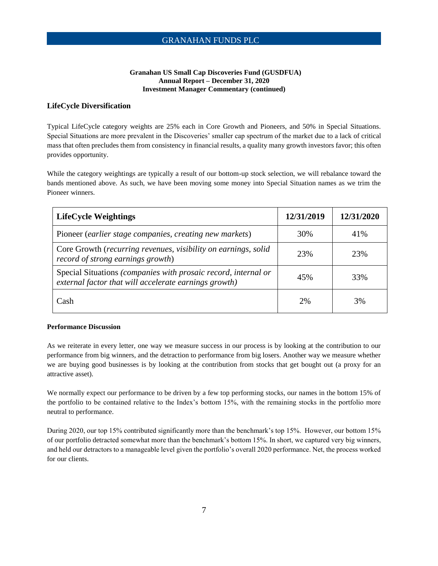#### **Granahan US Small Cap Discoveries Fund (GUSDFUA) Annual Report – December 31, 2020 Investment Manager Commentary (continued)**

#### **LifeCycle Diversification**

Typical LifeCycle category weights are 25% each in Core Growth and Pioneers, and 50% in Special Situations. Special Situations are more prevalent in the Discoveries' smaller cap spectrum of the market due to a lack of critical mass that often precludes them from consistency in financial results, a quality many growth investors favor; this often provides opportunity.

While the category weightings are typically a result of our bottom-up stock selection, we will rebalance toward the bands mentioned above. As such, we have been moving some money into Special Situation names as we trim the Pioneer winners.

| <b>LifeCycle Weightings</b>                                                                                             | 12/31/2019 | 12/31/2020 |
|-------------------------------------------------------------------------------------------------------------------------|------------|------------|
| Pioneer (earlier stage companies, creating new markets)                                                                 | 30%        | 41%        |
| Core Growth (recurring revenues, visibility on earnings, solid<br>record of strong earnings growth)                     | 23%        | 23%        |
| Special Situations (companies with prosaic record, internal or<br>external factor that will accelerate earnings growth) | 45%        | 33%        |
| Cash                                                                                                                    | 2%         | 3%         |

#### **Performance Discussion**

As we reiterate in every letter, one way we measure success in our process is by looking at the contribution to our performance from big winners, and the detraction to performance from big losers. Another way we measure whether we are buying good businesses is by looking at the contribution from stocks that get bought out (a proxy for an attractive asset).

We normally expect our performance to be driven by a few top performing stocks, our names in the bottom 15% of the portfolio to be contained relative to the Index's bottom 15%, with the remaining stocks in the portfolio more neutral to performance.

During 2020, our top 15% contributed significantly more than the benchmark's top 15%. However, our bottom 15% of our portfolio detracted somewhat more than the benchmark's bottom 15%. In short, we captured very big winners, and held our detractors to a manageable level given the portfolio's overall 2020 performance. Net, the process worked for our clients.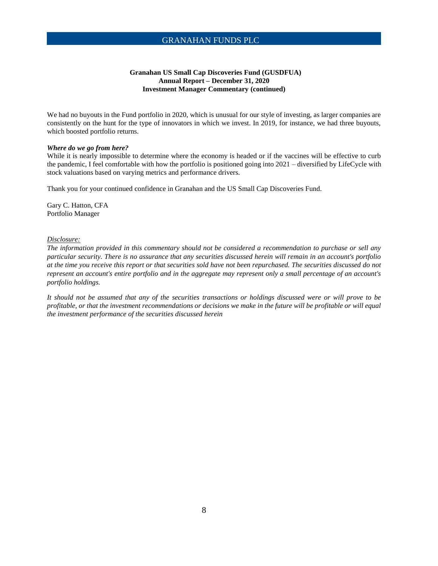#### **Granahan US Small Cap Discoveries Fund (GUSDFUA) Annual Report – December 31, 2020 Investment Manager Commentary (continued)**

We had no buyouts in the Fund portfolio in 2020, which is unusual for our style of investing, as larger companies are consistently on the hunt for the type of innovators in which we invest. In 2019, for instance, we had three buyouts, which boosted portfolio returns.

#### *Where do we go from here?*

While it is nearly impossible to determine where the economy is headed or if the vaccines will be effective to curb the pandemic, I feel comfortable with how the portfolio is positioned going into 2021 – diversified by LifeCycle with stock valuations based on varying metrics and performance drivers.

Thank you for your continued confidence in Granahan and the US Small Cap Discoveries Fund.

Gary C. Hatton, CFA Portfolio Manager

#### *Disclosure:*

*The information provided in this commentary should not be considered a recommendation to purchase or sell any particular security. There is no assurance that any securities discussed herein will remain in an account's portfolio at the time you receive this report or that securities sold have not been repurchased. The securities discussed do not represent an account's entire portfolio and in the aggregate may represent only a small percentage of an account's portfolio holdings.*

*It should not be assumed that any of the securities transactions or holdings discussed were or will prove to be profitable, or that the investment recommendations or decisions we make in the future will be profitable or will equal the investment performance of the securities discussed herein*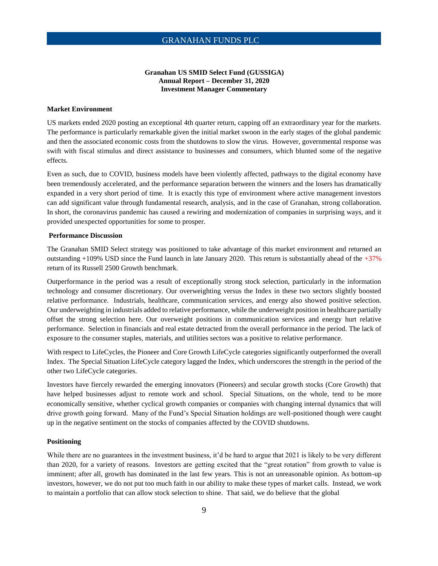#### **Granahan US SMID Select Fund (GUSSIGA) Annual Report – December 31, 2020 Investment Manager Commentary**

#### **Market Environment**

US markets ended 2020 posting an exceptional 4th quarter return, capping off an extraordinary year for the markets. The performance is particularly remarkable given the initial market swoon in the early stages of the global pandemic and then the associated economic costs from the shutdowns to slow the virus. However, governmental response was swift with fiscal stimulus and direct assistance to businesses and consumers, which blunted some of the negative effects.

Even as such, due to COVID, business models have been violently affected, pathways to the digital economy have been tremendously accelerated, and the performance separation between the winners and the losers has dramatically expanded in a very short period of time. It is exactly this type of environment where active management investors can add significant value through fundamental research, analysis, and in the case of Granahan, strong collaboration. In short, the coronavirus pandemic has caused a rewiring and modernization of companies in surprising ways, and it provided unexpected opportunities for some to prosper.

#### **Performance Discussion**

The Granahan SMID Select strategy was positioned to take advantage of this market environment and returned an outstanding +109% USD since the Fund launch in late January 2020. This return is substantially ahead of the  $+37%$ return of its Russell 2500 Growth benchmark.

Outperformance in the period was a result of exceptionally strong stock selection, particularly in the information technology and consumer discretionary. Our overweighting versus the Index in these two sectors slightly boosted relative performance. Industrials, healthcare, communication services, and energy also showed positive selection. Our underweighting in industrials added to relative performance, while the underweight position in healthcare partially offset the strong selection here. Our overweight positions in communication services and energy hurt relative performance. Selection in financials and real estate detracted from the overall performance in the period. The lack of exposure to the consumer staples, materials, and utilities sectors was a positive to relative performance.

With respect to LifeCycles, the Pioneer and Core Growth LifeCycle categories significantly outperformed the overall Index. The Special Situation LifeCycle category lagged the Index, which underscores the strength in the period of the other two LifeCycle categories.

Investors have fiercely rewarded the emerging innovators (Pioneers) and secular growth stocks (Core Growth) that have helped businesses adjust to remote work and school. Special Situations, on the whole, tend to be more economically sensitive, whether cyclical growth companies or companies with changing internal dynamics that will drive growth going forward. Many of the Fund's Special Situation holdings are well-positioned though were caught up in the negative sentiment on the stocks of companies affected by the COVID shutdowns.

#### **Positioning**

While there are no guarantees in the investment business, it'd be hard to argue that 2021 is likely to be very different than 2020, for a variety of reasons. Investors are getting excited that the "great rotation" from growth to value is imminent; after all, growth has dominated in the last few years. This is not an unreasonable opinion. As bottom-up investors, however, we do not put too much faith in our ability to make these types of market calls. Instead, we work to maintain a portfolio that can allow stock selection to shine. That said, we do believe that the global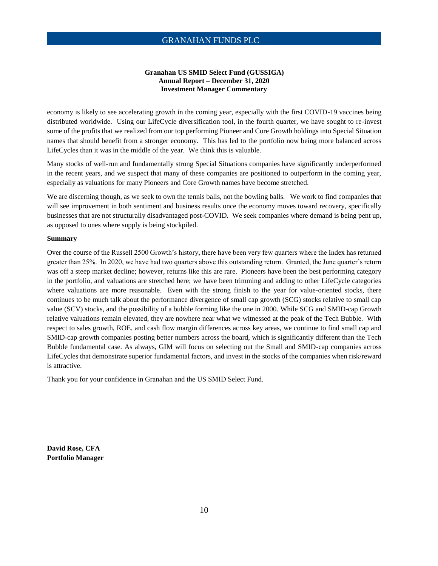#### **Granahan US SMID Select Fund (GUSSIGA) Annual Report – December 31, 2020 Investment Manager Commentary**

economy is likely to see accelerating growth in the coming year, especially with the first COVID-19 vaccines being distributed worldwide. Using our LifeCycle diversification tool, in the fourth quarter, we have sought to re-invest some of the profits that we realized from our top performing Pioneer and Core Growth holdings into Special Situation names that should benefit from a stronger economy. This has led to the portfolio now being more balanced across LifeCycles than it was in the middle of the year. We think this is valuable.

Many stocks of well-run and fundamentally strong Special Situations companies have significantly underperformed in the recent years, and we suspect that many of these companies are positioned to outperform in the coming year, especially as valuations for many Pioneers and Core Growth names have become stretched.

We are discerning though, as we seek to own the tennis balls, not the bowling balls. We work to find companies that will see improvement in both sentiment and business results once the economy moves toward recovery, specifically businesses that are not structurally disadvantaged post-COVID. We seek companies where demand is being pent up, as opposed to ones where supply is being stockpiled.

#### **Summary**

Over the course of the Russell 2500 Growth's history, there have been very few quarters where the Index has returned greater than 25%. In 2020, we have had two quarters above this outstanding return. Granted, the June quarter's return was off a steep market decline; however, returns like this are rare. Pioneers have been the best performing category in the portfolio, and valuations are stretched here; we have been trimming and adding to other LifeCycle categories where valuations are more reasonable. Even with the strong finish to the year for value-oriented stocks, there continues to be much talk about the performance divergence of small cap growth (SCG) stocks relative to small cap value (SCV) stocks, and the possibility of a bubble forming like the one in 2000. While SCG and SMID-cap Growth relative valuations remain elevated, they are nowhere near what we witnessed at the peak of the Tech Bubble. With respect to sales growth, ROE, and cash flow margin differences across key areas, we continue to find small cap and SMID-cap growth companies posting better numbers across the board, which is significantly different than the Tech Bubble fundamental case. As always, GIM will focus on selecting out the Small and SMID-cap companies across LifeCycles that demonstrate superior fundamental factors, and invest in the stocks of the companies when risk/reward is attractive.

Thank you for your confidence in Granahan and the US SMID Select Fund.

**David Rose, CFA Portfolio Manager**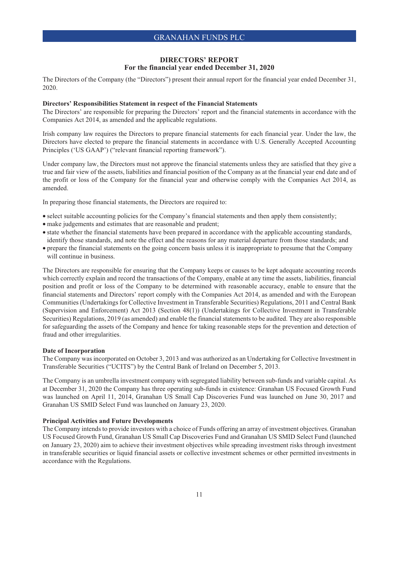#### **DIRECTORS' REPORT For the financial year ended December 31, 2020**

The Directors of the Company (the "Directors") present their annual report for the financial year ended December 31, 2020.

#### **Directors' Responsibilities Statement in respect of the Financial Statements**

The Directors' are responsible for preparing the Directors' report and the financial statements in accordance with the Companies Act 2014, as amended and the applicable regulations.

Irish company law requires the Directors to prepare financial statements for each financial year. Under the law, the Directors have elected to prepare the financial statements in accordance with U.S. Generally Accepted Accounting Principles ('US GAAP') ("relevant financial reporting framework").

Under company law, the Directors must not approve the financial statements unless they are satisfied that they give a true and fair view of the assets, liabilities and financial position of the Company as at the financial year end date and of the profit or loss of the Company for the financial year and otherwise comply with the Companies Act 2014, as amended.

In preparing those financial statements, the Directors are required to:

- select suitable accounting policies for the Company's financial statements and then apply them consistently;
- make judgements and estimates that are reasonable and prudent;
- state whether the financial statements have been prepared in accordance with the applicable accounting standards,
- identify those standards, and note the effect and the reasons for any material departure from those standards; and • prepare the financial statements on the going concern basis unless it is inappropriate to presume that the Company
- will continue in business.

The Directors are responsible for ensuring that the Company keeps or causes to be kept adequate accounting records which correctly explain and record the transactions of the Company, enable at any time the assets, liabilities, financial position and profit or loss of the Company to be determined with reasonable accuracy, enable to ensure that the financial statements and Directors' report comply with the Companies Act 2014, as amended and with the European Communities (Undertakings for Collective Investment in Transferable Securities) Regulations, 2011 and Central Bank (Supervision and Enforcement) Act 2013 (Section 48(1)) (Undertakings for Collective Investment in Transferable Securities) Regulations, 2019 (as amended) and enable the financial statements to be audited. They are also responsible for safeguarding the assets of the Company and hence for taking reasonable steps for the prevention and detection of fraud and other irregularities.

#### **Date of Incorporation**

The Company was incorporated on October 3, 2013 and was authorized as an Undertaking for Collective Investment in Transferable Securities ("UCITS") by the Central Bank of Ireland on December 5, 2013.

The Company is an umbrella investment company with segregated liability between sub-funds and variable capital. As at December 31, 2020 the Company has three operating sub-funds in existence: Granahan US Focused Growth Fund was launched on April 11, 2014, Granahan US Small Cap Discoveries Fund was launched on June 30, 2017 and Granahan US SMID Select Fund was launched on January 23, 2020.

#### **Principal Activities and Future Developments**

The Company intends to provide investors with a choice of Funds offering an array of investment objectives. Granahan US Focused Growth Fund, Granahan US Small Cap Discoveries Fund and Granahan US SMID Select Fund (launched on January 23, 2020) aim to achieve their investment objectives while spreading investment risks through investment in transferable securities or liquid financial assets or collective investment schemes or other permitted investments in accordance with the Regulations.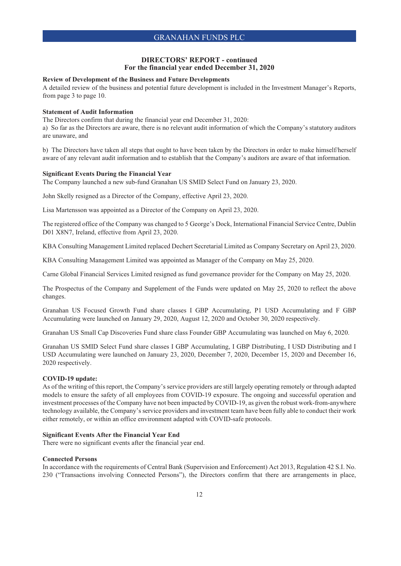#### **DIRECTORS' REPORT - continued For the financial year ended December 31, 2020**

#### **Review of Development of the Business and Future Developments**

A detailed review of the business and potential future development is included in the Investment Manager's Reports, from page 3 to page 10.

#### **Statement of Audit Information**

The Directors confirm that during the financial year end December 31, 2020:

a) So far as the Directors are aware, there is no relevant audit information of which the Company's statutory auditors are unaware, and

b) The Directors have taken all steps that ought to have been taken by the Directors in order to make himself/herself aware of any relevant audit information and to establish that the Company's auditors are aware of that information.

#### **Significant Events During the Financial Year**

The Company launched a new sub-fund Granahan US SMID Select Fund on January 23, 2020.

John Skelly resigned as a Director of the Company, effective April 23, 2020.

Lisa Martensson was appointed as a Director of the Company on April 23, 2020.

The registered office of the Company was changed to 5 George's Dock, International Financial Service Centre, Dublin D01 X8N7, Ireland, effective from April 23, 2020.

KBA Consulting Management Limited replaced Dechert Secretarial Limited as Company Secretary on April 23, 2020.

KBA Consulting Management Limited was appointed as Manager of the Company on May 25, 2020.

Carne Global Financial Services Limited resigned as fund governance provider for the Company on May 25, 2020.

The Prospectus of the Company and Supplement of the Funds were updated on May 25, 2020 to reflect the above changes.

Granahan US Focused Growth Fund share classes I GBP Accumulating, P1 USD Accumulating and F GBP Accumulating were launched on January 29, 2020, August 12, 2020 and October 30, 2020 respectively.

Granahan US Small Cap Discoveries Fund share class Founder GBP Accumulating was launched on May 6, 2020.

Granahan US SMID Select Fund share classes I GBP Accumulating, I GBP Distributing, I USD Distributing and I USD Accumulating were launched on January 23, 2020, December 7, 2020, December 15, 2020 and December 16, 2020 respectively.

#### **COVID-19 update:**

As of the writing of this report, the Company's service providers are still largely operating remotely or through adapted models to ensure the safety of all employees from COVID-19 exposure. The ongoing and successful operation and investment processes of the Company have not been impacted by COVID-19, as given the robust work-from-anywhere technology available, the Company's service providers and investment team have been fully able to conduct their work either remotely, or within an office environment adapted with COVID-safe protocols.

#### **Significant Events After the Financial Year End**

There were no significant events after the financial year end.

#### **Connected Persons**

In accordance with the requirements of Central Bank (Supervision and Enforcement) Act 2013, Regulation 42 S.I. No. 230 ("Transactions involving Connected Persons"), the Directors confirm that there are arrangements in place,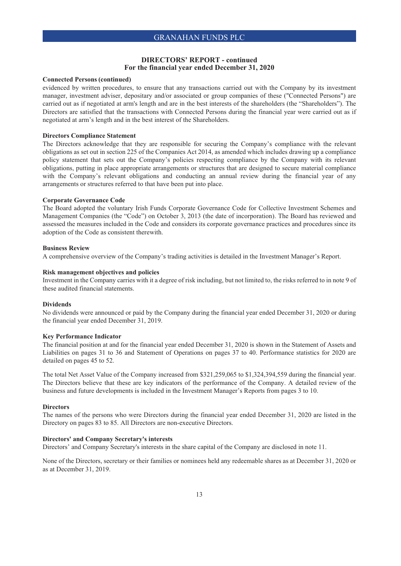#### **DIRECTORS' REPORT - continued For the financial year ended December 31, 2020**

#### **Connected Persons (continued)**

evidenced by written procedures, to ensure that any transactions carried out with the Company by its investment manager, investment adviser, depositary and/or associated or group companies of these ("Connected Persons") are carried out as if negotiated at arm's length and are in the best interests of the shareholders (the "Shareholders"). The Directors are satisfied that the transactions with Connected Persons during the financial year were carried out as if negotiated at arm's length and in the best interest of the Shareholders.

#### **Directors Compliance Statement**

The Directors acknowledge that they are responsible for securing the Company's compliance with the relevant obligations as set out in section 225 of the Companies Act 2014, as amended which includes drawing up a compliance policy statement that sets out the Company's policies respecting compliance by the Company with its relevant obligations, putting in place appropriate arrangements or structures that are designed to secure material compliance with the Company's relevant obligations and conducting an annual review during the financial year of any arrangements or structures referred to that have been put into place.

#### **Corporate Governance Code**

The Board adopted the voluntary Irish Funds Corporate Governance Code for Collective Investment Schemes and Management Companies (the "Code") on October 3, 2013 (the date of incorporation). The Board has reviewed and assessed the measures included in the Code and considers its corporate governance practices and procedures since its adoption of the Code as consistent therewith.

#### **Business Review**

A comprehensive overview of the Company's trading activities is detailed in the Investment Manager's Report.

#### **Risk management objectives and policies**

Investment in the Company carries with it a degree of risk including, but not limited to, the risks referred to in note 9 of these audited financial statements.

#### **Dividends**

No dividends were announced or paid by the Company during the financial year ended December 31, 2020 or during the financial year ended December 31, 2019.

#### **Key Performance Indicator**

The financial position at and for the financial year ended December 31, 2020 is shown in the Statement of Assets and Liabilities on pages 31 to 36 and Statement of Operations on pages 37 to 40. Performance statistics for 2020 are detailed on pages 45 to 52.

The total Net Asset Value of the Company increased from \$321,259,065 to \$1,324,394,559 during the financial year. The Directors believe that these are key indicators of the performance of the Company. A detailed review of the business and future developments is included in the Investment Manager's Reports from pages 3 to 10.

#### **Directors**

The names of the persons who were Directors during the financial year ended December 31, 2020 are listed in the Directory on pages 83 to 85. All Directors are non-executive Directors.

#### **Directors' and Company Secretary's interests**

Directors' and Company Secretary's interests in the share capital of the Company are disclosed in note 11.

None of the Directors, secretary or their families or nominees held any redeemable shares as at December 31, 2020 or as at December 31, 2019.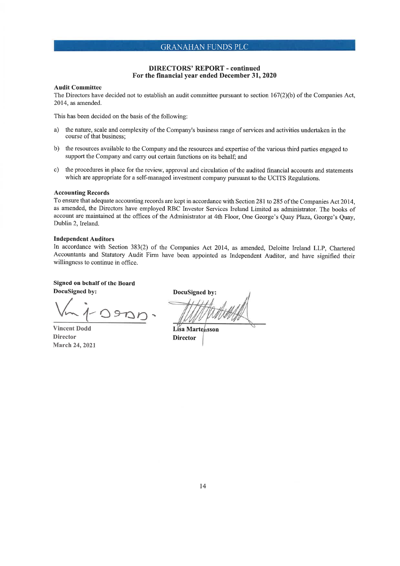#### **DIRECTORS' REPORT - continued** For the financial year ended December 31, 2020

#### **Audit Committee**

The Directors have decided not to establish an audit committee pursuant to section  $167(2)(b)$  of the Companies Act, 2014, as amended.

This has been decided on the basis of the following:

- a) the nature, scale and complexity of the Company's business range of services and activities undertaken in the course of that business;
- $b)$ the resources available to the Company and the resources and expertise of the various third parties engaged to support the Company and carry out certain functions on its behalf; and
- c) the procedures in place for the review, approval and circulation of the audited financial accounts and statements which are appropriate for a self-managed investment company pursuant to the UCITS Regulations.

#### **Accounting Records**

To ensure that adequate accounting records are kept in accordance with Section 281 to 285 of the Companies Act 2014, as amended, the Directors have employed RBC Investor Services Ireland Limited as administrator. The books of account are maintained at the offices of the Administrator at 4th Floor, One George's Quay Plaza, George's Quay, Dublin 2, Ireland.

#### **Independent Auditors**

In accordance with Section 383(2) of the Companies Act 2014, as amended, Deloitte Ireland LLP, Chartered Accountants and Statutory Audit Firm have been appointed as Independent Auditor, and have signified their willingness to continue in office.

Signed on behalf of the Board

**DocuSigned by:**  $\Theta$ 

**Vincent Dodd Director March 24, 2021** 

**DocuSigned by:** 

**Lisa Martensson Director**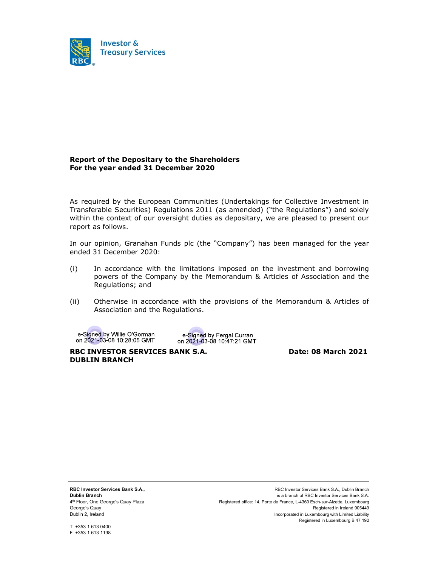

#### Report of the Depositary to the Shareholders For the year ended 31 December 2020

As required by the European Communities (Undertakings for Collective Investment in Transferable Securities) Regulations 2011 (as amended) ("the Regulations") and solely within the context of our oversight duties as depositary, we are pleased to present our report as follows.

In our opinion, Granahan Funds plc (the "Company") has been managed for the year ended 31 December 2020:

- (i) In accordance with the limitations imposed on the investment and borrowing powers of the Company by the Memorandum & Articles of Association and the Regulations; and
- (ii) Otherwise in accordance with the provisions of the Memorandum & Articles of Association and the Regulations.

e-Signed by Willie O'Gorman on 2021-03-08 10:28:05 GMT

e-Signed by Fergal Curran on 2021-03-08 10:47:21 GMT

RBC INVESTOR SERVICES BANK S.A. Date: 08 March 2021 DUBLIN BRANCH

RBC Investor Services Bank S.A., Dublin Branch 4 th Floor, One George's Quay Plaza George's Quay Dublin 2, Ireland

RBC Investor Services Bank S.A., Dublin Branch is a branch of RBC Investor Services Bank S.A. Registered office: 14, Porte de France, L-4360 Esch-sur-Alzette, Luxembourg Registered in Ireland 905449 Incorporated in Luxembourg with Limited Liability Registered in Luxembourg B 47 192

T +353 1 613 0400 F +353 1 613 1198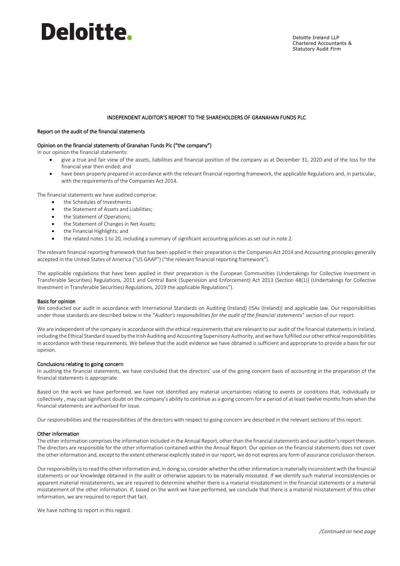# Deloitte.

#### INDEPENDENT AUDITOR'S REPORT TO THE SHAREHOLDERS OF GRANAHAN FUNDS PLC

#### Report on the audit of the financial statements

#### Opinion on the financial statements of Granahan Funds Plc ("the company")

In our opinion the financial statements:

- give a true and fair view of the assets, liabilities and financial position of the company as at December 31, 2020 and of the loss for the financial year then ended; and
- have been properly prepared in accordance with the relevant financial reporting framework, the applicable Regulations and, in particular, with the requirements of the Companies Act 2014.

The financial statements we have audited comprise:

- the Schedules of Investments
- the Statement of Assets and Liabilities;
- the Statement of Operations;
- the Statement of Changes in Net Assets;
- the Financial Highlights; and
- the related notes 1 to 20, including a summary of significant accounting policies as set out in note 2.

The relevant financial reporting framework that has been applied in their preparation is the Companies Act 2014 and Accounting principles generally accepted in the United States of America ("US GAAP") ("the relevant financial reporting framework").

The applicable regulations that have been applied in their preparation is the European Communities (Undertakings for Collective Investment in Transferable Securities) Regulations, 2011 and Central Bank (Supervision and Enforcement) Act 2013 (Section 48(1)) (Undertakings for Collective Investment in Transferable Securities) Regulations, 2019 the applicable Regulations").

#### Basis for opinion

We conducted our audit in accordance with International Standards on Auditing (Ireland) (ISAs (Ireland)) and applicable law. Our responsibilities under those standards are described below in the "*Auditor's responsibilities for the audit of the financial statements*" section of our report.

We are independent of the company in accordance with the ethical requirements that are relevant to our audit of the financial statements in Ireland, including the Ethical Standard issued by the Irish Auditing and Accounting Supervisory Authority, and we have fulfilled our other ethical responsibilities in accordance with these requirements. We believe that the audit evidence we have obtained is sufficient and appropriate to provide a basis for our opinion.

#### Conclusions relating to going concern

In auditing the financial statements, we have concluded that the directors' use of the going concern basis of accounting in the preparation of the financial statements is appropriate.

Based on the work we have performed, we have not identified any material uncertainties relating to events or conditions that, individually or collectively , may cast significant doubt on the company's ability to continue as a going concern for a period of at least twelve months from when the financial statements are authorised for issue.

Our responsibilities and the responsibilities of the directors with respect to going concern are described in the relevant sections of this report.

#### Other information

The other information comprises the information included in the Annual Report, other than the financial statements and our auditor's report thereon. The directors are responsible for the other information contained within the Annual Report. Our opinion on the financial statements does not cover the other information and, except to the extent otherwise explicitly stated in our report, we do not express any form of assurance conclusion thereon.

Our responsibility is to read the other information and, in doing so, consider whether the other information is materially inconsistent with the financial statements or our knowledge obtained in the audit or otherwise appears to be materially misstated. If we identify such material inconsistencies or apparent material misstatements, we are required to determine whether there is a material misstatement in the financial statements or a material misstatement of the other information. If, based on the work we have performed, we conclude that there is a material misstatement of this other information, we are required to report that fact.

We have nothing to report in this regard.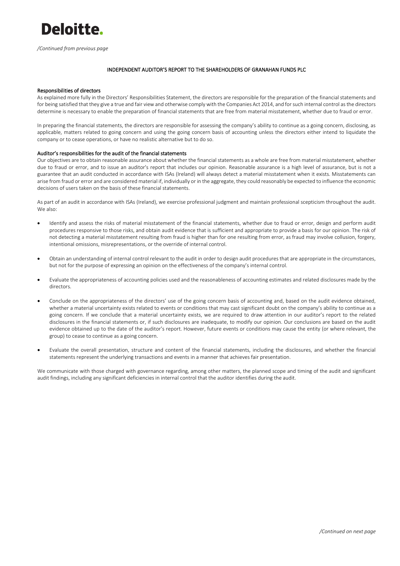

*/Continued from previous page* 

#### INDEPENDENT AUDITOR'S REPORT TO THE SHAREHOLDERS OF GRANAHAN FUNDS PLC

#### Responsibilities of directors

As explained more fully in the Directors' Responsibilities Statement, the directors are responsible for the preparation of the financial statements and for being satisfied that they give a true and fair view and otherwise comply with the Companies Act 2014, and for such internal control as the directors determine is necessary to enable the preparation of financial statements that are free from material misstatement, whether due to fraud or error.

In preparing the financial statements, the directors are responsible for assessing the company's ability to continue as a going concern, disclosing, as applicable, matters related to going concern and using the going concern basis of accounting unless the directors either intend to liquidate the company or to cease operations, or have no realistic alternative but to do so.

#### Auditor's responsibilities for the audit of the financial statements

Our objectives are to obtain reasonable assurance about whether the financial statements as a whole are free from material misstatement, whether due to fraud or error, and to issue an auditor's report that includes our opinion. Reasonable assurance is a high level of assurance, but is not a guarantee that an audit conducted in accordance with ISAs (Ireland) will always detect a material misstatement when it exists. Misstatements can arise from fraud or error and are considered material if, individually or in the aggregate, they could reasonably be expected to influence the economic decisions of users taken on the basis of these financial statements.

As part of an audit in accordance with ISAs (Ireland), we exercise professional judgment and maintain professional scepticism throughout the audit. We also:

- Identify and assess the risks of material misstatement of the financial statements, whether due to fraud or error, design and perform audit procedures responsive to those risks, and obtain audit evidence that is sufficient and appropriate to provide a basis for our opinion. The risk of not detecting a material misstatement resulting from fraud is higher than for one resulting from error, as fraud may involve collusion, forgery, intentional omissions, misrepresentations, or the override of internal control.
- Obtain an understanding of internal control relevant to the audit in order to design audit procedures that are appropriate in the circumstances, but not for the purpose of expressing an opinion on the effectiveness of the company's internal control.
- Evaluate the appropriateness of accounting policies used and the reasonableness of accounting estimates and related disclosures made by the directors.
- Conclude on the appropriateness of the directors' use of the going concern basis of accounting and, based on the audit evidence obtained, whether a material uncertainty exists related to events or conditions that may cast significant doubt on the company's ability to continue as a going concern. If we conclude that a material uncertainty exists, we are required to draw attention in our auditor's report to the related disclosures in the financial statements or, if such disclosures are inadequate, to modify our opinion. Our conclusions are based on the audit evidence obtained up to the date of the auditor's report. However, future events or conditions may cause the entity (or where relevant, the group) to cease to continue as a going concern.
- Evaluate the overall presentation, structure and content of the financial statements, including the disclosures, and whether the financial statements represent the underlying transactions and events in a manner that achieves fair presentation.

We communicate with those charged with governance regarding, among other matters, the planned scope and timing of the audit and significant audit findings, including any significant deficiencies in internal control that the auditor identifies during the audit.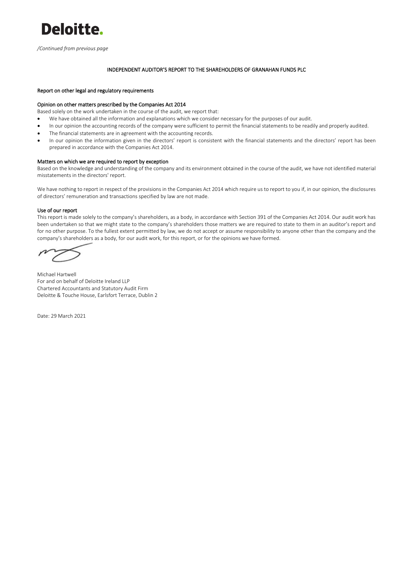

*/Continued from previous page* 

#### INDEPENDENT AUDITOR'S REPORT TO THE SHAREHOLDERS OF GRANAHAN FUNDS PLC

#### Report on other legal and regulatory requirements

#### Opinion on other matters prescribed by the Companies Act 2014

Based solely on the work undertaken in the course of the audit, we report that:

- We have obtained all the information and explanations which we consider necessary for the purposes of our audit.
- In our opinion the accounting records of the company were sufficient to permit the financial statements to be readily and properly audited.
- The financial statements are in agreement with the accounting records.
- In our opinion the information given in the directors' report is consistent with the financial statements and the directors' report has been prepared in accordance with the Companies Act 2014.

#### Matters on which we are required to report by exception

Based on the knowledge and understanding of the company and its environment obtained in the course of the audit, we have not identified material misstatements in the directors' report.

We have nothing to report in respect of the provisions in the Companies Act 2014 which require us to report to you if, in our opinion, the disclosures of directors' remuneration and transactions specified by law are not made.

#### Use of our report

This report is made solely to the company's shareholders, as a body, in accordance with Section 391 of the Companies Act 2014. Our audit work has been undertaken so that we might state to the company's shareholders those matters we are required to state to them in an auditor's report and for no other purpose. To the fullest extent permitted by law, we do not accept or assume responsibility to anyone other than the company and the company's shareholders as a body, for our audit work, for this report, or for the opinions we have formed.

Michael Hartwell For and on behalf of Deloitte Ireland LLP Chartered Accountants and Statutory Audit Firm Deloitte & Touche House, Earlsfort Terrace, Dublin 2

Date: 29 March 2021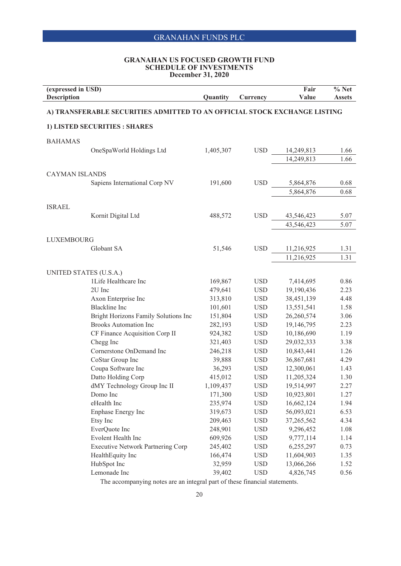#### **GRANAHAN US FOCUSED GROWTH FUND SCHEDULE OF INVESTMENTS December 31, 2020**

| <b>Description</b><br>Value<br>Quantity<br><b>Currency</b>                                                   | <b>Assets</b> |
|--------------------------------------------------------------------------------------------------------------|---------------|
| A) TRANSFERABLE SECURITIES ADMITTED TO AN OFFICIAL STOCK EXCHANGE LISTING                                    |               |
|                                                                                                              |               |
| 1) LISTED SECURITIES : SHARES                                                                                |               |
| <b>BAHAMAS</b>                                                                                               |               |
| OneSpaWorld Holdings Ltd<br><b>USD</b><br>1,405,307<br>14,249,813                                            | 1.66          |
| 14,249,813                                                                                                   | 1.66          |
| <b>CAYMAN ISLANDS</b>                                                                                        |               |
| Sapiens International Corp NV<br><b>USD</b><br>191,600<br>5,864,876                                          | 0.68          |
| 5,864,876                                                                                                    | 0.68          |
|                                                                                                              |               |
| <b>ISRAEL</b>                                                                                                |               |
| <b>USD</b><br>Kornit Digital Ltd<br>488,572<br>43,546,423                                                    | 5.07          |
| 43,546,423                                                                                                   | 5.07          |
|                                                                                                              |               |
| <b>LUXEMBOURG</b>                                                                                            |               |
| Globant SA<br>51,546<br><b>USD</b><br>11,216,925                                                             | 1.31          |
| 11,216,925                                                                                                   | 1.31          |
| UNITED STATES (U.S.A.)                                                                                       |               |
| 1Life Healthcare Inc<br>169,867<br><b>USD</b><br>7,414,695                                                   | 0.86          |
| <b>USD</b><br>2U Inc<br>479,641<br>19,190,436                                                                | 2.23          |
| Axon Enterprise Inc<br>313,810<br><b>USD</b><br>38,451,139                                                   | 4.48          |
| <b>USD</b><br>13,551,541<br><b>Blackline</b> Inc<br>101,601                                                  | 1.58          |
| <b>USD</b><br>Bright Horizons Family Solutions Inc<br>151,804<br>26,260,574                                  | 3.06          |
| <b>Brooks Automation Inc</b><br>282,193<br><b>USD</b><br>19,146,795                                          | 2.23          |
| CF Finance Acquisition Corp II<br>924,382<br><b>USD</b><br>10,186,690                                        | 1.19          |
| Chegg Inc<br>321,403<br><b>USD</b><br>29,032,333                                                             | 3.38          |
| 10,843,441<br>Cornerstone OnDemand Inc<br>246,218<br><b>USD</b>                                              | 1.26          |
| CoStar Group Inc<br>39,888<br><b>USD</b><br>36,867,681                                                       | 4.29          |
| Coupa Software Inc<br>36,293<br><b>USD</b><br>12,300,061                                                     | 1.43          |
| Datto Holding Corp<br>415,012<br><b>USD</b><br>11,205,324                                                    | 1.30          |
| dMY Technology Group Inc II<br>1,109,437<br><b>USD</b><br>19,514,997                                         | 2.27          |
| Domo Inc<br><b>USD</b><br>10,923,801<br>171,300                                                              | 1.27          |
| eHealth Inc<br>235,974<br><b>USD</b><br>16,662,124                                                           | 1.94          |
| 319,673<br><b>USD</b><br>56,093,021<br>Enphase Energy Inc                                                    | 6.53          |
| Etsy Inc<br>209,463<br><b>USD</b><br>37,265,562                                                              | 4.34          |
| EverQuote Inc<br><b>USD</b><br>248,901<br>9,296,452                                                          | 1.08          |
| Evolent Health Inc<br>9,777,114<br>609,926<br><b>USD</b>                                                     | 1.14          |
| <b>Executive Network Partnering Corp</b><br><b>USD</b><br>245,402<br>6,255,297                               | 0.73          |
| 166,474<br><b>USD</b><br>11,604,903<br>HealthEquity Inc<br>HubSpot Inc<br>32,959<br>13,066,266<br><b>USD</b> | 1.35          |
| Lemonade Inc<br>39,402<br><b>USD</b><br>4,826,745                                                            | 1.52<br>0.56  |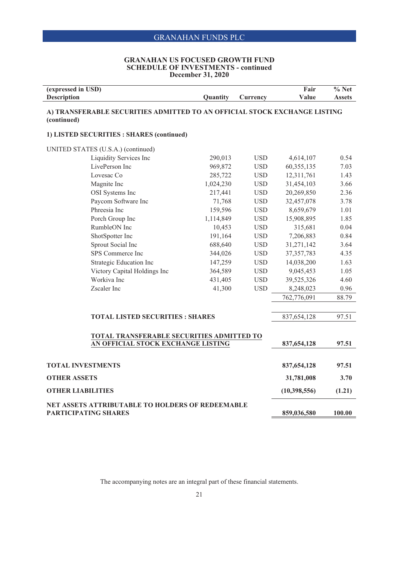#### **GRANAHAN US FOCUSED GROWTH FUND SCHEDULE OF INVESTMENTS - continued December 31, 2020**

| (expressed in USD)<br><b>Description</b>                                                 | Quantity  | Currency     | Fair<br>Value  | $\overline{\frac{9}{6}}$ Net<br><b>Assets</b> |
|------------------------------------------------------------------------------------------|-----------|--------------|----------------|-----------------------------------------------|
| A) TRANSFERABLE SECURITIES ADMITTED TO AN OFFICIAL STOCK EXCHANGE LISTING<br>(continued) |           |              |                |                                               |
| 1) LISTED SECURITIES : SHARES (continued)                                                |           |              |                |                                               |
| UNITED STATES (U.S.A.) (continued)                                                       |           |              |                |                                               |
| Liquidity Services Inc                                                                   | 290,013   | <b>USD</b>   | 4,614,107      | 0.54                                          |
| LivePerson Inc                                                                           | 969,872   | <b>USD</b>   | 60,355,135     | 7.03                                          |
| Lovesac Co                                                                               | 285,722   | <b>USD</b>   | 12,311,761     | 1.43                                          |
| Magnite Inc                                                                              | 1,024,230 | <b>USD</b>   | 31,454,103     | 3.66                                          |
| OSI Systems Inc                                                                          | 217,441   | <b>USD</b>   | 20,269,850     | 2.36                                          |
| Paycom Software Inc                                                                      | 71,768    | $_{\rm USD}$ | 32,457,078     | 3.78                                          |
| Phreesia Inc                                                                             | 159,596   | $_{\rm USD}$ | 8,659,679      | 1.01                                          |
| Porch Group Inc                                                                          | 1,114,849 | $_{\rm USD}$ | 15,908,895     | 1.85                                          |
| RumbleON Inc                                                                             | 10,453    | <b>USD</b>   | 315,681        | 0.04                                          |
| ShotSpotter Inc                                                                          | 191,164   | <b>USD</b>   | 7,206,883      | 0.84                                          |
| Sprout Social Inc                                                                        | 688,640   | $_{\rm USD}$ | 31,271,142     | 3.64                                          |
| SPS Commerce Inc                                                                         | 344,026   | <b>USD</b>   | 37, 357, 783   | 4.35                                          |
| Strategic Education Inc                                                                  | 147,259   | <b>USD</b>   | 14,038,200     | 1.63                                          |
| Victory Capital Holdings Inc                                                             | 364,589   | $_{\rm USD}$ | 9,045,453      | 1.05                                          |
| Workiva Inc                                                                              | 431,405   | $_{\rm USD}$ | 39,525,326     | 4.60                                          |
| Zscaler Inc                                                                              | 41,300    | <b>USD</b>   | 8,248,023      | 0.96                                          |
|                                                                                          |           |              | 762,776,091    | 88.79                                         |
|                                                                                          |           |              |                |                                               |
| <b>TOTAL LISTED SECURITIES : SHARES</b>                                                  |           |              | 837,654,128    | 97.51                                         |
| TOTAL TRANSFERABLE SECURITIES ADMITTED TO                                                |           |              |                |                                               |
| AN OFFICIAL STOCK EXCHANGE LISTING                                                       |           |              | 837, 654, 128  | 97.51                                         |
|                                                                                          |           |              |                |                                               |
| <b>TOTAL INVESTMENTS</b>                                                                 |           |              | 837, 654, 128  | 97.51                                         |
| <b>OTHER ASSETS</b>                                                                      |           |              | 31,781,008     | 3.70                                          |
| <b>OTHER LIABILITIES</b>                                                                 |           |              | (10, 398, 556) | (1.21)                                        |
| NET ASSETS ATTRIBUTABLE TO HOLDERS OF REDEEMABLE<br><b>PARTICIPATING SHARES</b>          |           |              | 859,036,580    | 100.00                                        |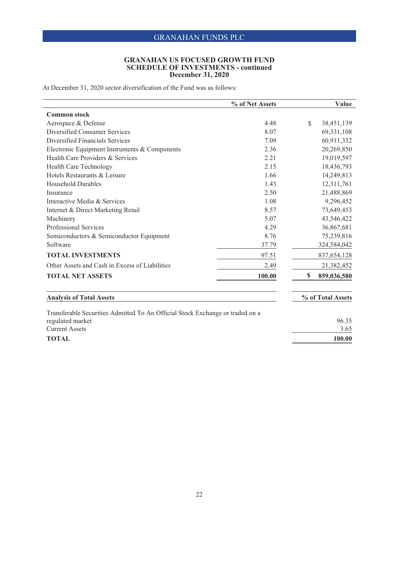#### **GRANAHAN US FOCUSED GROWTH FUND SCHEDULE OF INVESTMENTS - continued December 31, 2020**

At December 31, 2020 sector diversification of the Fund was as follows:

|                                                | % of Net Assets |               | Value             |
|------------------------------------------------|-----------------|---------------|-------------------|
| <b>Common stock</b>                            |                 |               |                   |
| Aerospace & Defense                            | 4.48            | <sup>\$</sup> | 38,451,139        |
| Diversified Consumer Services                  | 8.07            |               | 69,331,108        |
| Diversified Financials Services                | 7.09            |               | 60,911,332        |
| Electronic Equipment Instruments & Components  | 2.36            |               | 20,269,850        |
| Health Care Providers & Services               | 2.21            |               | 19,019,597        |
| <b>Health Care Technology</b>                  | 2.15            |               | 18,436,793        |
| Hotels Restaurants & Leisure                   | 1.66            |               | 14,249,813        |
| <b>Household Durables</b>                      | 1.43            |               | 12,311,761        |
| Insurance                                      | 2.50            |               | 21,488,869        |
| Interactive Media & Services                   | 1.08            |               | 9,296,452         |
| Internet & Direct Marketing Retail             | 8.57            |               | 73,649,453        |
| Machinery                                      | 5.07            |               | 43,546,422        |
| <b>Professional Services</b>                   | 4.29            |               | 36,867,681        |
| Semiconductors & Semiconductor Equipment       | 8.76            |               | 75,239,816        |
| Software                                       | 37.79           |               | 324,584,042       |
| <b>TOTAL INVESTMENTS</b>                       | 97.51           |               | 837, 654, 128     |
| Other Assets and Cash in Excess of Liabilities | 2.49            |               | 21,382,452        |
| <b>TOTAL NET ASSETS</b>                        | 100.00          | S             | 859,036,580       |
| <b>Analysis of Total Assets</b>                |                 |               | % of Total Assets |

regulated market 96.35<br>Current Assets 3.65 Current Assets **TOTAL 100.00**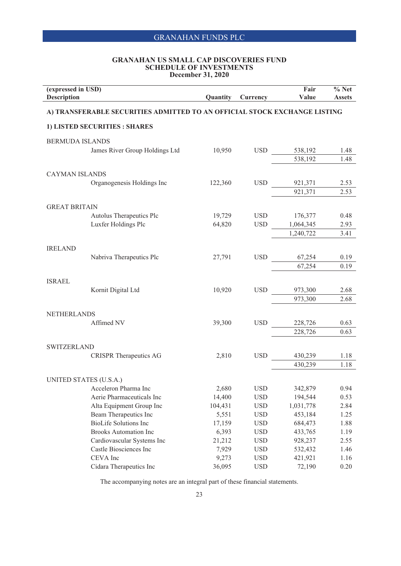#### **GRANAHAN US SMALL CAP DISCOVERIES FUND SCHEDULE OF INVESTMENTS December 31, 2020**

| (expressed in USD)<br><b>Description</b>                                  |                                                       | Quantity        | Currency                 | Fair<br>Value        | $%$ Net<br><b>Assets</b> |  |
|---------------------------------------------------------------------------|-------------------------------------------------------|-----------------|--------------------------|----------------------|--------------------------|--|
| A) TRANSFERABLE SECURITIES ADMITTED TO AN OFFICIAL STOCK EXCHANGE LISTING |                                                       |                 |                          |                      |                          |  |
|                                                                           | 1) LISTED SECURITIES : SHARES                         |                 |                          |                      |                          |  |
| <b>BERMUDA ISLANDS</b>                                                    |                                                       |                 |                          |                      |                          |  |
|                                                                           | James River Group Holdings Ltd                        | 10,950          | <b>USD</b>               | 538,192              | 1.48                     |  |
|                                                                           |                                                       |                 |                          | 538,192              | 1.48                     |  |
| <b>CAYMAN ISLANDS</b>                                                     |                                                       |                 |                          |                      |                          |  |
|                                                                           | Organogenesis Holdings Inc                            | 122,360         | <b>USD</b>               | 921,371              | 2.53                     |  |
|                                                                           |                                                       |                 |                          | 921,371              | 2.53                     |  |
|                                                                           |                                                       |                 |                          |                      |                          |  |
| <b>GREAT BRITAIN</b>                                                      |                                                       |                 |                          |                      |                          |  |
|                                                                           | Autolus Therapeutics Plc                              | 19,729          | <b>USD</b>               | 176,377              | 0.48                     |  |
|                                                                           | Luxfer Holdings Plc                                   | 64,820          | <b>USD</b>               | 1,064,345            | 2.93                     |  |
|                                                                           |                                                       |                 |                          | 1,240,722            | 3.41                     |  |
| <b>IRELAND</b>                                                            |                                                       |                 |                          |                      |                          |  |
|                                                                           | Nabriva Therapeutics Plc                              | 27,791          | <b>USD</b>               | 67,254               | 0.19                     |  |
|                                                                           |                                                       |                 |                          | 67,254               | 0.19                     |  |
|                                                                           |                                                       |                 |                          |                      |                          |  |
| <b>ISRAEL</b>                                                             |                                                       |                 |                          |                      |                          |  |
|                                                                           | Kornit Digital Ltd                                    | 10,920          | <b>USD</b>               | 973,300              | 2.68                     |  |
|                                                                           |                                                       |                 |                          | 973,300              | 2.68                     |  |
| <b>NETHERLANDS</b>                                                        |                                                       |                 |                          |                      |                          |  |
|                                                                           | Affimed NV                                            | 39,300          | <b>USD</b>               | 228,726              | 0.63                     |  |
|                                                                           |                                                       |                 |                          | 228,726              | 0.63                     |  |
|                                                                           |                                                       |                 |                          |                      |                          |  |
| <b>SWITZERLAND</b>                                                        |                                                       |                 |                          |                      |                          |  |
|                                                                           | <b>CRISPR Therapeutics AG</b>                         | 2,810           | <b>USD</b>               | 430,239              | 1.18                     |  |
|                                                                           |                                                       |                 |                          | 430,239              | 1.18                     |  |
|                                                                           |                                                       |                 |                          |                      |                          |  |
| UNITED STATES (U.S.A.)                                                    |                                                       |                 |                          |                      |                          |  |
|                                                                           | Acceleron Pharma Inc                                  | 2,680           | <b>USD</b>               | 342,879              | 0.94                     |  |
|                                                                           | Aerie Pharmaceuticals Inc                             | 14,400          | <b>USD</b>               | 194,544              | 0.53                     |  |
|                                                                           | Alta Equipment Group Inc                              | 104,431         | <b>USD</b><br><b>USD</b> | 1,031,778<br>453,184 | 2.84                     |  |
|                                                                           | Beam Therapeutics Inc<br><b>BioLife Solutions Inc</b> | 5,551<br>17,159 | <b>USD</b>               | 684,473              | 1.25<br>1.88             |  |
|                                                                           | <b>Brooks Automation Inc</b>                          | 6,393           | <b>USD</b>               | 433,765              | 1.19                     |  |
|                                                                           | Cardiovascular Systems Inc                            | 21,212          | <b>USD</b>               | 928,237              | 2.55                     |  |
|                                                                           | Castle Biosciences Inc                                | 7,929           | <b>USD</b>               | 532,432              | 1.46                     |  |
|                                                                           | CEVA Inc                                              | 9,273           | <b>USD</b>               | 421,921              | 1.16                     |  |
|                                                                           | Cidara Therapeutics Inc                               | 36,095          | <b>USD</b>               | 72,190               | 0.20                     |  |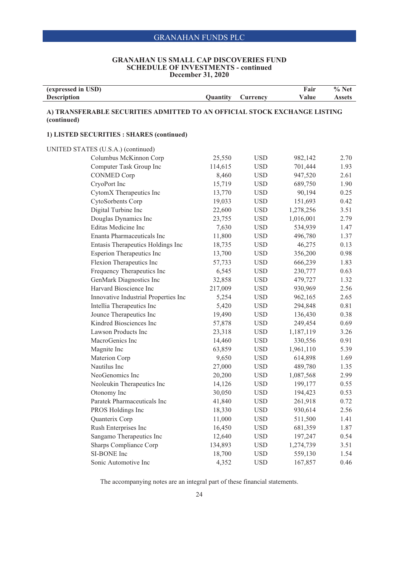#### **GRANAHAN US SMALL CAP DISCOVERIES FUND SCHEDULE OF INVESTMENTS - continued December 31, 2020**

| (expressed in USD) |                 |             | <b>Fair</b> | $\%$ Net |
|--------------------|-----------------|-------------|-------------|----------|
| <b>Description</b> | <b>Ouantity</b> | $C$ urrencv | Value       | Assets   |

#### **A) TRANSFERABLE SECURITIES ADMITTED TO AN OFFICIAL STOCK EXCHANGE LISTING (continued)**

#### **1) LISTED SECURITIES : SHARES (continued)**

 $\overline{a}$ 

| UNITED STATES (U.S.A.) (continued)   |         |            |           |      |
|--------------------------------------|---------|------------|-----------|------|
| Columbus McKinnon Corp               | 25,550  | <b>USD</b> | 982,142   | 2.70 |
| Computer Task Group Inc              | 114,615 | <b>USD</b> | 701,444   | 1.93 |
| <b>CONMED Corp</b>                   | 8,460   | <b>USD</b> | 947,520   | 2.61 |
| CryoPort Inc                         | 15,719  | <b>USD</b> | 689,750   | 1.90 |
| CytomX Therapeutics Inc              | 13,770  | <b>USD</b> | 90,194    | 0.25 |
| CytoSorbents Corp                    | 19,033  | <b>USD</b> | 151,693   | 0.42 |
| Digital Turbine Inc                  | 22,600  | <b>USD</b> | 1,278,256 | 3.51 |
| Douglas Dynamics Inc                 | 23,755  | <b>USD</b> | 1,016,001 | 2.79 |
| Editas Medicine Inc                  | 7,630   | <b>USD</b> | 534,939   | 1.47 |
| Enanta Pharmaceuticals Inc           | 11,800  | <b>USD</b> | 496,780   | 1.37 |
| Entasis Therapeutics Holdings Inc    | 18,735  | <b>USD</b> | 46,275    | 0.13 |
| <b>Esperion Therapeutics Inc</b>     | 13,700  | <b>USD</b> | 356,200   | 0.98 |
| Flexion Therapeutics Inc             | 57,733  | <b>USD</b> | 666,239   | 1.83 |
| Frequency Therapeutics Inc           | 6,545   | <b>USD</b> | 230,777   | 0.63 |
| GenMark Diagnostics Inc              | 32,858  | <b>USD</b> | 479,727   | 1.32 |
| Harvard Bioscience Inc               | 217,009 | <b>USD</b> | 930,969   | 2.56 |
| Innovative Industrial Properties Inc | 5,254   | <b>USD</b> | 962,165   | 2.65 |
| Intellia Therapeutics Inc            | 5,420   | <b>USD</b> | 294,848   | 0.81 |
| Jounce Therapeutics Inc              | 19,490  | <b>USD</b> | 136,430   | 0.38 |
| Kindred Biosciences Inc              | 57,878  | <b>USD</b> | 249,454   | 0.69 |
| Lawson Products Inc                  | 23,318  | <b>USD</b> | 1,187,119 | 3.26 |
| MacroGenics Inc                      | 14,460  | <b>USD</b> | 330,556   | 0.91 |
| Magnite Inc                          | 63,859  | <b>USD</b> | 1,961,110 | 5.39 |
| Materion Corp                        | 9,650   | <b>USD</b> | 614,898   | 1.69 |
| Nautilus Inc                         | 27,000  | <b>USD</b> | 489,780   | 1.35 |
| NeoGenomics Inc                      | 20,200  | <b>USD</b> | 1,087,568 | 2.99 |
| Neoleukin Therapeutics Inc           | 14,126  | <b>USD</b> | 199,177   | 0.55 |
| Otonomy Inc                          | 30,050  | <b>USD</b> | 194,423   | 0.53 |
| Paratek Pharmaceuticals Inc          | 41,840  | <b>USD</b> | 261,918   | 0.72 |
| PROS Holdings Inc                    | 18,330  | <b>USD</b> | 930,614   | 2.56 |
| Quanterix Corp                       | 11,000  | <b>USD</b> | 511,500   | 1.41 |
| Rush Enterprises Inc                 | 16,450  | <b>USD</b> | 681,359   | 1.87 |
| Sangamo Therapeutics Inc             | 12,640  | <b>USD</b> | 197,247   | 0.54 |
| Sharps Compliance Corp               | 134,893 | <b>USD</b> | 1,274,739 | 3.51 |
| SI-BONE Inc                          | 18,700  | <b>USD</b> | 559,130   | 1.54 |
| Sonic Automotive Inc                 | 4,352   | <b>USD</b> | 167,857   | 0.46 |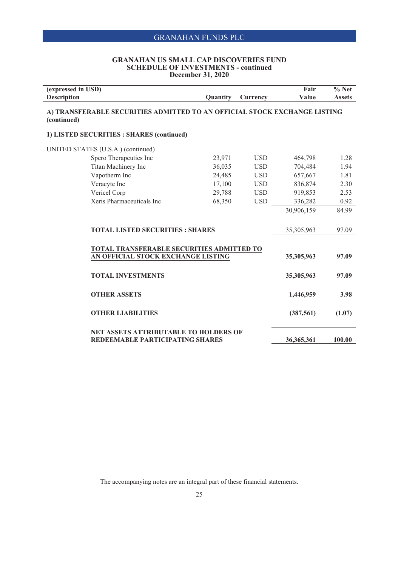#### **GRANAHAN US SMALL CAP DISCOVERIES FUND SCHEDULE OF INVESTMENTS - continued December 31, 2020**

 $\overline{\phantom{0}}$ 

| (expressed in USD)<br><b>Description</b>                                                 | Quantity | Currency   | Fair<br>Value | $%$ Net<br><b>Assets</b> |
|------------------------------------------------------------------------------------------|----------|------------|---------------|--------------------------|
| A) TRANSFERABLE SECURITIES ADMITTED TO AN OFFICIAL STOCK EXCHANGE LISTING<br>(continued) |          |            |               |                          |
| 1) LISTED SECURITIES : SHARES (continued)                                                |          |            |               |                          |
| UNITED STATES (U.S.A.) (continued)                                                       |          |            |               |                          |
| Spero Therapeutics Inc                                                                   | 23,971   | <b>USD</b> | 464,798       | 1.28                     |
| Titan Machinery Inc                                                                      | 36,035   | <b>USD</b> | 704,484       | 1.94                     |
| Vapotherm Inc                                                                            | 24,485   | <b>USD</b> | 657,667       | 1.81                     |
| Veracyte Inc                                                                             | 17,100   | <b>USD</b> | 836,874       | 2.30                     |
| Vericel Corp                                                                             | 29,788   | <b>USD</b> | 919,853       | 2.53                     |
| Xeris Pharmaceuticals Inc                                                                | 68,350   | <b>USD</b> | 336,282       | 0.92                     |
|                                                                                          |          |            | 30,906,159    | 84.99                    |
| <b>TOTAL LISTED SECURITIES: SHARES</b>                                                   |          |            | 35,305,963    | 97.09                    |
| <b>TOTAL TRANSFERABLE SECURITIES ADMITTED TO</b><br>AN OFFICIAL STOCK EXCHANGE LISTING   |          |            | 35,305,963    | 97.09                    |
| <b>TOTAL INVESTMENTS</b>                                                                 |          |            | 35,305,963    | 97.09                    |
| <b>OTHER ASSETS</b>                                                                      |          |            | 1,446,959     | 3.98                     |
| <b>OTHER LIABILITIES</b>                                                                 |          |            | (387, 561)    | (1.07)                   |
| <b>NET ASSETS ATTRIBUTABLE TO HOLDERS OF</b><br>REDEEMABLE PARTICIPATING SHARES          |          |            | 36, 365, 361  | 100.00                   |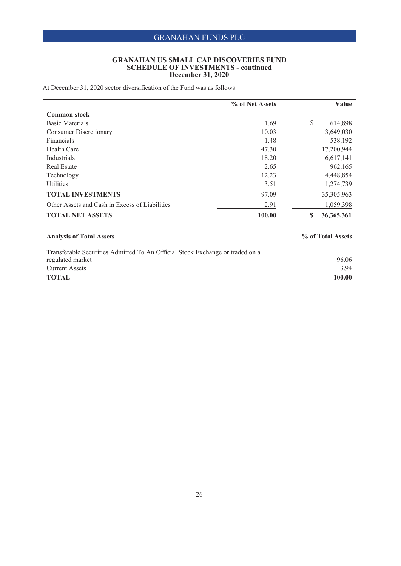#### **GRANAHAN US SMALL CAP DISCOVERIES FUND SCHEDULE OF INVESTMENTS - continued December 31, 2020**

At December 31, 2020 sector diversification of the Fund was as follows:

|                                                                               | % of Net Assets | Value              |
|-------------------------------------------------------------------------------|-----------------|--------------------|
| <b>Common stock</b>                                                           |                 |                    |
| <b>Basic Materials</b>                                                        | 1.69            | \$<br>614,898      |
| <b>Consumer Discretionary</b>                                                 | 10.03           | 3,649,030          |
| <b>Financials</b>                                                             | 1.48            | 538,192            |
| Health Care                                                                   | 47.30           | 17,200,944         |
| Industrials                                                                   | 18.20           | 6,617,141          |
| <b>Real Estate</b>                                                            | 2.65            | 962,165            |
| Technology                                                                    | 12.23           | 4,448,854          |
| Utilities                                                                     | 3.51            | 1,274,739          |
| <b>TOTAL INVESTMENTS</b>                                                      | 97.09           | 35,305,963         |
| Other Assets and Cash in Excess of Liabilities                                | 2.91            | 1,059,398          |
| <b>TOTAL NET ASSETS</b>                                                       | 100.00          | \$<br>36, 365, 361 |
| <b>Analysis of Total Assets</b>                                               |                 | % of Total Assets  |
| Transferable Securities Admitted To An Official Stock Exchange or traded on a |                 |                    |

regulated market 96.06 Current Assets 3.94 **TOTAL 100.00**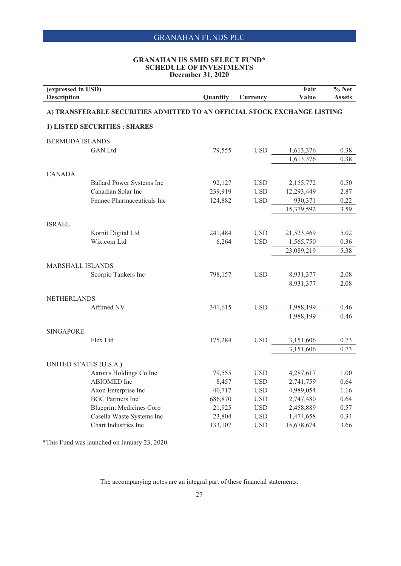#### **GRANAHAN US SMID SELECT FUND\* SCHEDULE OF INVESTMENTS December 31, 2020**

| (expressed in USD)<br><b>Description</b>                                  |                                                 | Quantity | Currency   | Fair<br>Value           | $%$ Net<br><b>Assets</b> |  |
|---------------------------------------------------------------------------|-------------------------------------------------|----------|------------|-------------------------|--------------------------|--|
| A) TRANSFERABLE SECURITIES ADMITTED TO AN OFFICIAL STOCK EXCHANGE LISTING |                                                 |          |            |                         |                          |  |
|                                                                           | 1) LISTED SECURITIES : SHARES                   |          |            |                         |                          |  |
| <b>BERMUDA ISLANDS</b>                                                    |                                                 |          |            |                         |                          |  |
|                                                                           | <b>GAN</b> Ltd                                  | 79,555   | <b>USD</b> | 1,613,376               | 0.38                     |  |
|                                                                           |                                                 |          |            | 1,613,376               | 0.38                     |  |
|                                                                           |                                                 |          |            |                         |                          |  |
| <b>CANADA</b>                                                             |                                                 | 92,127   | <b>USD</b> |                         |                          |  |
|                                                                           | Ballard Power Systems Inc<br>Canadian Solar Inc | 239,919  | <b>USD</b> | 2,155,772<br>12,293,449 | 0.50<br>2.87             |  |
|                                                                           | Fennec Pharmaceuticals Inc                      | 124,882  | <b>USD</b> | 930,371                 | 0.22                     |  |
|                                                                           |                                                 |          |            | 15,379,592              | 3.59                     |  |
|                                                                           |                                                 |          |            |                         |                          |  |
| <b>ISRAEL</b>                                                             |                                                 |          |            |                         |                          |  |
|                                                                           | Kornit Digital Ltd                              | 241,484  | <b>USD</b> | 21,523,469              | 5.02                     |  |
|                                                                           | Wix.com Ltd                                     | 6,264    | <b>USD</b> | 1,565,750               | 0.36                     |  |
|                                                                           |                                                 |          |            | 23,089,219              | 5.38                     |  |
| <b>MARSHALL ISLANDS</b>                                                   |                                                 |          |            |                         |                          |  |
|                                                                           | Scorpio Tankers Inc                             | 798,157  | <b>USD</b> | 8,931,377               | 2.08                     |  |
|                                                                           |                                                 |          |            | 8,931,377               | 2.08                     |  |
|                                                                           |                                                 |          |            |                         |                          |  |
| <b>NETHERLANDS</b>                                                        |                                                 |          |            |                         |                          |  |
|                                                                           | Affimed NV                                      | 341,615  | <b>USD</b> | 1,988,199               | 0.46                     |  |
|                                                                           |                                                 |          |            | 1,988,199               | 0.46                     |  |
|                                                                           |                                                 |          |            |                         |                          |  |
| <b>SINGAPORE</b>                                                          | Flex Ltd                                        |          | <b>USD</b> |                         |                          |  |
|                                                                           |                                                 | 175,284  |            | 3,151,606<br>3,151,606  | 0.73<br>0.73             |  |
|                                                                           |                                                 |          |            |                         |                          |  |
|                                                                           | UNITED STATES (U.S.A.)                          |          |            |                         |                          |  |
|                                                                           | Aaron's Holdings Co Inc                         | 79,555   | <b>USD</b> | 4,287,617               | 1.00                     |  |
|                                                                           | ABIOMED Inc                                     | 8,457    | <b>USD</b> | 2,741,759               | 0.64                     |  |
|                                                                           | Axon Enterprise Inc                             | 40,717   | <b>USD</b> | 4,989,054               | 1.16                     |  |
|                                                                           | <b>BGC Partners Inc</b>                         | 686,870  | <b>USD</b> | 2,747,480               | 0.64                     |  |
|                                                                           | <b>Blueprint Medicines Corp</b>                 | 21,925   | <b>USD</b> | 2,458,889               | 0.57                     |  |
|                                                                           | Casella Waste Systems Inc                       | 23,804   | <b>USD</b> | 1,474,658               | 0.34                     |  |
|                                                                           | Chart Industries Inc                            | 133,107  | <b>USD</b> | 15,678,674              | 3.66                     |  |

\*This Fund was launched on January 23, 2020.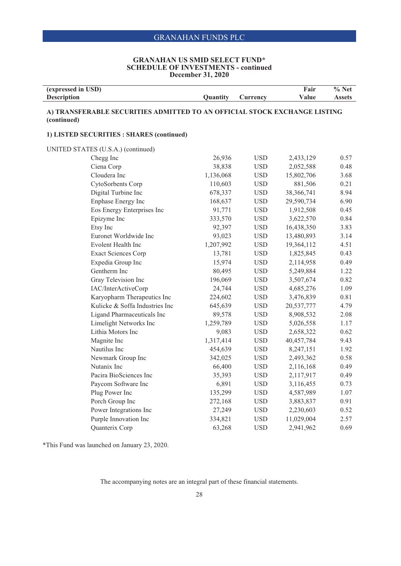#### **GRANAHAN US SMID SELECT FUND\* SCHEDULE OF INVESTMENTS - continued December 31, 2020**

| (expressed in USD)<br><b>Description</b>                                                 | Quantity  |              | Fair<br>Value | $%$ Net<br><b>Assets</b> |  |  |
|------------------------------------------------------------------------------------------|-----------|--------------|---------------|--------------------------|--|--|
|                                                                                          |           | Currency     |               |                          |  |  |
| A) TRANSFERABLE SECURITIES ADMITTED TO AN OFFICIAL STOCK EXCHANGE LISTING<br>(continued) |           |              |               |                          |  |  |
| 1) LISTED SECURITIES : SHARES (continued)                                                |           |              |               |                          |  |  |
| UNITED STATES (U.S.A.) (continued)                                                       |           |              |               |                          |  |  |
| Chegg Inc                                                                                | 26,936    | $_{\rm USD}$ | 2,433,129     | 0.57                     |  |  |
| Ciena Corp                                                                               | 38,838    | <b>USD</b>   | 2,052,588     | 0.48                     |  |  |
| Cloudera Inc                                                                             | 1,136,068 | <b>USD</b>   | 15,802,706    | 3.68                     |  |  |
| CytoSorbents Corp                                                                        | 110,603   | <b>USD</b>   | 881,506       | 0.21                     |  |  |
| Digital Turbine Inc                                                                      | 678,337   | <b>USD</b>   | 38,366,741    | 8.94                     |  |  |
| Enphase Energy Inc                                                                       | 168,637   | <b>USD</b>   | 29,590,734    | 6.90                     |  |  |
| Eos Energy Enterprises Inc                                                               | 91,771    | <b>USD</b>   | 1,912,508     | 0.45                     |  |  |
| Epizyme Inc                                                                              | 333,570   | <b>USD</b>   | 3,622,570     | 0.84                     |  |  |
| Etsy Inc                                                                                 | 92,397    | <b>USD</b>   | 16,438,350    | 3.83                     |  |  |
| Euronet Worldwide Inc                                                                    | 93,023    | <b>USD</b>   | 13,480,893    | 3.14                     |  |  |
| Evolent Health Inc                                                                       | 1,207,992 | <b>USD</b>   | 19,364,112    | 4.51                     |  |  |
| <b>Exact Sciences Corp</b>                                                               | 13,781    | <b>USD</b>   | 1,825,845     | 0.43                     |  |  |
| Expedia Group Inc                                                                        | 15,974    | <b>USD</b>   | 2,114,958     | 0.49                     |  |  |
| Gentherm Inc                                                                             | 80,495    | <b>USD</b>   | 5,249,884     | 1.22                     |  |  |
| Gray Television Inc                                                                      | 196,069   | <b>USD</b>   | 3,507,674     | 0.82                     |  |  |
| IAC/InterActiveCorp                                                                      | 24,744    | <b>USD</b>   | 4,685,276     | 1.09                     |  |  |
| Karyopharm Therapeutics Inc                                                              | 224,602   | $_{\rm USD}$ | 3,476,839     | 0.81                     |  |  |
| Kulicke & Soffa Industries Inc                                                           | 645,639   | <b>USD</b>   | 20,537,777    | 4.79                     |  |  |
| Ligand Pharmaceuticals Inc                                                               | 89,578    | <b>USD</b>   | 8,908,532     | 2.08                     |  |  |
| Limelight Networks Inc                                                                   | 1,259,789 | <b>USD</b>   | 5,026,558     | 1.17                     |  |  |
| Lithia Motors Inc                                                                        | 9,083     | <b>USD</b>   | 2,658,322     | 0.62                     |  |  |
| Magnite Inc                                                                              | 1,317,414 | <b>USD</b>   | 40,457,784    | 9.43                     |  |  |
| Nautilus Inc                                                                             | 454,639   | <b>USD</b>   | 8,247,151     | 1.92                     |  |  |
| Newmark Group Inc                                                                        | 342,025   | <b>USD</b>   | 2,493,362     | 0.58                     |  |  |
| Nutanix Inc                                                                              | 66,400    | <b>USD</b>   | 2,116,168     | 0.49                     |  |  |
| Pacira BioSciences Inc                                                                   | 35,393    | <b>USD</b>   | 2,117,917     | 0.49                     |  |  |
| Paycom Software Inc                                                                      | 6,891     | <b>USD</b>   | 3,116,455     | 0.73                     |  |  |
| Plug Power Inc                                                                           | 135,299   | <b>USD</b>   | 4,587,989     | 1.07                     |  |  |
| Porch Group Inc                                                                          | 272,168   | <b>USD</b>   | 3,883,837     | 0.91                     |  |  |
| Power Integrations Inc                                                                   | 27,249    | <b>USD</b>   | 2,230,603     | 0.52                     |  |  |
| Purple Innovation Inc                                                                    | 334,821   | <b>USD</b>   | 11,029,004    | 2.57                     |  |  |
| Quanterix Corp                                                                           | 63,268    | <b>USD</b>   | 2,941,962     | 0.69                     |  |  |

\*This Fund was launched on January 23, 2020.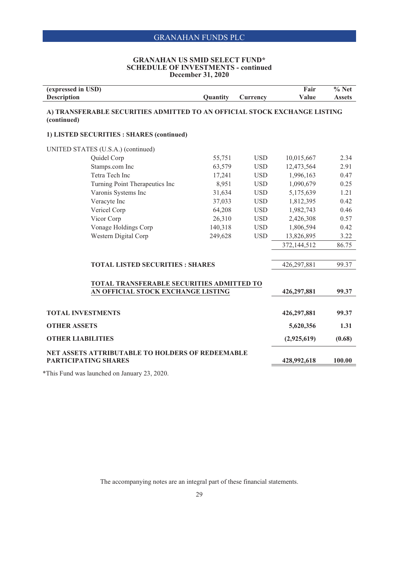#### **GRANAHAN US SMID SELECT FUND\* SCHEDULE OF INVESTMENTS - continued December 31, 2020**

| (expressed in USD)<br><b>Description</b>                                                 | Quantity | Currency   | Fair<br>Value | $%$ Net<br><b>Assets</b> |
|------------------------------------------------------------------------------------------|----------|------------|---------------|--------------------------|
| A) TRANSFERABLE SECURITIES ADMITTED TO AN OFFICIAL STOCK EXCHANGE LISTING<br>(continued) |          |            |               |                          |
| 1) LISTED SECURITIES : SHARES (continued)                                                |          |            |               |                          |
| UNITED STATES (U.S.A.) (continued)                                                       |          |            |               |                          |
| Quidel Corp                                                                              | 55,751   | <b>USD</b> | 10,015,667    | 2.34                     |
| Stamps.com Inc                                                                           | 63,579   | <b>USD</b> | 12,473,564    | 2.91                     |
| Tetra Tech Inc                                                                           | 17,241   | <b>USD</b> | 1,996,163     | 0.47                     |
| Turning Point Therapeutics Inc                                                           | 8,951    | <b>USD</b> | 1,090,679     | 0.25                     |
| Varonis Systems Inc                                                                      | 31,634   | <b>USD</b> | 5,175,639     | 1.21                     |
| Veracyte Inc                                                                             | 37,033   | <b>USD</b> | 1,812,395     | 0.42                     |
| Vericel Corp                                                                             | 64,208   | <b>USD</b> | 1,982,743     | 0.46                     |
| Vicor Corp                                                                               | 26,310   | <b>USD</b> | 2,426,308     | 0.57                     |
| Vonage Holdings Corp                                                                     | 140,318  | <b>USD</b> | 1,806,594     | 0.42                     |
| Western Digital Corp                                                                     | 249,628  | <b>USD</b> | 13,826,895    | 3.22                     |
|                                                                                          |          |            | 372,144,512   | 86.75                    |
|                                                                                          |          |            |               |                          |
| <b>TOTAL LISTED SECURITIES : SHARES</b>                                                  |          |            | 426,297,881   | 99.37                    |
|                                                                                          |          |            |               |                          |
| TOTAL TRANSFERABLE SECURITIES ADMITTED TO                                                |          |            |               |                          |
| AN OFFICIAL STOCK EXCHANGE LISTING                                                       |          |            | 426,297,881   | 99.37                    |
| <b>TOTAL INVESTMENTS</b>                                                                 |          |            | 426,297,881   | 99.37                    |
| <b>OTHER ASSETS</b>                                                                      |          |            | 5,620,356     | 1.31                     |
| <b>OTHER LIABILITIES</b>                                                                 |          |            | (2,925,619)   | (0.68)                   |
| NET ASSETS ATTRIBUTABLE TO HOLDERS OF REDEEMABLE<br><b>PARTICIPATING SHARES</b>          |          |            | 428,992,618   | 100.00                   |
| $*$ This Frontians located at Long and 22, 2020                                          |          |            |               |                          |

\*This Fund was launched on January 23, 2020.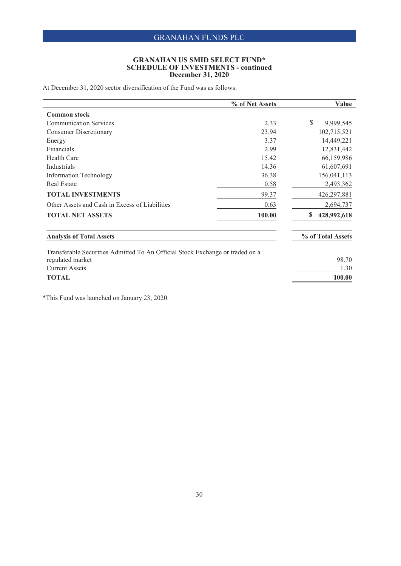#### **GRANAHAN US SMID SELECT FUND\* SCHEDULE OF INVESTMENTS - continued December 31, 2020**

At December 31, 2020 sector diversification of the Fund was as follows:

|                                                                               | % of Net Assets | Value                     |
|-------------------------------------------------------------------------------|-----------------|---------------------------|
| <b>Common stock</b>                                                           |                 |                           |
| <b>Communication Services</b>                                                 | 2.33            | $\mathbb{S}$<br>9,999,545 |
| <b>Consumer Discretionary</b>                                                 | 23.94           | 102,715,521               |
| Energy                                                                        | 3.37            | 14,449,221                |
| Financials                                                                    | 2.99            | 12,831,442                |
| Health Care                                                                   | 15.42           | 66,159,986                |
| Industrials                                                                   | 14.36           | 61,607,691                |
| <b>Information Technology</b>                                                 | 36.38           | 156,041,113               |
| <b>Real Estate</b>                                                            | 0.58            | 2,493,362                 |
| <b>TOTAL INVESTMENTS</b>                                                      | 99.37           | 426,297,881               |
| Other Assets and Cash in Excess of Liabilities                                | 0.63            | 2,694,737                 |
| <b>TOTAL NET ASSETS</b>                                                       | 100.00          | 428,992,618<br>\$         |
| <b>Analysis of Total Assets</b>                                               |                 | % of Total Assets         |
| Transferable Securities Admitted To An Official Stock Exchange or traded on a |                 |                           |
| regulated market                                                              |                 | 98.70                     |
| <b>Current Assets</b>                                                         |                 | 1.30                      |
| <b>TOTAL</b>                                                                  |                 | 100.00                    |

\*This Fund was launched on January 23, 2020.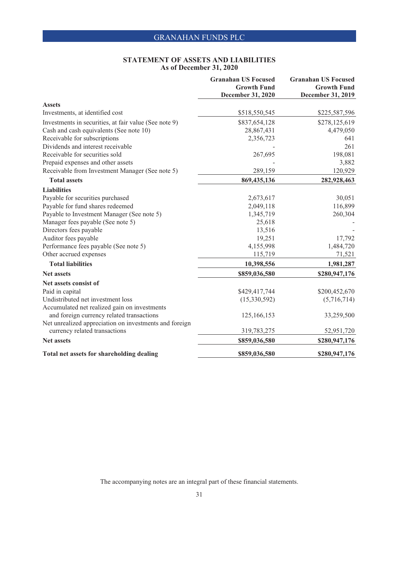#### **STATEMENT OF ASSETS AND LIABILITIES As of December 31, 2020**

|                                                        | <b>Granahan US Focused</b><br><b>Growth Fund</b><br>December 31, 2020 | <b>Granahan US Focused</b><br><b>Growth Fund</b><br>December 31, 2019 |
|--------------------------------------------------------|-----------------------------------------------------------------------|-----------------------------------------------------------------------|
| <b>Assets</b>                                          |                                                                       |                                                                       |
| Investments, at identified cost                        | \$518,550,545                                                         | \$225,587,596                                                         |
| Investments in securities, at fair value (See note 9)  | \$837,654,128                                                         | \$278,125,619                                                         |
| Cash and cash equivalents (See note 10)                | 28,867,431                                                            | 4,479,050                                                             |
| Receivable for subscriptions                           | 2,356,723                                                             | 641                                                                   |
| Dividends and interest receivable                      |                                                                       | 261                                                                   |
| Receivable for securities sold                         | 267,695                                                               | 198,081                                                               |
| Prepaid expenses and other assets                      |                                                                       | 3,882                                                                 |
| Receivable from Investment Manager (See note 5)        | 289,159                                                               | 120,929                                                               |
| <b>Total assets</b>                                    | 869,435,136                                                           | 282,928,463                                                           |
| <b>Liabilities</b>                                     |                                                                       |                                                                       |
| Payable for securities purchased                       | 2,673,617                                                             | 30,051                                                                |
| Payable for fund shares redeemed                       | 2,049,118                                                             | 116,899                                                               |
| Payable to Investment Manager (See note 5)             | 1,345,719                                                             | 260,304                                                               |
| Manager fees payable (See note 5)                      | 25,618                                                                |                                                                       |
| Directors fees payable                                 | 13,516                                                                |                                                                       |
| Auditor fees payable                                   | 19,251                                                                | 17,792                                                                |
| Performance fees payable (See note 5)                  | 4,155,998                                                             | 1,484,720                                                             |
| Other accrued expenses                                 | 115,719                                                               | 71,521                                                                |
| <b>Total liabilities</b>                               | 10,398,556                                                            | 1,981,287                                                             |
| <b>Net assets</b>                                      | \$859,036,580                                                         | \$280,947,176                                                         |
| Net assets consist of                                  |                                                                       |                                                                       |
| Paid in capital                                        | \$429,417,744                                                         | \$200,452,670                                                         |
| Undistributed net investment loss                      | (15,330,592)                                                          | (5,716,714)                                                           |
| Accumulated net realized gain on investments           |                                                                       |                                                                       |
| and foreign currency related transactions              | 125,166,153                                                           | 33,259,500                                                            |
| Net unrealized appreciation on investments and foreign |                                                                       |                                                                       |
| currency related transactions                          | 319,783,275                                                           | 52,951,720                                                            |
| <b>Net assets</b>                                      | \$859,036,580                                                         | \$280,947,176                                                         |
| Total net assets for shareholding dealing              | \$859,036,580                                                         | \$280,947,176                                                         |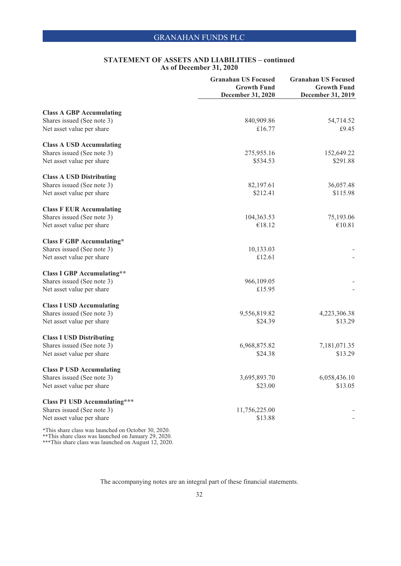|                                                     | <b>Granahan US Focused</b><br><b>Growth Fund</b> | <b>Granahan US Focused</b><br><b>Growth Fund</b> |
|-----------------------------------------------------|--------------------------------------------------|--------------------------------------------------|
|                                                     | December 31, 2020                                | December 31, 2019                                |
| <b>Class A GBP Accumulating</b>                     |                                                  |                                                  |
| Shares issued (See note 3)                          | 840,909.86                                       | 54,714.52                                        |
| Net asset value per share                           | £16.77                                           | £9.45                                            |
| <b>Class A USD Accumulating</b>                     |                                                  |                                                  |
| Shares issued (See note 3)                          | 275,955.16                                       | 152,649.22                                       |
| Net asset value per share                           | \$534.53                                         | \$291.88                                         |
| <b>Class A USD Distributing</b>                     |                                                  |                                                  |
| Shares issued (See note 3)                          | 82,197.61                                        | 36,057.48                                        |
| Net asset value per share                           | \$212.41                                         | \$115.98                                         |
| <b>Class F EUR Accumulating</b>                     |                                                  |                                                  |
| Shares issued (See note 3)                          | 104,363.53                                       | 75,193.06                                        |
| Net asset value per share                           | €18.12                                           | €10.81                                           |
| <b>Class F GBP Accumulating*</b>                    |                                                  |                                                  |
| Shares issued (See note 3)                          | 10,133.03                                        |                                                  |
| Net asset value per share                           | £12.61                                           |                                                  |
| <b>Class I GBP Accumulating**</b>                   |                                                  |                                                  |
| Shares issued (See note 3)                          | 966,109.05                                       |                                                  |
| Net asset value per share                           | £15.95                                           |                                                  |
| <b>Class I USD Accumulating</b>                     |                                                  |                                                  |
| Shares issued (See note 3)                          | 9,556,819.82                                     | 4,223,306.38                                     |
| Net asset value per share                           | \$24.39                                          | \$13.29                                          |
| <b>Class I USD Distributing</b>                     |                                                  |                                                  |
| Shares issued (See note 3)                          | 6,968,875.82                                     | 7,181,071.35                                     |
| Net asset value per share                           | \$24.38                                          | \$13.29                                          |
| <b>Class P USD Accumulating</b>                     |                                                  |                                                  |
| Shares issued (See note 3)                          | 3,695,893.70                                     | 6,058,436.10                                     |
| Net asset value per share                           | \$23.00                                          | \$13.05                                          |
| <b>Class P1 USD Accumulating***</b>                 |                                                  |                                                  |
| Shares issued (See note 3)                          | 11,756,225.00                                    |                                                  |
| Net asset value per share                           | \$13.88                                          |                                                  |
| *This share class was launched on October 30, 2020. |                                                  |                                                  |

\*\*This share class was launched on January 29, 2020.

\*\*\*This share class was launched on August 12, 2020.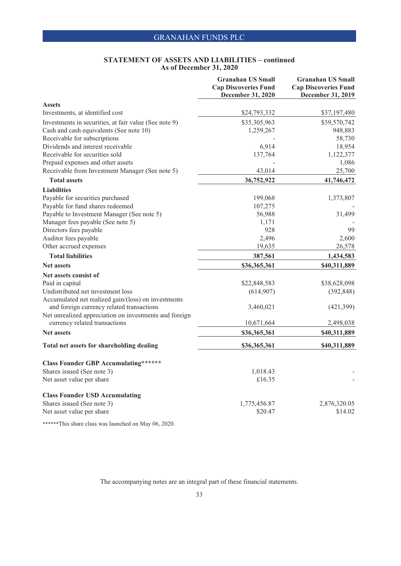|                                                        | <b>Granahan US Small</b><br><b>Cap Discoveries Fund</b><br><b>December 31, 2020</b> | <b>Granahan US Small</b><br><b>Cap Discoveries Fund</b><br>December 31, 2019 |
|--------------------------------------------------------|-------------------------------------------------------------------------------------|------------------------------------------------------------------------------|
| <b>Assets</b>                                          |                                                                                     |                                                                              |
| Investments, at identified cost                        | \$24,793,332                                                                        | \$37,197,480                                                                 |
| Investments in securities, at fair value (See note 9)  | \$35,305,963                                                                        | \$39,570,742                                                                 |
| Cash and cash equivalents (See note 10)                | 1,259,267                                                                           | 948,883                                                                      |
| Receivable for subscriptions                           |                                                                                     | 58,730                                                                       |
| Dividends and interest receivable                      | 6,914                                                                               | 18,954                                                                       |
| Receivable for securities sold                         | 137,764                                                                             | 1,122,377                                                                    |
| Prepaid expenses and other assets                      |                                                                                     | 1,086                                                                        |
| Receivable from Investment Manager (See note 5)        | 43,014                                                                              | 25,700                                                                       |
| <b>Total assets</b>                                    | 36,752,922                                                                          | 41,746,472                                                                   |
| <b>Liabilities</b>                                     |                                                                                     |                                                                              |
| Payable for securities purchased                       | 199,068                                                                             | 1,373,807                                                                    |
| Payable for fund shares redeemed                       | 107,275                                                                             |                                                                              |
| Payable to Investment Manager (See note 5)             | 56,988                                                                              | 31,499                                                                       |
| Manager fees payable (See note 5)                      | 1,171                                                                               |                                                                              |
| Directors fees payable                                 | 928                                                                                 | 99                                                                           |
| Auditor fees payable                                   | 2,496                                                                               | 2,600                                                                        |
| Other accrued expenses                                 | 19,635                                                                              | 26,578                                                                       |
| <b>Total liabilities</b>                               | 387,561                                                                             | 1,434,583                                                                    |
| <b>Net assets</b>                                      | \$36,365,361                                                                        | \$40,311,889                                                                 |
| Net assets consist of                                  |                                                                                     |                                                                              |
| Paid in capital                                        | \$22,848,583                                                                        | \$38,628,098                                                                 |
| Undistributed net investment loss                      | (614,907)                                                                           | (392, 848)                                                                   |
| Accumulated net realized gain/(loss) on investments    |                                                                                     |                                                                              |
| and foreign currency related transactions              | 3,460,021                                                                           | (421, 399)                                                                   |
| Net unrealized appreciation on investments and foreign |                                                                                     |                                                                              |
| currency related transactions                          | 10,671,664                                                                          | 2,498,038                                                                    |
| <b>Net assets</b>                                      | \$36,365,361                                                                        | \$40,311,889                                                                 |
| Total net assets for shareholding dealing              | \$36,365,361                                                                        | \$40,311,889                                                                 |
| <b>Class Founder GBP Accumulating******</b>            |                                                                                     |                                                                              |
| Shares issued (See note 3)                             | 1,018.43                                                                            |                                                                              |
| Net asset value per share                              | £16.35                                                                              |                                                                              |
| <b>Class Founder USD Accumulating</b>                  |                                                                                     |                                                                              |
| Shares issued (See note 3)                             | 1,775,456.87                                                                        | 2,876,320.05                                                                 |
| Net asset value per share                              | \$20.47                                                                             | \$14.02                                                                      |
|                                                        |                                                                                     |                                                                              |

\*\*\*\*\*\*This share class was launched on May 06, 2020.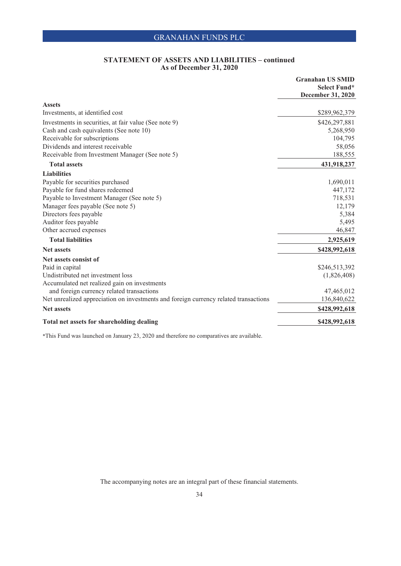|                                                                                      | <b>Granahan US SMID</b>           |
|--------------------------------------------------------------------------------------|-----------------------------------|
|                                                                                      | Select Fund*<br>December 31, 2020 |
| <b>Assets</b>                                                                        |                                   |
| Investments, at identified cost                                                      | \$289,962,379                     |
| Investments in securities, at fair value (See note 9)                                | \$426,297,881                     |
| Cash and cash equivalents (See note 10)                                              | 5,268,950                         |
| Receivable for subscriptions                                                         | 104,795                           |
| Dividends and interest receivable                                                    | 58,056                            |
| Receivable from Investment Manager (See note 5)                                      | 188,555                           |
| <b>Total assets</b>                                                                  | 431,918,237                       |
| <b>Liabilities</b>                                                                   |                                   |
| Payable for securities purchased                                                     | 1,690,011                         |
| Payable for fund shares redeemed                                                     | 447,172                           |
| Payable to Investment Manager (See note 5)                                           | 718,531                           |
| Manager fees payable (See note 5)                                                    | 12,179                            |
| Directors fees payable                                                               | 5,384                             |
| Auditor fees payable                                                                 | 5,495                             |
| Other accrued expenses                                                               | 46,847                            |
| <b>Total liabilities</b>                                                             | 2,925,619                         |
| <b>Net assets</b>                                                                    | \$428,992,618                     |
| Net assets consist of                                                                |                                   |
| Paid in capital                                                                      | \$246,513,392                     |
| Undistributed net investment loss                                                    | (1,826,408)                       |
| Accumulated net realized gain on investments                                         |                                   |
| and foreign currency related transactions                                            | 47,465,012                        |
| Net unrealized appreciation on investments and foreign currency related transactions | 136,840,622                       |
| <b>Net assets</b>                                                                    | \$428,992,618                     |
| Total net assets for shareholding dealing                                            | \$428,992,618                     |

\*This Fund was launched on January 23, 2020 and therefore no comparatives are available.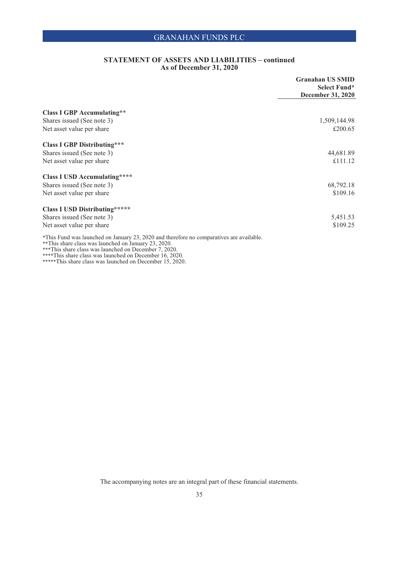|                                                                                                                                                                                                           | <b>Granahan US SMID</b><br>Select Fund* |
|-----------------------------------------------------------------------------------------------------------------------------------------------------------------------------------------------------------|-----------------------------------------|
|                                                                                                                                                                                                           | December 31, 2020                       |
|                                                                                                                                                                                                           |                                         |
| <b>Class I GBP Accumulating**</b>                                                                                                                                                                         |                                         |
| Shares issued (See note 3)                                                                                                                                                                                | 1,509,144.98                            |
| Net asset value per share                                                                                                                                                                                 | £200.65                                 |
| <b>Class I GBP Distributing***</b>                                                                                                                                                                        |                                         |
| Shares issued (See note 3)                                                                                                                                                                                | 44,681.89                               |
| Net asset value per share                                                                                                                                                                                 | £111.12                                 |
|                                                                                                                                                                                                           |                                         |
| <b>Class I USD Accumulating****</b>                                                                                                                                                                       |                                         |
| Shares issued (See note 3)                                                                                                                                                                                | 68,792.18                               |
| Net asset value per share                                                                                                                                                                                 | \$109.16                                |
| <b>Class I USD Distributing*****</b>                                                                                                                                                                      |                                         |
| Shares issued (See note 3)                                                                                                                                                                                | 5,451.53                                |
|                                                                                                                                                                                                           | \$109.25                                |
| Net asset value per share                                                                                                                                                                                 |                                         |
| *This Fund was launched on January 23, 2020 and therefore no comparatives are available.<br>**This share class was launched on January 23, 2020.<br>***This share class was launched on December 7, 2020. |                                         |

\*\*\*\*This share class was launched on December 16, 2020. \*\*\*\*\*This share class was launched on December 15, 2020.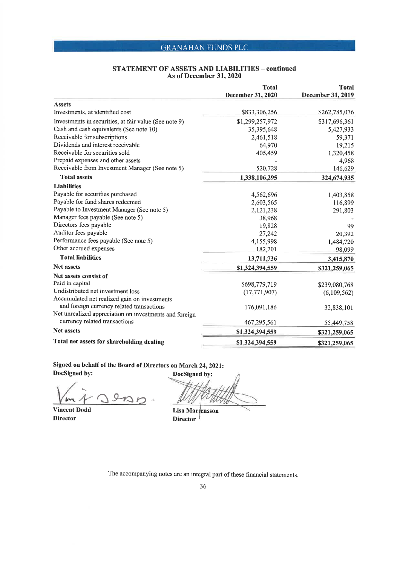# **STATEMENT OF ASSETS AND LIABILITIES – continued<br>As of December 31, 2020**

|                                                        | <b>Total</b><br><b>December 31, 2020</b> | <b>Total</b><br>December 31, 2019 |
|--------------------------------------------------------|------------------------------------------|-----------------------------------|
| <b>Assets</b>                                          |                                          |                                   |
| Investments, at identified cost                        | \$833,306,256                            | \$262,785,076                     |
| Investments in securities, at fair value (See note 9)  | \$1,299,257,972                          | \$317,696,361                     |
| Cash and cash equivalents (See note 10)                | 35,395,648                               | 5,427,933                         |
| Receivable for subscriptions                           | 2,461,518                                | 59,371                            |
| Dividends and interest receivable                      | 64,970                                   | 19,215                            |
| Receivable for securities sold                         | 405,459                                  | 1,320,458                         |
| Prepaid expenses and other assets                      |                                          | 4,968                             |
| Receivable from Investment Manager (See note 5)        | 520,728                                  | 146,629                           |
| <b>Total assets</b>                                    | 1,338,106,295                            | 324,674,935                       |
| <b>Liabilities</b>                                     |                                          |                                   |
| Payable for securities purchased                       | 4,562,696                                | 1,403,858                         |
| Payable for fund shares redeemed                       | 2,603,565                                | 116,899                           |
| Payable to Investment Manager (See note 5)             | 2,121,238                                | 291,803                           |
| Manager fees payable (See note 5)                      | 38,968                                   |                                   |
| Directors fees payable                                 | 19,828                                   | 99                                |
| Auditor fees payable                                   | 27,242                                   | 20,392                            |
| Performance fees payable (See note 5)                  | 4,155,998                                | 1,484,720                         |
| Other accrued expenses                                 | 182,201                                  | 98,099                            |
| <b>Total liabilities</b>                               | 13,711,736                               | 3,415,870                         |
| <b>Net assets</b>                                      | \$1,324,394,559                          | \$321,259,065                     |
| Net assets consist of                                  |                                          |                                   |
| Paid in capital                                        | \$698,779,719                            | \$239,080,768                     |
| Undistributed net investment loss                      | (17, 771, 907)                           | (6,109,562)                       |
| Accumulated net realized gain on investments           |                                          |                                   |
| and foreign currency related transactions              | 176,091,186                              | 32,838,101                        |
| Net unrealized appreciation on investments and foreign |                                          |                                   |
| currency related transactions                          | 467,295,561                              | 55,449,758                        |
| <b>Net assets</b>                                      | \$1,324,394,559                          | \$321,259,065                     |
| Total net assets for shareholding dealing              | \$1,324,394,559                          | \$321,259,065                     |

Signed on behalf of the Board of Directors on March 24, 2021: DocSigned by:

**Louis** 

**Vincent Dodd Director** 

DocSigned by:

Lisa Martensson **Director**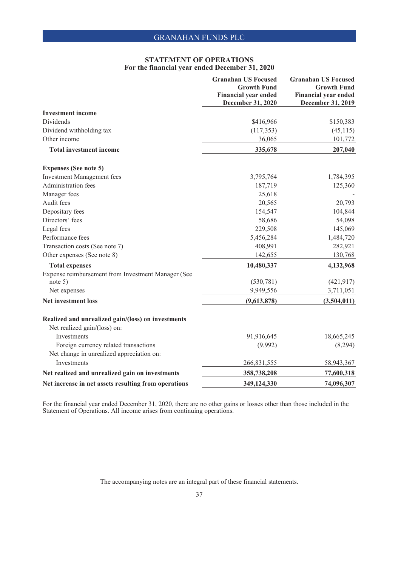#### **STATEMENT OF OPERATIONS For the financial year ended December 31, 2020**

|                                                      | <b>Granahan US Focused</b><br><b>Growth Fund</b><br><b>Financial year ended</b><br>December 31, 2020 | <b>Granahan US Focused</b><br><b>Growth Fund</b><br><b>Financial year ended</b><br>December 31, 2019 |
|------------------------------------------------------|------------------------------------------------------------------------------------------------------|------------------------------------------------------------------------------------------------------|
| <b>Investment income</b>                             |                                                                                                      |                                                                                                      |
| Dividends                                            | \$416,966                                                                                            | \$150,383                                                                                            |
| Dividend withholding tax                             | (117, 353)                                                                                           | (45, 115)                                                                                            |
| Other income                                         | 36,065                                                                                               | 101,772                                                                                              |
| <b>Total investment income</b>                       | 335,678                                                                                              | 207,040                                                                                              |
| <b>Expenses (See note 5)</b>                         |                                                                                                      |                                                                                                      |
| <b>Investment Management fees</b>                    | 3,795,764                                                                                            | 1,784,395                                                                                            |
| Administration fees                                  | 187,719                                                                                              | 125,360                                                                                              |
| Manager fees                                         | 25,618                                                                                               |                                                                                                      |
| Audit fees                                           | 20,565                                                                                               | 20,793                                                                                               |
| Depositary fees                                      | 154,547                                                                                              | 104,844                                                                                              |
| Directors' fees                                      | 58,686                                                                                               | 54,098                                                                                               |
| Legal fees                                           | 229,508                                                                                              | 145,069                                                                                              |
| Performance fees                                     | 5,456,284                                                                                            | 1,484,720                                                                                            |
| Transaction costs (See note 7)                       | 408,991                                                                                              | 282,921                                                                                              |
| Other expenses (See note 8)                          | 142,655                                                                                              | 130,768                                                                                              |
| <b>Total expenses</b>                                | 10,480,337                                                                                           | 4,132,968                                                                                            |
| Expense reimbursement from Investment Manager (See   |                                                                                                      |                                                                                                      |
| note $5)$                                            | (530, 781)                                                                                           | (421, 917)                                                                                           |
| Net expenses                                         | 9,949,556                                                                                            | 3,711,051                                                                                            |
| <b>Net investment loss</b>                           | (9,613,878)                                                                                          | (3,504,011)                                                                                          |
| Realized and unrealized gain/(loss) on investments   |                                                                                                      |                                                                                                      |
| Net realized gain/(loss) on:                         |                                                                                                      |                                                                                                      |
| Investments                                          | 91,916,645                                                                                           | 18,665,245                                                                                           |
| Foreign currency related transactions                | (9,992)                                                                                              | (8,294)                                                                                              |
| Net change in unrealized appreciation on:            |                                                                                                      |                                                                                                      |
| Investments                                          | 266,831,555                                                                                          | 58,943,367                                                                                           |
| Net realized and unrealized gain on investments      | 358,738,208                                                                                          | 77,600,318                                                                                           |
| Net increase in net assets resulting from operations | 349,124,330                                                                                          | 74,096,307                                                                                           |

For the financial year ended December 31, 2020, there are no other gains or losses other than those included in the Statement of Operations. All income arises from continuing operations.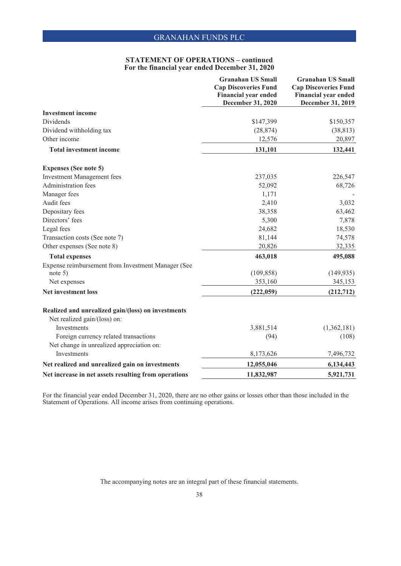### **STATEMENT OF OPERATIONS – continued For the financial year ended December 31, 2020**

|                                                                                    | <b>Granahan US Small</b><br><b>Cap Discoveries Fund</b> | <b>Granahan US Small</b><br><b>Cap Discoveries Fund</b> |
|------------------------------------------------------------------------------------|---------------------------------------------------------|---------------------------------------------------------|
|                                                                                    | <b>Financial year ended</b><br>December 31, 2020        | <b>Financial year ended</b><br>December 31, 2019        |
| <b>Investment income</b>                                                           |                                                         |                                                         |
| Dividends                                                                          | \$147,399                                               | \$150,357                                               |
| Dividend withholding tax                                                           | (28, 874)                                               | (38, 813)                                               |
| Other income                                                                       | 12,576                                                  | 20,897                                                  |
| <b>Total investment income</b>                                                     | 131,101                                                 | 132,441                                                 |
| <b>Expenses (See note 5)</b>                                                       |                                                         |                                                         |
| <b>Investment Management fees</b>                                                  | 237,035                                                 | 226,547                                                 |
| Administration fees                                                                | 52,092                                                  | 68,726                                                  |
| Manager fees                                                                       | 1,171                                                   |                                                         |
| Audit fees                                                                         | 2,410                                                   | 3,032                                                   |
| Depositary fees                                                                    | 38,358                                                  | 63,462                                                  |
| Directors' fees                                                                    | 5,300                                                   | 7,878                                                   |
| Legal fees                                                                         | 24,682                                                  | 18,530                                                  |
| Transaction costs (See note 7)                                                     | 81,144                                                  | 74,578                                                  |
| Other expenses (See note 8)                                                        | 20,826                                                  | 32,335                                                  |
| <b>Total expenses</b>                                                              | 463,018                                                 | 495,088                                                 |
| Expense reimbursement from Investment Manager (See                                 |                                                         |                                                         |
| note $5)$                                                                          | (109, 858)                                              | (149, 935)                                              |
| Net expenses                                                                       | 353,160                                                 | 345,153                                                 |
| <b>Net investment loss</b>                                                         | (222, 059)                                              | (212, 712)                                              |
| Realized and unrealized gain/(loss) on investments<br>Net realized gain/(loss) on: |                                                         |                                                         |
| Investments                                                                        | 3,881,514                                               | (1,362,181)                                             |
| Foreign currency related transactions                                              | (94)                                                    | (108)                                                   |
| Net change in unrealized appreciation on:                                          |                                                         |                                                         |
| Investments                                                                        | 8,173,626                                               | 7,496,732                                               |
| Net realized and unrealized gain on investments                                    | 12,055,046                                              | 6,134,443                                               |
| Net increase in net assets resulting from operations                               | 11,832,987                                              | 5,921,731                                               |

For the financial year ended December 31, 2020, there are no other gains or losses other than those included in the Statement of Operations. All income arises from continuing operations.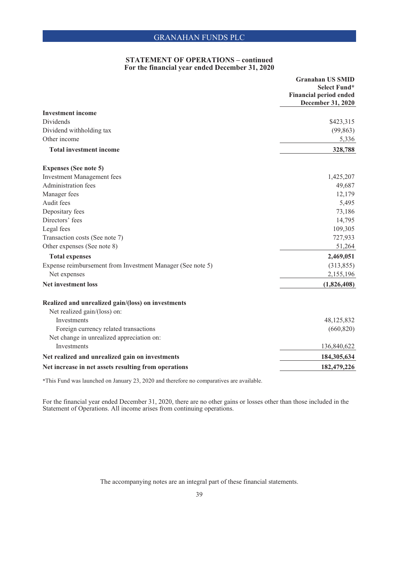### **STATEMENT OF OPERATIONS – continued For the financial year ended December 31, 2020**

|                                                            | <b>Granahan US SMID</b><br>Select Fund*<br><b>Financial period ended</b><br>December 31, 2020 |
|------------------------------------------------------------|-----------------------------------------------------------------------------------------------|
| <b>Investment income</b>                                   |                                                                                               |
| Dividends                                                  | \$423,315                                                                                     |
| Dividend withholding tax                                   | (99, 863)                                                                                     |
| Other income                                               | 5,336                                                                                         |
| <b>Total investment income</b>                             | 328,788                                                                                       |
| <b>Expenses (See note 5)</b>                               |                                                                                               |
| <b>Investment Management fees</b>                          | 1,425,207                                                                                     |
| <b>Administration fees</b>                                 | 49,687                                                                                        |
| Manager fees                                               | 12,179                                                                                        |
| Audit fees                                                 | 5,495                                                                                         |
| Depositary fees                                            | 73,186                                                                                        |
| Directors' fees                                            | 14,795                                                                                        |
| Legal fees                                                 | 109,305                                                                                       |
| Transaction costs (See note 7)                             | 727,933                                                                                       |
| Other expenses (See note 8)                                | 51,264                                                                                        |
| <b>Total expenses</b>                                      | 2,469,051                                                                                     |
| Expense reimbursement from Investment Manager (See note 5) | (313, 855)                                                                                    |
| Net expenses                                               | 2,155,196                                                                                     |
| <b>Net investment loss</b>                                 | (1,826,408)                                                                                   |
| Realized and unrealized gain/(loss) on investments         |                                                                                               |
| Net realized gain/(loss) on:                               |                                                                                               |
| Investments                                                | 48,125,832                                                                                    |
| Foreign currency related transactions                      | (660, 820)                                                                                    |
| Net change in unrealized appreciation on:                  |                                                                                               |
| Investments                                                | 136,840,622                                                                                   |
| Net realized and unrealized gain on investments            | 184,305,634                                                                                   |
| Net increase in net assets resulting from operations       | 182,479,226                                                                                   |

\*This Fund was launched on January 23, 2020 and therefore no comparatives are available.

For the financial year ended December 31, 2020, there are no other gains or losses other than those included in the Statement of Operations. All income arises from continuing operations.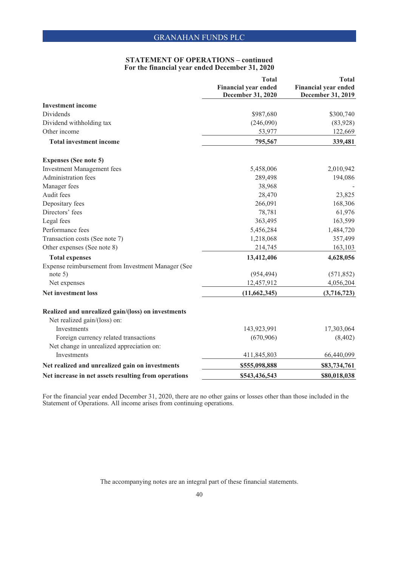### **STATEMENT OF OPERATIONS – continued For the financial year ended December 31, 2020**

|                                                      | <b>Total</b><br><b>Financial year ended</b> | <b>Total</b><br><b>Financial year ended</b> |
|------------------------------------------------------|---------------------------------------------|---------------------------------------------|
|                                                      | December 31, 2020                           | December 31, 2019                           |
| <b>Investment income</b>                             |                                             |                                             |
| Dividends                                            | \$987,680                                   | \$300,740                                   |
| Dividend withholding tax                             | (246,090)                                   | (83,928)                                    |
| Other income                                         | 53,977                                      | 122,669                                     |
| <b>Total investment income</b>                       | 795,567                                     | 339,481                                     |
| <b>Expenses (See note 5)</b>                         |                                             |                                             |
| <b>Investment Management fees</b>                    | 5,458,006                                   | 2,010,942                                   |
| Administration fees                                  | 289,498                                     | 194,086                                     |
| Manager fees                                         | 38,968                                      |                                             |
| Audit fees                                           | 28,470                                      | 23,825                                      |
| Depositary fees                                      | 266,091                                     | 168,306                                     |
| Directors' fees                                      | 78,781                                      | 61,976                                      |
| Legal fees                                           | 363,495                                     | 163,599                                     |
| Performance fees                                     | 5,456,284                                   | 1,484,720                                   |
| Transaction costs (See note 7)                       | 1,218,068                                   | 357,499                                     |
| Other expenses (See note 8)                          | 214,745                                     | 163,103                                     |
| <b>Total expenses</b>                                | 13,412,406                                  | 4,628,056                                   |
| Expense reimbursement from Investment Manager (See   |                                             |                                             |
| note $5)$                                            | (954, 494)                                  | (571, 852)                                  |
| Net expenses                                         | 12,457,912                                  | 4,056,204                                   |
| <b>Net investment loss</b>                           | (11,662,345)                                | (3,716,723)                                 |
| Realized and unrealized gain/(loss) on investments   |                                             |                                             |
| Net realized gain/(loss) on:                         |                                             |                                             |
| Investments                                          | 143,923,991                                 | 17,303,064                                  |
| Foreign currency related transactions                | (670,906)                                   | (8,402)                                     |
| Net change in unrealized appreciation on:            |                                             |                                             |
| Investments                                          | 411,845,803                                 | 66,440,099                                  |
| Net realized and unrealized gain on investments      | \$555,098,888                               | \$83,734,761                                |
| Net increase in net assets resulting from operations | \$543,436,543                               | \$80,018,038                                |

For the financial year ended December 31, 2020, there are no other gains or losses other than those included in the Statement of Operations. All income arises from continuing operations.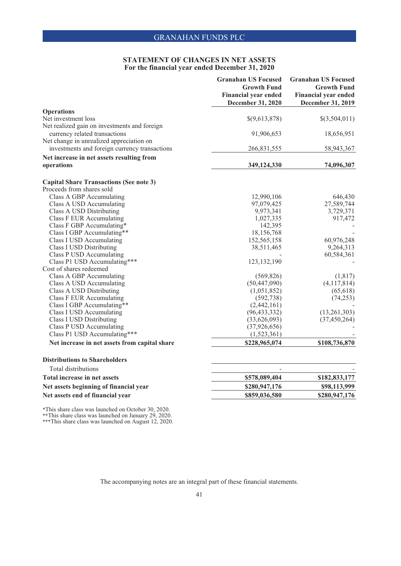### **STATEMENT OF CHANGES IN NET ASSETS For the financial year ended December 31, 2020**

| <b>Financial year ended</b><br><b>December 31, 2020</b><br><b>Operations</b><br>Net investment loss<br>$\{(9,613,878)\}$<br>Net realized gain on investments and foreign<br>currency related transactions<br>91,906,653<br>Net change in unrealized appreciation on<br>investments and foreign currency transactions<br>266,831,555<br>Net increase in net assets resulting from<br>operations<br>349,124,330<br><b>Capital Share Transactions (See note 3)</b><br>Proceeds from shares sold<br>Class A GBP Accumulating<br>12,990,106<br>Class A USD Accumulating<br>97,079,425<br>Class A USD Distributing<br>9,973,341<br><b>Class F EUR Accumulating</b><br>1,027,335<br>Class F GBP Accumulating*<br>142,395<br>Class I GBP Accumulating**<br>18,156,768<br>152,565,158<br>60,976,248<br>Class I USD Accumulating<br><b>Class I USD Distributing</b><br>38,511,465<br>9,264,313<br>Class P USD Accumulating<br>60,584,361<br>Class P1 USD Accumulating***<br>123, 132, 190<br>Cost of shares redeemed<br>(1, 817)<br>Class A GBP Accumulating<br>(569, 826)<br>Class A USD Accumulating<br>(50, 447, 090)<br>(4,117,814)<br>Class A USD Distributing<br>(1,051,852)<br>(65, 618)<br><b>Class F EUR Accumulating</b><br>(74, 253)<br>(592, 738)<br>Class I GBP Accumulating**<br>(2,442,161)<br>Class I USD Accumulating<br>(96, 433, 332)<br>(13,261,303)<br><b>Class I USD Distributing</b><br>(33,626,093)<br>(37, 450, 264)<br>Class P USD Accumulating<br>(37, 926, 656)<br>Class P1 USD Accumulating***<br>(1,523,361)<br>Net increase in net assets from capital share<br>\$228,965,074<br>\$108,736,870<br><b>Distributions to Shareholders</b><br>Total distributions<br>Total increase in net assets<br>\$578,089,404<br>Net assets beginning of financial year<br>\$280,947,176<br>Net assets end of financial year<br>\$859,036,580 | <b>Granahan US Focused</b><br><b>Growth Fund</b> | <b>Granahan US Focused</b><br><b>Growth Fund</b> |
|-----------------------------------------------------------------------------------------------------------------------------------------------------------------------------------------------------------------------------------------------------------------------------------------------------------------------------------------------------------------------------------------------------------------------------------------------------------------------------------------------------------------------------------------------------------------------------------------------------------------------------------------------------------------------------------------------------------------------------------------------------------------------------------------------------------------------------------------------------------------------------------------------------------------------------------------------------------------------------------------------------------------------------------------------------------------------------------------------------------------------------------------------------------------------------------------------------------------------------------------------------------------------------------------------------------------------------------------------------------------------------------------------------------------------------------------------------------------------------------------------------------------------------------------------------------------------------------------------------------------------------------------------------------------------------------------------------------------------------------------------------------------------------------------------------------------------------------------------------|--------------------------------------------------|--------------------------------------------------|
|                                                                                                                                                                                                                                                                                                                                                                                                                                                                                                                                                                                                                                                                                                                                                                                                                                                                                                                                                                                                                                                                                                                                                                                                                                                                                                                                                                                                                                                                                                                                                                                                                                                                                                                                                                                                                                                     |                                                  | <b>Financial year ended</b><br>December 31, 2019 |
|                                                                                                                                                                                                                                                                                                                                                                                                                                                                                                                                                                                                                                                                                                                                                                                                                                                                                                                                                                                                                                                                                                                                                                                                                                                                                                                                                                                                                                                                                                                                                                                                                                                                                                                                                                                                                                                     |                                                  |                                                  |
|                                                                                                                                                                                                                                                                                                                                                                                                                                                                                                                                                                                                                                                                                                                                                                                                                                                                                                                                                                                                                                                                                                                                                                                                                                                                                                                                                                                                                                                                                                                                                                                                                                                                                                                                                                                                                                                     |                                                  | \$(3,504,011)                                    |
|                                                                                                                                                                                                                                                                                                                                                                                                                                                                                                                                                                                                                                                                                                                                                                                                                                                                                                                                                                                                                                                                                                                                                                                                                                                                                                                                                                                                                                                                                                                                                                                                                                                                                                                                                                                                                                                     |                                                  |                                                  |
|                                                                                                                                                                                                                                                                                                                                                                                                                                                                                                                                                                                                                                                                                                                                                                                                                                                                                                                                                                                                                                                                                                                                                                                                                                                                                                                                                                                                                                                                                                                                                                                                                                                                                                                                                                                                                                                     |                                                  | 18,656,951                                       |
|                                                                                                                                                                                                                                                                                                                                                                                                                                                                                                                                                                                                                                                                                                                                                                                                                                                                                                                                                                                                                                                                                                                                                                                                                                                                                                                                                                                                                                                                                                                                                                                                                                                                                                                                                                                                                                                     |                                                  |                                                  |
|                                                                                                                                                                                                                                                                                                                                                                                                                                                                                                                                                                                                                                                                                                                                                                                                                                                                                                                                                                                                                                                                                                                                                                                                                                                                                                                                                                                                                                                                                                                                                                                                                                                                                                                                                                                                                                                     |                                                  | 58,943,367                                       |
|                                                                                                                                                                                                                                                                                                                                                                                                                                                                                                                                                                                                                                                                                                                                                                                                                                                                                                                                                                                                                                                                                                                                                                                                                                                                                                                                                                                                                                                                                                                                                                                                                                                                                                                                                                                                                                                     |                                                  |                                                  |
|                                                                                                                                                                                                                                                                                                                                                                                                                                                                                                                                                                                                                                                                                                                                                                                                                                                                                                                                                                                                                                                                                                                                                                                                                                                                                                                                                                                                                                                                                                                                                                                                                                                                                                                                                                                                                                                     |                                                  | 74,096,307                                       |
|                                                                                                                                                                                                                                                                                                                                                                                                                                                                                                                                                                                                                                                                                                                                                                                                                                                                                                                                                                                                                                                                                                                                                                                                                                                                                                                                                                                                                                                                                                                                                                                                                                                                                                                                                                                                                                                     |                                                  |                                                  |
|                                                                                                                                                                                                                                                                                                                                                                                                                                                                                                                                                                                                                                                                                                                                                                                                                                                                                                                                                                                                                                                                                                                                                                                                                                                                                                                                                                                                                                                                                                                                                                                                                                                                                                                                                                                                                                                     |                                                  |                                                  |
|                                                                                                                                                                                                                                                                                                                                                                                                                                                                                                                                                                                                                                                                                                                                                                                                                                                                                                                                                                                                                                                                                                                                                                                                                                                                                                                                                                                                                                                                                                                                                                                                                                                                                                                                                                                                                                                     |                                                  | 646,430                                          |
|                                                                                                                                                                                                                                                                                                                                                                                                                                                                                                                                                                                                                                                                                                                                                                                                                                                                                                                                                                                                                                                                                                                                                                                                                                                                                                                                                                                                                                                                                                                                                                                                                                                                                                                                                                                                                                                     |                                                  | 27,589,744                                       |
|                                                                                                                                                                                                                                                                                                                                                                                                                                                                                                                                                                                                                                                                                                                                                                                                                                                                                                                                                                                                                                                                                                                                                                                                                                                                                                                                                                                                                                                                                                                                                                                                                                                                                                                                                                                                                                                     |                                                  | 3,729,371                                        |
|                                                                                                                                                                                                                                                                                                                                                                                                                                                                                                                                                                                                                                                                                                                                                                                                                                                                                                                                                                                                                                                                                                                                                                                                                                                                                                                                                                                                                                                                                                                                                                                                                                                                                                                                                                                                                                                     |                                                  | 917,472                                          |
|                                                                                                                                                                                                                                                                                                                                                                                                                                                                                                                                                                                                                                                                                                                                                                                                                                                                                                                                                                                                                                                                                                                                                                                                                                                                                                                                                                                                                                                                                                                                                                                                                                                                                                                                                                                                                                                     |                                                  |                                                  |
|                                                                                                                                                                                                                                                                                                                                                                                                                                                                                                                                                                                                                                                                                                                                                                                                                                                                                                                                                                                                                                                                                                                                                                                                                                                                                                                                                                                                                                                                                                                                                                                                                                                                                                                                                                                                                                                     |                                                  |                                                  |
|                                                                                                                                                                                                                                                                                                                                                                                                                                                                                                                                                                                                                                                                                                                                                                                                                                                                                                                                                                                                                                                                                                                                                                                                                                                                                                                                                                                                                                                                                                                                                                                                                                                                                                                                                                                                                                                     |                                                  |                                                  |
|                                                                                                                                                                                                                                                                                                                                                                                                                                                                                                                                                                                                                                                                                                                                                                                                                                                                                                                                                                                                                                                                                                                                                                                                                                                                                                                                                                                                                                                                                                                                                                                                                                                                                                                                                                                                                                                     |                                                  |                                                  |
|                                                                                                                                                                                                                                                                                                                                                                                                                                                                                                                                                                                                                                                                                                                                                                                                                                                                                                                                                                                                                                                                                                                                                                                                                                                                                                                                                                                                                                                                                                                                                                                                                                                                                                                                                                                                                                                     |                                                  |                                                  |
|                                                                                                                                                                                                                                                                                                                                                                                                                                                                                                                                                                                                                                                                                                                                                                                                                                                                                                                                                                                                                                                                                                                                                                                                                                                                                                                                                                                                                                                                                                                                                                                                                                                                                                                                                                                                                                                     |                                                  |                                                  |
|                                                                                                                                                                                                                                                                                                                                                                                                                                                                                                                                                                                                                                                                                                                                                                                                                                                                                                                                                                                                                                                                                                                                                                                                                                                                                                                                                                                                                                                                                                                                                                                                                                                                                                                                                                                                                                                     |                                                  |                                                  |
|                                                                                                                                                                                                                                                                                                                                                                                                                                                                                                                                                                                                                                                                                                                                                                                                                                                                                                                                                                                                                                                                                                                                                                                                                                                                                                                                                                                                                                                                                                                                                                                                                                                                                                                                                                                                                                                     |                                                  |                                                  |
|                                                                                                                                                                                                                                                                                                                                                                                                                                                                                                                                                                                                                                                                                                                                                                                                                                                                                                                                                                                                                                                                                                                                                                                                                                                                                                                                                                                                                                                                                                                                                                                                                                                                                                                                                                                                                                                     |                                                  |                                                  |
|                                                                                                                                                                                                                                                                                                                                                                                                                                                                                                                                                                                                                                                                                                                                                                                                                                                                                                                                                                                                                                                                                                                                                                                                                                                                                                                                                                                                                                                                                                                                                                                                                                                                                                                                                                                                                                                     |                                                  |                                                  |
|                                                                                                                                                                                                                                                                                                                                                                                                                                                                                                                                                                                                                                                                                                                                                                                                                                                                                                                                                                                                                                                                                                                                                                                                                                                                                                                                                                                                                                                                                                                                                                                                                                                                                                                                                                                                                                                     |                                                  |                                                  |
|                                                                                                                                                                                                                                                                                                                                                                                                                                                                                                                                                                                                                                                                                                                                                                                                                                                                                                                                                                                                                                                                                                                                                                                                                                                                                                                                                                                                                                                                                                                                                                                                                                                                                                                                                                                                                                                     |                                                  |                                                  |
|                                                                                                                                                                                                                                                                                                                                                                                                                                                                                                                                                                                                                                                                                                                                                                                                                                                                                                                                                                                                                                                                                                                                                                                                                                                                                                                                                                                                                                                                                                                                                                                                                                                                                                                                                                                                                                                     |                                                  |                                                  |
|                                                                                                                                                                                                                                                                                                                                                                                                                                                                                                                                                                                                                                                                                                                                                                                                                                                                                                                                                                                                                                                                                                                                                                                                                                                                                                                                                                                                                                                                                                                                                                                                                                                                                                                                                                                                                                                     |                                                  |                                                  |
|                                                                                                                                                                                                                                                                                                                                                                                                                                                                                                                                                                                                                                                                                                                                                                                                                                                                                                                                                                                                                                                                                                                                                                                                                                                                                                                                                                                                                                                                                                                                                                                                                                                                                                                                                                                                                                                     |                                                  |                                                  |
|                                                                                                                                                                                                                                                                                                                                                                                                                                                                                                                                                                                                                                                                                                                                                                                                                                                                                                                                                                                                                                                                                                                                                                                                                                                                                                                                                                                                                                                                                                                                                                                                                                                                                                                                                                                                                                                     |                                                  |                                                  |
|                                                                                                                                                                                                                                                                                                                                                                                                                                                                                                                                                                                                                                                                                                                                                                                                                                                                                                                                                                                                                                                                                                                                                                                                                                                                                                                                                                                                                                                                                                                                                                                                                                                                                                                                                                                                                                                     |                                                  |                                                  |
|                                                                                                                                                                                                                                                                                                                                                                                                                                                                                                                                                                                                                                                                                                                                                                                                                                                                                                                                                                                                                                                                                                                                                                                                                                                                                                                                                                                                                                                                                                                                                                                                                                                                                                                                                                                                                                                     |                                                  |                                                  |
|                                                                                                                                                                                                                                                                                                                                                                                                                                                                                                                                                                                                                                                                                                                                                                                                                                                                                                                                                                                                                                                                                                                                                                                                                                                                                                                                                                                                                                                                                                                                                                                                                                                                                                                                                                                                                                                     |                                                  |                                                  |
|                                                                                                                                                                                                                                                                                                                                                                                                                                                                                                                                                                                                                                                                                                                                                                                                                                                                                                                                                                                                                                                                                                                                                                                                                                                                                                                                                                                                                                                                                                                                                                                                                                                                                                                                                                                                                                                     |                                                  | \$182,833,177                                    |
|                                                                                                                                                                                                                                                                                                                                                                                                                                                                                                                                                                                                                                                                                                                                                                                                                                                                                                                                                                                                                                                                                                                                                                                                                                                                                                                                                                                                                                                                                                                                                                                                                                                                                                                                                                                                                                                     |                                                  | \$98,113,999                                     |
|                                                                                                                                                                                                                                                                                                                                                                                                                                                                                                                                                                                                                                                                                                                                                                                                                                                                                                                                                                                                                                                                                                                                                                                                                                                                                                                                                                                                                                                                                                                                                                                                                                                                                                                                                                                                                                                     |                                                  | \$280,947,176                                    |

\*This share class was launched on October 30, 2020. \*\*This share class was launched on January 29, 2020.

\*\*\*This share class was launched on August 12, 2020.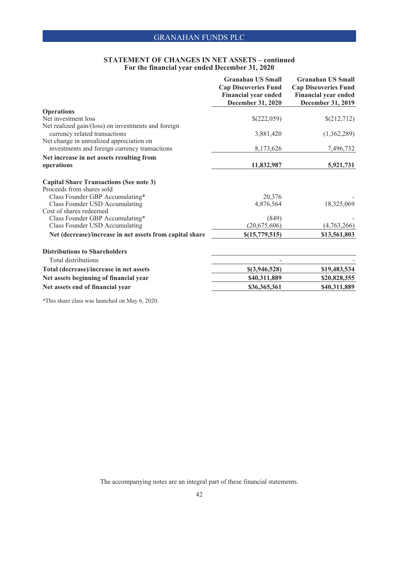### **STATEMENT OF CHANGES IN NET ASSETS – continued For the financial year ended December 31, 2020**

| <b>Granahan US Small</b>    | <b>Granahan US Small</b>                                                                                                                    |
|-----------------------------|---------------------------------------------------------------------------------------------------------------------------------------------|
|                             | <b>Cap Discoveries Fund</b>                                                                                                                 |
| <b>Financial year ended</b> | <b>Financial year ended</b>                                                                                                                 |
|                             | December 31, 2019                                                                                                                           |
|                             |                                                                                                                                             |
| \$(222,059)                 | \$(212,712)                                                                                                                                 |
|                             |                                                                                                                                             |
| 3,881,420                   | (1,362,289)                                                                                                                                 |
|                             |                                                                                                                                             |
|                             | 7,496,732                                                                                                                                   |
|                             |                                                                                                                                             |
| 11,832,987                  | 5,921,731                                                                                                                                   |
|                             |                                                                                                                                             |
|                             |                                                                                                                                             |
|                             |                                                                                                                                             |
| 20,376                      |                                                                                                                                             |
| 4,876,564                   | 18,325,069                                                                                                                                  |
|                             |                                                                                                                                             |
|                             |                                                                                                                                             |
|                             | (4,763,266)                                                                                                                                 |
|                             | \$13,561,803                                                                                                                                |
|                             |                                                                                                                                             |
|                             |                                                                                                                                             |
|                             |                                                                                                                                             |
|                             | \$19,483,534                                                                                                                                |
|                             | \$20,828,355                                                                                                                                |
| \$36,365,361                | \$40,311,889                                                                                                                                |
|                             | <b>Cap Discoveries Fund</b><br>December 31, 2020<br>8,173,626<br>(849)<br>(20, 675, 606)<br>\$(15,779,515)<br>\$(3,946,528)<br>\$40,311,889 |

\*This share class was launched on May 6, 2020.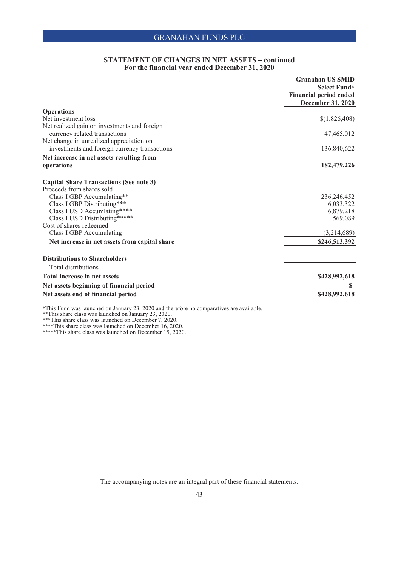## **STATEMENT OF CHANGES IN NET ASSETS – continued For the financial year ended December 31, 2020**

|                                                     | <b>Granahan US SMID</b>       |
|-----------------------------------------------------|-------------------------------|
|                                                     | Select Fund*                  |
|                                                     | <b>Financial period ended</b> |
|                                                     | December 31, 2020             |
| <b>Operations</b>                                   |                               |
| Net investment loss                                 | \$(1,826,408)                 |
| Net realized gain on investments and foreign        |                               |
| currency related transactions                       | 47,465,012                    |
| Net change in unrealized appreciation on            |                               |
| investments and foreign currency transactions       | 136,840,622                   |
| Net increase in net assets resulting from           |                               |
| operations                                          | 182,479,226                   |
|                                                     |                               |
| <b>Capital Share Transactions (See note 3)</b>      |                               |
| Proceeds from shares sold                           |                               |
| Class I GBP Accumulating**                          | 236, 246, 452                 |
| Class I GBP Distributing***                         | 6,033,322                     |
| Class I USD Accumlating****                         | 6,879,218                     |
| Class I USD Distributing*****                       | 569,089                       |
| Cost of shares redeemed<br>Class I GBP Accumulating | (3,214,689)                   |
|                                                     | \$246,513,392                 |
| Net increase in net assets from capital share       |                               |
| <b>Distributions to Shareholders</b>                |                               |
| <b>Total distributions</b>                          |                               |
| Total increase in net assets                        | \$428,992,618                 |
| Net assets beginning of financial period            | $S-$                          |
| Net assets end of financial period                  | \$428,992,618                 |
|                                                     |                               |

\*This Fund was launched on January 23, 2020 and therefore no comparatives are available.

\*\*This share class was launched on January 23, 2020.

\*\*\*This share class was launched on December 7, 2020.

\*\*\*\*This share class was launched on December 16, 2020.

\*\*\*\*\*This share class was launched on December 15, 2020.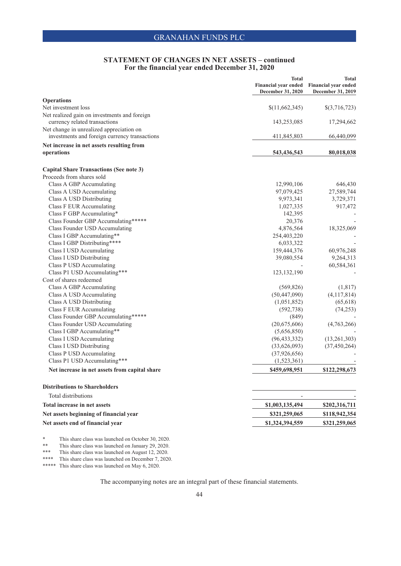## **STATEMENT OF CHANGES IN NET ASSETS – continued For the financial year ended December 31, 2020**

|                                                                             | <b>Total</b><br><b>Financial year ended</b><br>December 31, 2020 | <b>Total</b><br>Financial year ended<br>December 31, 2019 |
|-----------------------------------------------------------------------------|------------------------------------------------------------------|-----------------------------------------------------------|
| <b>Operations</b>                                                           |                                                                  |                                                           |
| Net investment loss                                                         | \$(11,662,345)                                                   | $\{(3,716,723)\}$                                         |
| Net realized gain on investments and foreign                                |                                                                  |                                                           |
| currency related transactions                                               | 143,253,085                                                      | 17,294,662                                                |
| Net change in unrealized appreciation on                                    |                                                                  |                                                           |
| investments and foreign currency transactions                               | 411,845,803                                                      | 66,440,099                                                |
| Net increase in net assets resulting from                                   |                                                                  |                                                           |
| operations                                                                  | 543,436,543                                                      | 80,018,038                                                |
|                                                                             |                                                                  |                                                           |
| <b>Capital Share Transactions (See note 3)</b><br>Proceeds from shares sold |                                                                  |                                                           |
|                                                                             |                                                                  |                                                           |
| Class A GBP Accumulating                                                    | 12,990,106                                                       | 646,430                                                   |
| Class A USD Accumulating                                                    | 97,079,425<br>9,973,341                                          | 27,589,744                                                |
| Class A USD Distributing                                                    | 1,027,335                                                        | 3,729,371<br>917,472                                      |
| Class F EUR Accumulating<br>Class F GBP Accumulating*                       | 142,395                                                          |                                                           |
| Class Founder GBP Accumulating*****                                         | 20,376                                                           |                                                           |
| Class Founder USD Accumulating                                              | 4,876,564                                                        | 18,325,069                                                |
| Class I GBP Accumulating**                                                  | 254,403,220                                                      |                                                           |
| Class I GBP Distributing****                                                | 6,033,322                                                        |                                                           |
| Class I USD Accumulating                                                    | 159,444,376                                                      | 60,976,248                                                |
| Class I USD Distributing                                                    | 39,080,554                                                       | 9,264,313                                                 |
|                                                                             |                                                                  | 60,584,361                                                |
| Class P USD Accumulating<br>Class P1 USD Accumulating***                    | 123, 132, 190                                                    |                                                           |
| Cost of shares redeemed                                                     |                                                                  |                                                           |
| Class A GBP Accumulating                                                    | (569, 826)                                                       | (1,817)                                                   |
| Class A USD Accumulating                                                    | (50, 447, 090)                                                   | (4,117,814)                                               |
| Class A USD Distributing                                                    | (1,051,852)                                                      | (65, 618)                                                 |
| Class F EUR Accumulating                                                    | (592, 738)                                                       | (74, 253)                                                 |
| Class Founder GBP Accumulating*****                                         | (849)                                                            |                                                           |
| Class Founder USD Accumulating                                              | (20,675,606)                                                     | (4,763,266)                                               |
| Class I GBP Accumulating**                                                  | (5,656,850)                                                      |                                                           |
| Class I USD Accumulating                                                    | (96, 433, 332)                                                   | (13,261,303)                                              |
| Class I USD Distributing                                                    | (33,626,093)                                                     | (37, 450, 264)                                            |
| Class P USD Accumulating                                                    | (37, 926, 656)                                                   |                                                           |
| Class P1 USD Accumulating***                                                | (1,523,361)                                                      |                                                           |
| Net increase in net assets from capital share                               | \$459,698,951                                                    | \$122,298,673                                             |
|                                                                             |                                                                  |                                                           |
| <b>Distributions to Shareholders</b>                                        |                                                                  |                                                           |
| Total distributions<br>Total increase in net assets                         |                                                                  |                                                           |
| Net assets beginning of financial year                                      | \$1,003,135,494                                                  | \$202,316,711                                             |
|                                                                             | \$321,259,065                                                    | \$118,942,354                                             |
| Net assets end of financial year                                            | \$1,324,394,559                                                  | \$321,259,065                                             |
|                                                                             |                                                                  |                                                           |

\* This share class was launched on October 30, 2020.

This share class was launched on January 29, 2020.

\*\*\* This share class was launched on August 12, 2020.

\*\*\*\* This share class was launched on December 7, 2020.

\*\*\*\*\* This share class was launched on May 6, 2020.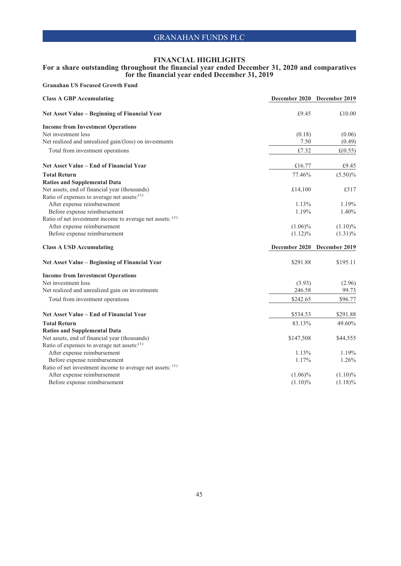### **For a share outstanding throughout the financial year ended December 31, 2020 and comparatives for the financial year ended December 31, 2019**

| <b>Class A GBP Accumulating</b>                                                        | December 2020 December 2019 |            |
|----------------------------------------------------------------------------------------|-----------------------------|------------|
| Net Asset Value - Beginning of Financial Year                                          | £9.45                       | £10.00     |
| <b>Income from Investment Operations</b>                                               |                             |            |
| Net investment loss                                                                    | (0.18)                      | (0.06)     |
| Net realized and unrealized gain/(loss) on investments                                 | 7.50                        | (0.49)     |
| Total from investment operations                                                       | £7.32                       | £(0.55)    |
| Net Asset Value – End of Financial Year                                                | £16.77                      | £9.45      |
| <b>Total Return</b>                                                                    | 77.46%                      | $(5.50)\%$ |
| <b>Ratios and Supplemental Data</b>                                                    |                             |            |
| Net assets, end of financial year (thousands)                                          | £14,100                     | £517       |
| Ratio of expenses to average net assets: <sup>(1)</sup>                                |                             |            |
| After expense reimbursement                                                            | 1.13%                       | 1.19%      |
| Before expense reimbursement                                                           | 1.19%                       | 1.40%      |
| Ratio of net investment income to average net assets: (1)                              |                             |            |
| After expense reimbursement                                                            | $(1.06)\%$                  | $(1.10)\%$ |
| Before expense reimbursement                                                           | $(1.12)\%$                  | $(1.31)\%$ |
| <b>Class A USD Accumulating</b>                                                        | December 2020 December 2019 |            |
|                                                                                        |                             |            |
| Net Asset Value - Beginning of Financial Year                                          | \$291.88                    | \$195.11   |
| <b>Income from Investment Operations</b>                                               |                             |            |
| Net investment loss                                                                    | (3.93)                      | (2.96)     |
| Net realized and unrealized gain on investments                                        | 246.58                      | 99.73      |
| Total from investment operations                                                       | \$242.65                    | \$96.77    |
| Net Asset Value – End of Financial Year                                                | \$534.53                    | \$291.88   |
| <b>Total Return</b>                                                                    | 83.13%                      | 49.60%     |
|                                                                                        |                             |            |
| <b>Ratios and Supplemental Data</b>                                                    | \$147,508                   | \$44,555   |
| Net assets, end of financial year (thousands)                                          |                             |            |
| Ratio of expenses to average net assets: <sup>(1)</sup><br>After expense reimbursement | 1.13%                       | 1.19%      |
| Before expense reimbursement                                                           | 1.17%                       | 1.26%      |
| Ratio of net investment income to average net assets: (1)                              |                             |            |
| After expense reimbursement<br>Before expense reimbursement                            | $(1.06)\%$                  | $(1.10)\%$ |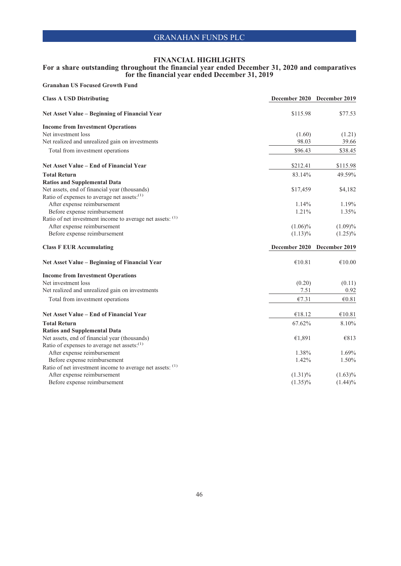### **For a share outstanding throughout the financial year ended December 31, 2020 and comparatives for the financial year ended December 31, 2019**

| <b>Class A USD Distributing</b>                                                           | December 2020 December 2019 |                    |
|-------------------------------------------------------------------------------------------|-----------------------------|--------------------|
| Net Asset Value - Beginning of Financial Year                                             | \$115.98                    | \$77.53            |
| <b>Income from Investment Operations</b>                                                  |                             |                    |
| Net investment loss                                                                       | (1.60)                      | (1.21)             |
| Net realized and unrealized gain on investments                                           | 98.03                       | 39.66              |
| Total from investment operations                                                          | \$96.43                     | \$38.45            |
| Net Asset Value - End of Financial Year                                                   | \$212.41                    | \$115.98           |
| <b>Total Return</b>                                                                       | 83.14%                      | 49.59%             |
| <b>Ratios and Supplemental Data</b>                                                       |                             |                    |
| Net assets, end of financial year (thousands)                                             | \$17,459                    | \$4,182            |
| Ratio of expenses to average net assets: <sup>(1)</sup>                                   |                             |                    |
| After expense reimbursement                                                               | 1.14%                       | 1.19%              |
| Before expense reimbursement                                                              | 1.21%                       | 1.35%              |
| Ratio of net investment income to average net assets: (1)                                 |                             |                    |
| After expense reimbursement                                                               | $(1.06)\%$                  | (1.09)%            |
| Before expense reimbursement                                                              | $(1.13)\%$                  | $(1.25)\%$         |
|                                                                                           |                             |                    |
| <b>Class F EUR Accumulating</b>                                                           | December 2020 December 2019 |                    |
| Net Asset Value - Beginning of Financial Year                                             | €10.81                      | $\mathcal{C}10.00$ |
| <b>Income from Investment Operations</b>                                                  |                             |                    |
| Net investment loss                                                                       | (0.20)                      | (0.11)             |
| Net realized and unrealized gain on investments                                           | 7.51                        | 0.92               |
| Total from investment operations                                                          | €7.31                       | €0.81              |
| Net Asset Value – End of Financial Year                                                   | €18.12                      | €10.81             |
|                                                                                           |                             |                    |
| <b>Total Return</b>                                                                       | 67.62%                      | 8.10%              |
| <b>Ratios and Supplemental Data</b>                                                       |                             |                    |
| Net assets, end of financial year (thousands)                                             | €1,891                      | €813               |
| Ratio of expenses to average net assets: <sup>(1)</sup>                                   | 1.38%                       | 1.69%              |
| After expense reimbursement                                                               | 1.42%                       | 1.50%              |
| Before expense reimbursement<br>Ratio of net investment income to average net assets: (1) |                             |                    |
| After expense reimbursement                                                               | $(1.31)\%$                  | $(1.63)\%$         |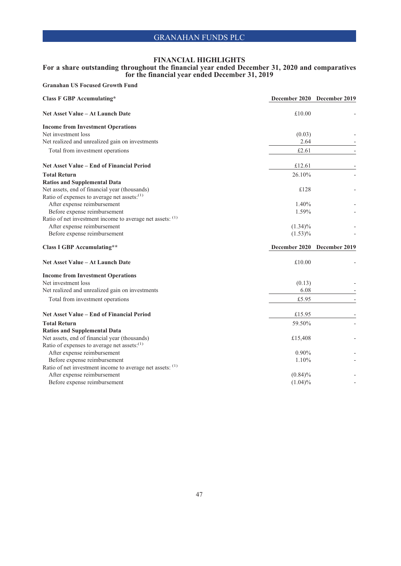### **For a share outstanding throughout the financial year ended December 31, 2020 and comparatives for the financial year ended December 31, 2019**

| <b>Class F GBP Accumulating*</b>                                                         | December 2020 December 2019 |  |
|------------------------------------------------------------------------------------------|-----------------------------|--|
| Net Asset Value - At Launch Date                                                         | £10.00                      |  |
| <b>Income from Investment Operations</b>                                                 |                             |  |
| Net investment loss                                                                      | (0.03)                      |  |
| Net realized and unrealized gain on investments                                          | 2.64                        |  |
| Total from investment operations                                                         | £2.61                       |  |
| Net Asset Value - End of Financial Period                                                | £12.61                      |  |
| <b>Total Return</b>                                                                      | 26.10%                      |  |
| <b>Ratios and Supplemental Data</b>                                                      |                             |  |
| Net assets, end of financial year (thousands)                                            | £128                        |  |
| Ratio of expenses to average net assets: <sup>(1)</sup>                                  |                             |  |
| After expense reimbursement                                                              | $1.40\%$                    |  |
| Before expense reimbursement                                                             | 1.59%                       |  |
| Ratio of net investment income to average net assets: (1)                                |                             |  |
| After expense reimbursement                                                              | $(1.34)\%$                  |  |
| Before expense reimbursement                                                             | $(1.53)\%$                  |  |
|                                                                                          |                             |  |
| <b>Class I GBP Accumulating**</b>                                                        | December 2020 December 2019 |  |
| <b>Net Asset Value – At Launch Date</b>                                                  | £10.00                      |  |
| <b>Income from Investment Operations</b>                                                 |                             |  |
| Net investment loss                                                                      | (0.13)                      |  |
| Net realized and unrealized gain on investments                                          | 6.08                        |  |
| Total from investment operations                                                         | £5.95                       |  |
| Net Asset Value – End of Financial Period                                                | £15.95                      |  |
| <b>Total Return</b>                                                                      |                             |  |
|                                                                                          | 59.50%                      |  |
| <b>Ratios and Supplemental Data</b>                                                      |                             |  |
| Net assets, end of financial year (thousands)                                            | £15,408                     |  |
| Ratio of expenses to average net assets: <sup>(1)</sup><br>After expense reimbursement   | $0.90\%$                    |  |
|                                                                                          | 1.10%                       |  |
| Before expense reimbursement                                                             |                             |  |
| Ratio of net investment income to average net assets: (1)<br>After expense reimbursement | $(0.84)\%$                  |  |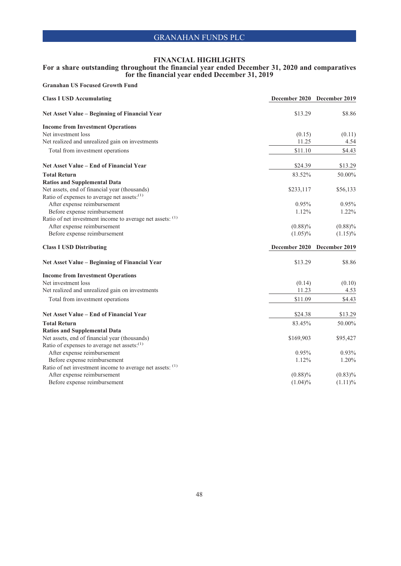### **For a share outstanding throughout the financial year ended December 31, 2020 and comparatives for the financial year ended December 31, 2019**

| <b>Class I USD Accumulating</b>                             | December 2020 December 2019 |            |
|-------------------------------------------------------------|-----------------------------|------------|
| Net Asset Value - Beginning of Financial Year               | \$13.29                     | \$8.86     |
| <b>Income from Investment Operations</b>                    |                             |            |
| Net investment loss                                         | (0.15)                      | (0.11)     |
| Net realized and unrealized gain on investments             | 11.25                       | 4.54       |
| Total from investment operations                            | \$11.10                     | \$4.43     |
| Net Asset Value - End of Financial Year                     | \$24.39                     | \$13.29    |
| <b>Total Return</b>                                         | 83.52%                      | 50.00%     |
| <b>Ratios and Supplemental Data</b>                         |                             |            |
| Net assets, end of financial year (thousands)               | \$233,117                   | \$56,133   |
| Ratio of expenses to average net assets: <sup>(1)</sup>     |                             |            |
| After expense reimbursement                                 | 0.95%                       | 0.95%      |
| Before expense reimbursement                                | 1.12%                       | 1.22%      |
| Ratio of net investment income to average net assets: (1)   |                             |            |
| After expense reimbursement                                 | $(0.88)\%$                  | $(0.88)\%$ |
| Before expense reimbursement                                | $(1.05)\%$                  | $(1.15)\%$ |
|                                                             |                             |            |
| <b>Class I USD Distributing</b>                             | December 2020 December 2019 |            |
| Net Asset Value - Beginning of Financial Year               | \$13.29                     | \$8.86     |
| <b>Income from Investment Operations</b>                    |                             |            |
| Net investment loss                                         | (0.14)                      | (0.10)     |
| Net realized and unrealized gain on investments             | 11.23                       | 4.53       |
| Total from investment operations                            | \$11.09                     | \$4.43     |
| Net Asset Value – End of Financial Year                     | \$24.38                     | \$13.29    |
| <b>Total Return</b>                                         | 83.45%                      |            |
|                                                             |                             | 50.00%     |
| <b>Ratios and Supplemental Data</b>                         |                             |            |
| Net assets, end of financial year (thousands)               | \$169,903                   | \$95,427   |
| Ratio of expenses to average net assets: <sup>(1)</sup>     | 0.95%                       | 0.93%      |
| After expense reimbursement<br>Before expense reimbursement | 1.12%                       | 1.20%      |
| Ratio of net investment income to average net assets: (1)   |                             |            |
| After expense reimbursement                                 | $(0.88)\%$                  | $(0.83)\%$ |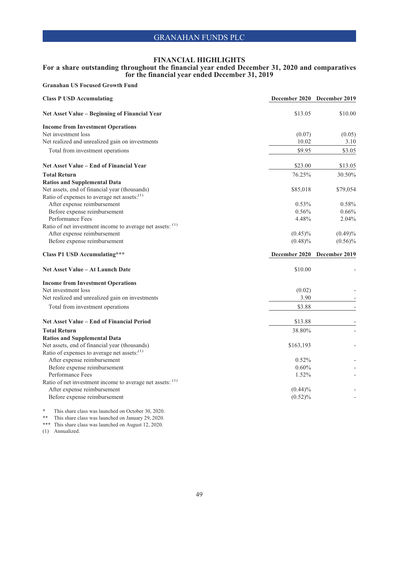### **For a share outstanding throughout the financial year ended December 31, 2020 and comparatives for the financial year ended December 31, 2019**

**Granahan US Focused Growth Fund**

| <b>Class P USD Accumulating</b>                           |            | December 2020 December 2019 |
|-----------------------------------------------------------|------------|-----------------------------|
| Net Asset Value - Beginning of Financial Year             | \$13.05    | \$10.00                     |
| <b>Income from Investment Operations</b>                  |            |                             |
| Net investment loss                                       | (0.07)     | (0.05)                      |
| Net realized and unrealized gain on investments           | 10.02      | 3.10                        |
| Total from investment operations                          | \$9.95     | \$3.05                      |
| Net Asset Value – End of Financial Year                   | \$23.00    | \$13.05                     |
| <b>Total Return</b>                                       | 76.25%     | 30.50%                      |
| <b>Ratios and Supplemental Data</b>                       |            |                             |
| Net assets, end of financial year (thousands)             | \$85,018   | \$79,054                    |
| Ratio of expenses to average net assets: <sup>(1)</sup>   |            |                             |
| After expense reimbursement                               | 0.53%      | 0.58%                       |
| Before expense reimbursement                              | 0.56%      | 0.66%                       |
| Performance Fees                                          | 4.48%      | 2.04%                       |
| Ratio of net investment income to average net assets: (1) |            |                             |
| After expense reimbursement                               | $(0.45)\%$ | $(0.49)\%$                  |
| Before expense reimbursement                              | $(0.48)\%$ | $(0.56)\%$                  |
|                                                           |            |                             |
| <b>Class P1 USD Accumulating***</b>                       |            | December 2020 December 2019 |
| Net Asset Value - At Launch Date                          | \$10.00    |                             |
| <b>Income from Investment Operations</b>                  |            |                             |
| Net investment loss                                       | (0.02)     |                             |
| Net realized and unrealized gain on investments           | 3.90       |                             |
| Total from investment operations                          | \$3.88     |                             |
| Net Asset Value - End of Financial Period                 | \$13.88    |                             |
| <b>Total Return</b>                                       | 38.80%     |                             |
| <b>Ratios and Supplemental Data</b>                       |            |                             |
| Net assets, end of financial year (thousands)             | \$163,193  |                             |
| Ratio of expenses to average net assets: <sup>(1)</sup>   |            |                             |
| After expense reimbursement                               | 0.52%      |                             |
| Before expense reimbursement                              | 0.60%      |                             |
| Performance Fees                                          | 1.52%      |                             |
| Ratio of net investment income to average net assets: (1) |            |                             |
| After expense reimbursement                               | $(0.44)\%$ |                             |
| Before expense reimbursement                              | $(0.52)\%$ |                             |
|                                                           |            |                             |

\* This share class was launched on October 30, 2020.

\*\* This share class was launched on January 29, 2020. \*\*\* This share class was launched on August 12, 2020.

(1) Annualized.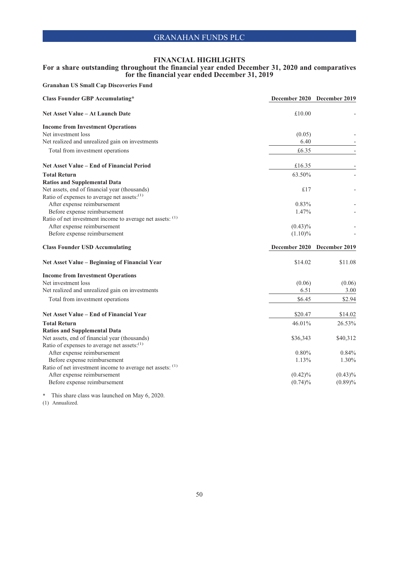### **For a share outstanding throughout the financial year ended December 31, 2020 and comparatives for the financial year ended December 31, 2019**

**Granahan US Small Cap Discoveries Fund**

| <b>Class Founder GBP Accumulating*</b>                      | December 2020 December 2019 |                          |
|-------------------------------------------------------------|-----------------------------|--------------------------|
| <b>Net Asset Value – At Launch Date</b>                     | £10.00                      |                          |
| <b>Income from Investment Operations</b>                    |                             |                          |
| Net investment loss                                         | (0.05)                      |                          |
| Net realized and unrealized gain on investments             | 6.40                        |                          |
| Total from investment operations                            | £6.35                       |                          |
| Net Asset Value – End of Financial Period                   | £16.35                      |                          |
| <b>Total Return</b>                                         | 63.50%                      |                          |
| <b>Ratios and Supplemental Data</b>                         |                             |                          |
| Net assets, end of financial year (thousands)               | £ $17$                      |                          |
| Ratio of expenses to average net assets: <sup>(1)</sup>     |                             |                          |
| After expense reimbursement                                 | 0.83%                       |                          |
| Before expense reimbursement                                | 1.47%                       |                          |
| Ratio of net investment income to average net assets: (1)   |                             |                          |
| After expense reimbursement                                 | $(0.43)\%$                  |                          |
| Before expense reimbursement                                | $(1.10)\%$                  |                          |
|                                                             |                             |                          |
| <b>Class Founder USD Accumulating</b>                       | December 2020               | December 2019            |
| Net Asset Value – Beginning of Financial Year               | \$14.02                     | \$11.08                  |
| <b>Income from Investment Operations</b>                    |                             |                          |
| Net investment loss                                         | (0.06)                      | (0.06)                   |
| Net realized and unrealized gain on investments             | 6.51                        | 3.00                     |
| Total from investment operations                            | \$6.45                      | \$2.94                   |
| Net Asset Value – End of Financial Year                     | \$20.47                     | \$14.02                  |
|                                                             |                             |                          |
| <b>Total Return</b>                                         | 46.01%                      | 26.53%                   |
| <b>Ratios and Supplemental Data</b>                         |                             |                          |
| Net assets, end of financial year (thousands)               | \$36,343                    | \$40,312                 |
| Ratio of expenses to average net assets: <sup>(1)</sup>     |                             |                          |
| After expense reimbursement                                 | 0.80%<br>1.13%              | 1.30%                    |
| Before expense reimbursement                                |                             | 0.84%                    |
| Ratio of net investment income to average net assets: (1)   | $(0.42)\%$                  |                          |
| After expense reimbursement<br>Before expense reimbursement | $(0.74)\%$                  | $(0.43)\%$<br>$(0.89)\%$ |

\* This share class was launched on May 6, 2020.

(1) Annualized.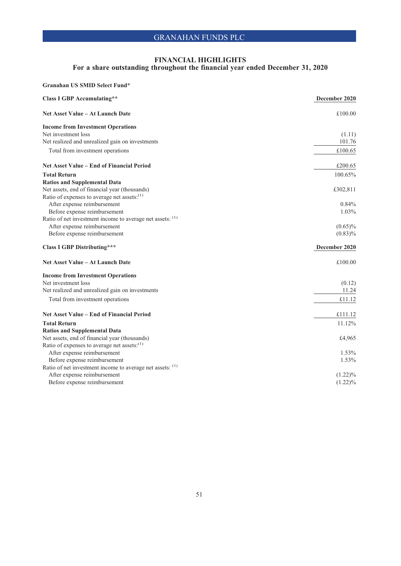## **FINANCIAL HIGHLIGHTS**

### **For a share outstanding throughout the financial year ended December 31, 2020**

| Granahan US SMID Select Fund*                             |               |
|-----------------------------------------------------------|---------------|
| <b>Class I GBP Accumulating**</b>                         | December 2020 |
| <b>Net Asset Value – At Launch Date</b>                   | £100.00       |
| <b>Income from Investment Operations</b>                  |               |
| Net investment loss                                       | (1.11)        |
| Net realized and unrealized gain on investments           | 101.76        |
| Total from investment operations                          | £100.65       |
| Net Asset Value – End of Financial Period                 | £200.65       |
| <b>Total Return</b>                                       | 100.65%       |
| <b>Ratios and Supplemental Data</b>                       |               |
| Net assets, end of financial year (thousands)             | £302,811      |
| Ratio of expenses to average net assets: <sup>(1)</sup>   |               |
| After expense reimbursement                               | 0.84%         |
| Before expense reimbursement                              | $1.03\%$      |
| Ratio of net investment income to average net assets: (1) |               |
| After expense reimbursement                               | $(0.65)\%$    |
| Before expense reimbursement                              | $(0.83)\%$    |
| <b>Class I GBP Distributing***</b>                        | December 2020 |
| <b>Net Asset Value – At Launch Date</b>                   | £100.00       |
| <b>Income from Investment Operations</b>                  |               |
| Net investment loss                                       | (0.12)        |
| Net realized and unrealized gain on investments           | 11.24         |
| Total from investment operations                          | £11.12        |
| Net Asset Value – End of Financial Period                 | £111.12       |
| <b>Total Return</b>                                       | 11.12%        |
| <b>Ratios and Supplemental Data</b>                       |               |
| Net assets, end of financial year (thousands)             | £4,965        |
| Ratio of expenses to average net assets: <sup>(1)</sup>   |               |
| After expense reimbursement                               | $1.53\%$      |
| Before expense reimbursement                              | 1.53%         |
| Ratio of net investment income to average net assets: (1) |               |
| After expense reimbursement                               | $(1.22)\%$    |
| Before expense reimbursement                              | $(1.22)\%$    |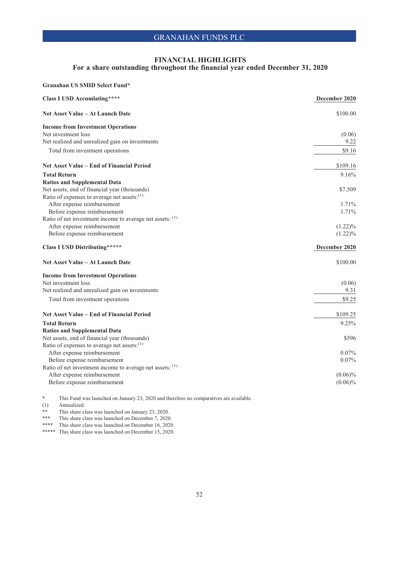## **For a share outstanding throughout the financial year ended December 31, 2020**

| Granahan US SMID Select Fund*                                                                            |               |
|----------------------------------------------------------------------------------------------------------|---------------|
| <b>Class I USD Accumlating****</b>                                                                       | December 2020 |
| Net Asset Value - At Launch Date                                                                         | \$100.00      |
| <b>Income from Investment Operations</b>                                                                 |               |
| Net investment loss                                                                                      | (0.06)        |
| Net realized and unrealized gain on investments                                                          | 9.22          |
| Total from investment operations                                                                         | \$9.16        |
| Net Asset Value – End of Financial Period                                                                | \$109.16      |
| <b>Total Return</b>                                                                                      | 9.16%         |
| <b>Ratios and Supplemental Data</b>                                                                      |               |
| Net assets, end of financial year (thousands)                                                            | \$7,509       |
| Ratio of expenses to average net assets: <sup>(1)</sup>                                                  |               |
| After expense reimbursement                                                                              | 1.71%         |
| Before expense reimbursement                                                                             | 1.71%         |
| Ratio of net investment income to average net assets: (1)                                                |               |
| After expense reimbursement                                                                              | $(1.22)\%$    |
| Before expense reimbursement                                                                             | $(1.22)\%$    |
| <b>Class I USD Distributing*****</b>                                                                     | December 2020 |
|                                                                                                          |               |
| Net Asset Value - At Launch Date                                                                         | \$100.00      |
|                                                                                                          |               |
| <b>Income from Investment Operations</b><br>Net investment loss                                          | (0.06)        |
| Net realized and unrealized gain on investments                                                          | 9.31          |
| Total from investment operations                                                                         | \$9.25        |
| Net Asset Value – End of Financial Period                                                                | \$109.25      |
| <b>Total Return</b>                                                                                      | 9.25%         |
|                                                                                                          |               |
| <b>Ratios and Supplemental Data</b>                                                                      | \$596         |
| Net assets, end of financial year (thousands)<br>Ratio of expenses to average net assets: <sup>(1)</sup> |               |
| After expense reimbursement                                                                              | $0.07\%$      |
| Before expense reimbursement                                                                             | $0.07\%$      |
| Ratio of net investment income to average net assets: (1)                                                |               |
| After expense reimbursement                                                                              | $(0.06)\%$    |
| Before expense reimbursement                                                                             | $(0.06)\%$    |

\* This Fund was launched on January 23, 2020 and therefore no comparatives are available.

(1) Annualized.

\*\* This share class was launched on January 23, 2020.

\*\*\* This share class was launched on December 7, 2020.

\*\*\*\* This share class was launched on December 16, 2020.

\*\*\*\*\* This share class was launched on December 15, 2020.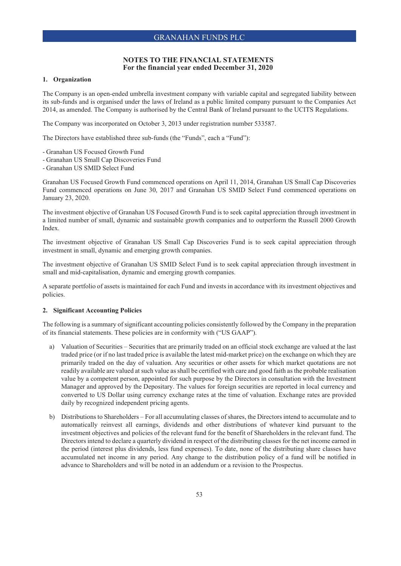### **1. Organization**

The Company is an open-ended umbrella investment company with variable capital and segregated liability between its sub-funds and is organised under the laws of Ireland as a public limited company pursuant to the Companies Act 2014, as amended. The Company is authorised by the Central Bank of Ireland pursuant to the UCITS Regulations.

The Company was incorporated on October 3, 2013 under registration number 533587.

The Directors have established three sub-funds (the "Funds", each a "Fund"):

- Granahan US Focused Growth Fund
- Granahan US Small Cap Discoveries Fund
- Granahan US SMID Select Fund

Granahan US Focused Growth Fund commenced operations on April 11, 2014, Granahan US Small Cap Discoveries Fund commenced operations on June 30, 2017 and Granahan US SMID Select Fund commenced operations on January 23, 2020.

The investment objective of Granahan US Focused Growth Fund is to seek capital appreciation through investment in a limited number of small, dynamic and sustainable growth companies and to outperform the Russell 2000 Growth Index.

The investment objective of Granahan US Small Cap Discoveries Fund is to seek capital appreciation through investment in small, dynamic and emerging growth companies.

The investment objective of Granahan US SMID Select Fund is to seek capital appreciation through investment in small and mid-capitalisation, dynamic and emerging growth companies.

A separate portfolio of assets is maintained for each Fund and invests in accordance with its investment objectives and policies.

#### **2. Significant Accounting Policies**

The following is a summary of significant accounting policies consistently followed by the Company in the preparation of its financial statements. These policies are in conformity with ("US GAAP").

- a) Valuation of Securities Securities that are primarily traded on an official stock exchange are valued at the last traded price (or if no last traded price is available the latest mid-market price) on the exchange on which they are primarily traded on the day of valuation. Any securities or other assets for which market quotations are not readily available are valued at such value as shall be certified with care and good faith as the probable realisation value by a competent person, appointed for such purpose by the Directors in consultation with the Investment Manager and approved by the Depositary. The values for foreign securities are reported in local currency and converted to US Dollar using currency exchange rates at the time of valuation. Exchange rates are provided daily by recognized independent pricing agents.
- b) Distributions to Shareholders For all accumulating classes of shares, the Directors intend to accumulate and to automatically reinvest all earnings, dividends and other distributions of whatever kind pursuant to the investment objectives and policies of the relevant fund for the benefit of Shareholders in the relevant fund. The Directors intend to declare a quarterly dividend in respect of the distributing classes for the net income earned in the period (interest plus dividends, less fund expenses). To date, none of the distributing share classes have accumulated net income in any period. Any change to the distribution policy of a fund will be notified in advance to Shareholders and will be noted in an addendum or a revision to the Prospectus.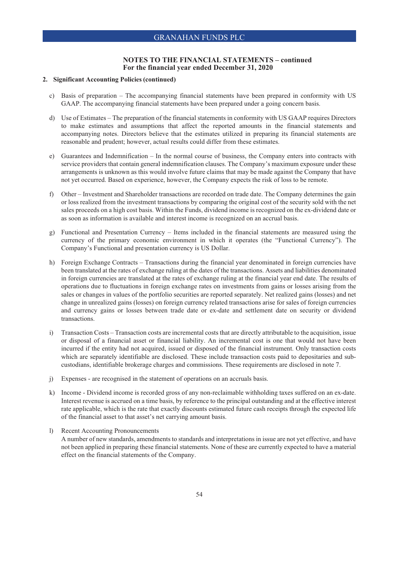### **2. Significant Accounting Policies (continued)**

- c) Basis of preparation The accompanying financial statements have been prepared in conformity with US GAAP. The accompanying financial statements have been prepared under a going concern basis.
- d) Use of Estimates The preparation of the financial statements in conformity with US GAAP requires Directors to make estimates and assumptions that affect the reported amounts in the financial statements and accompanying notes. Directors believe that the estimates utilized in preparing its financial statements are reasonable and prudent; however, actual results could differ from these estimates.
- e) Guarantees and Indemnification In the normal course of business, the Company enters into contracts with service providers that contain general indemnification clauses. The Company's maximum exposure under these arrangements is unknown as this would involve future claims that may be made against the Company that have not yet occurred. Based on experience, however, the Company expects the risk of loss to be remote.
- f) Other Investment and Shareholder transactions are recorded on trade date. The Company determines the gain or loss realized from the investment transactions by comparing the original cost of the security sold with the net sales proceeds on a high cost basis. Within the Funds, dividend income is recognized on the ex-dividend date or as soon as information is available and interest income is recognized on an accrual basis.
- g) Functional and Presentation Currency Items included in the financial statements are measured using the currency of the primary economic environment in which it operates (the "Functional Currency"). The Company's Functional and presentation currency is US Dollar.
- h) Foreign Exchange Contracts Transactions during the financial year denominated in foreign currencies have been translated at the rates of exchange ruling at the dates of the transactions. Assets and liabilities denominated in foreign currencies are translated at the rates of exchange ruling at the financial year end date. The results of operations due to fluctuations in foreign exchange rates on investments from gains or losses arising from the sales or changes in values of the portfolio securities are reported separately. Net realized gains (losses) and net change in unrealized gains (losses) on foreign currency related transactions arise for sales of foreign currencies and currency gains or losses between trade date or ex-date and settlement date on security or dividend transactions.
- i) Transaction Costs Transaction costs are incremental costs that are directly attributable to the acquisition, issue or disposal of a financial asset or financial liability. An incremental cost is one that would not have been incurred if the entity had not acquired, issued or disposed of the financial instrument. Only transaction costs which are separately identifiable are disclosed. These include transaction costs paid to depositaries and subcustodians, identifiable brokerage charges and commissions. These requirements are disclosed in note 7.
- j) Expenses are recognised in the statement of operations on an accruals basis.
- k) Income Dividend income is recorded gross of any non-reclaimable withholding taxes suffered on an ex-date. Interest revenue is accrued on a time basis, by reference to the principal outstanding and at the effective interest rate applicable, which is the rate that exactly discounts estimated future cash receipts through the expected life of the financial asset to that asset's net carrying amount basis.
- l) Recent Accounting Pronouncements A number of new standards, amendments to standards and interpretations in issue are not yet effective, and have not been applied in preparing these financial statements. None of these are currently expected to have a material effect on the financial statements of the Company.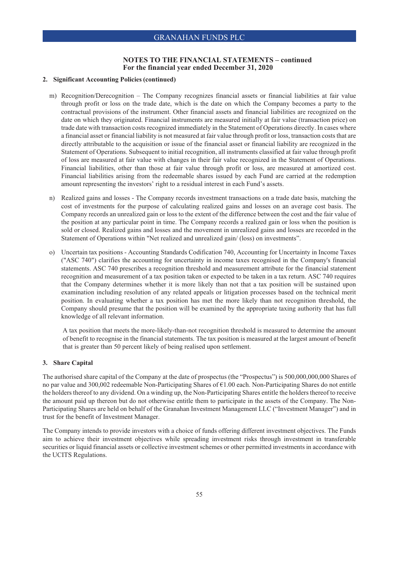### **2. Significant Accounting Policies (continued)**

- m) Recognition/Derecognition The Company recognizes financial assets or financial liabilities at fair value through profit or loss on the trade date, which is the date on which the Company becomes a party to the contractual provisions of the instrument. Other financial assets and financial liabilities are recognized on the date on which they originated. Financial instruments are measured initially at fair value (transaction price) on trade date with transaction costs recognized immediately in the Statement of Operations directly. In cases where a financial asset or financial liability is not measured at fair value through profit or loss, transaction costs that are directly attributable to the acquisition or issue of the financial asset or financial liability are recognized in the Statement of Operations. Subsequent to initial recognition, all instruments classified at fair value through profit of loss are measured at fair value with changes in their fair value recognized in the Statement of Operations. Financial liabilities, other than those at fair value through profit or loss, are measured at amortized cost. Financial liabilities arising from the redeemable shares issued by each Fund are carried at the redemption amount representing the investors' right to a residual interest in each Fund's assets.
- n) Realized gains and losses The Company records investment transactions on a trade date basis, matching the cost of investments for the purpose of calculating realized gains and losses on an average cost basis. The Company records an unrealized gain or loss to the extent of the difference between the cost and the fair value of the position at any particular point in time. The Company records a realized gain or loss when the position is sold or closed. Realized gains and losses and the movement in unrealized gains and losses are recorded in the Statement of Operations within "Net realized and unrealized gain/ (loss) on investments".
- o) Uncertain tax positions Accounting Standards Codification 740, Accounting for Uncertainty in Income Taxes ("ASC 740") clarifies the accounting for uncertainty in income taxes recognised in the Company's financial statements. ASC 740 prescribes a recognition threshold and measurement attribute for the financial statement recognition and measurement of a tax position taken or expected to be taken in a tax return. ASC 740 requires that the Company determines whether it is more likely than not that a tax position will be sustained upon examination including resolution of any related appeals or litigation processes based on the technical merit position. In evaluating whether a tax position has met the more likely than not recognition threshold, the Company should presume that the position will be examined by the appropriate taxing authority that has full knowledge of all relevant information.

A tax position that meets the more-likely-than-not recognition threshold is measured to determine the amount of benefit to recognise in the financial statements. The tax position is measured at the largest amount of benefit that is greater than 50 percent likely of being realised upon settlement.

### **3. Share Capital**

The authorised share capital of the Company at the date of prospectus (the "Prospectus") is 500,000,000,000 Shares of no par value and 300,002 redeemable Non-Participating Shares of €1.00 each. Non-Participating Shares do not entitle the holders thereof to any dividend. On a winding up, the Non-Participating Shares entitle the holders thereof to receive the amount paid up thereon but do not otherwise entitle them to participate in the assets of the Company. The Non-Participating Shares are held on behalf of the Granahan Investment Management LLC ("Investment Manager") and in trust for the benefit of Investment Manager.

The Company intends to provide investors with a choice of funds offering different investment objectives. The Funds aim to achieve their investment objectives while spreading investment risks through investment in transferable securities or liquid financial assets or collective investment schemes or other permitted investments in accordance with the UCITS Regulations.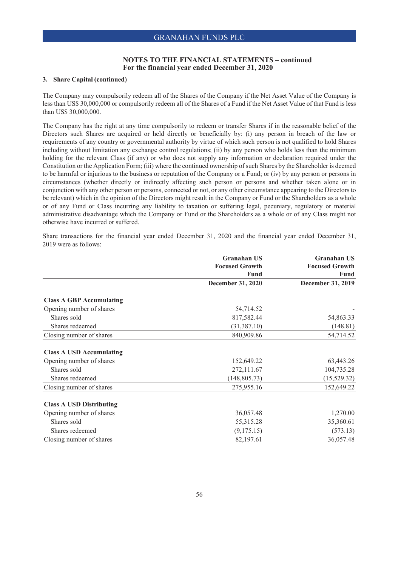### **3. Share Capital (continued)**

The Company may compulsorily redeem all of the Shares of the Company if the Net Asset Value of the Company is less than US\$ 30,000,000 or compulsorily redeem all of the Shares of a Fund if the Net Asset Value of that Fund is less than US\$ 30,000,000.

The Company has the right at any time compulsorily to redeem or transfer Shares if in the reasonable belief of the Directors such Shares are acquired or held directly or beneficially by: (i) any person in breach of the law or requirements of any country or governmental authority by virtue of which such person is not qualified to hold Shares including without limitation any exchange control regulations; (ii) by any person who holds less than the minimum holding for the relevant Class (if any) or who does not supply any information or declaration required under the Constitution or the Application Form; (iii) where the continued ownership of such Shares by the Shareholder is deemed to be harmful or injurious to the business or reputation of the Company or a Fund; or (iv) by any person or persons in circumstances (whether directly or indirectly affecting such person or persons and whether taken alone or in conjunction with any other person or persons, connected or not, or any other circumstance appearing to the Directors to be relevant) which in the opinion of the Directors might result in the Company or Fund or the Shareholders as a whole or of any Fund or Class incurring any liability to taxation or suffering legal, pecuniary, regulatory or material administrative disadvantage which the Company or Fund or the Shareholders as a whole or of any Class might not otherwise have incurred or suffered.

Share transactions for the financial year ended December 31, 2020 and the financial year ended December 31, 2019 were as follows:

|                                 | <b>Granahan US</b>    | <b>Granahan US</b>    |
|---------------------------------|-----------------------|-----------------------|
|                                 | <b>Focused Growth</b> | <b>Focused Growth</b> |
|                                 | <b>Fund</b>           | <b>Fund</b>           |
|                                 | December 31, 2020     | December 31, 2019     |
| <b>Class A GBP Accumulating</b> |                       |                       |
| Opening number of shares        | 54,714.52             |                       |
| Shares sold                     | 817,582.44            | 54,863.33             |
| Shares redeemed                 | (31, 387.10)          | (148.81)              |
| Closing number of shares        | 840,909.86            | 54,714.52             |
| <b>Class A USD Accumulating</b> |                       |                       |
| Opening number of shares        | 152,649.22            | 63,443.26             |
| Shares sold                     | 272,111.67            | 104,735.28            |
| Shares redeemed                 | (148, 805.73)         | (15,529.32)           |
| Closing number of shares        | 275,955.16            | 152,649.22            |
| <b>Class A USD Distributing</b> |                       |                       |
| Opening number of shares        | 36,057.48             | 1,270.00              |
| Shares sold                     | 55, 315. 28           | 35,360.61             |
| Shares redeemed                 | (9,175.15)            | (573.13)              |
| Closing number of shares        | 82,197.61             | 36,057.48             |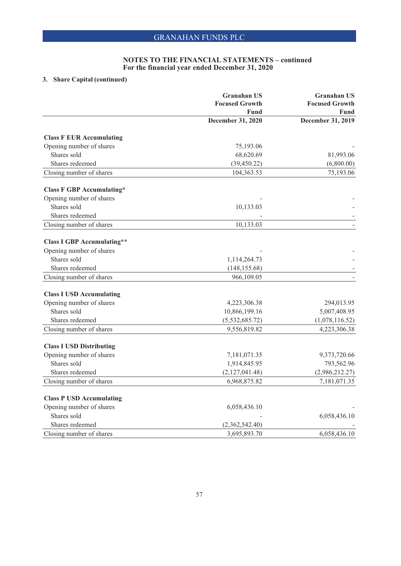## **3. Share Capital (continued)**

|                                   | <b>Granahan US</b>                   | <b>Granahan US</b>               |
|-----------------------------------|--------------------------------------|----------------------------------|
|                                   | <b>Focused Growth</b><br><b>Fund</b> | <b>Focused Growth</b>            |
|                                   | December 31, 2020                    | <b>Fund</b><br>December 31, 2019 |
|                                   |                                      |                                  |
| <b>Class F EUR Accumulating</b>   |                                      |                                  |
| Opening number of shares          | 75,193.06                            |                                  |
| Shares sold                       | 68,620.69                            | 81,993.06                        |
| Shares redeemed                   | (39, 450.22)                         | (6,800.00)                       |
| Closing number of shares          | 104,363.53                           | 75,193.06                        |
| <b>Class F GBP Accumulating*</b>  |                                      |                                  |
| Opening number of shares          |                                      |                                  |
| Shares sold                       | 10,133.03                            |                                  |
| Shares redeemed                   |                                      |                                  |
| Closing number of shares          | 10,133.03                            |                                  |
| <b>Class I GBP Accumulating**</b> |                                      |                                  |
| Opening number of shares          |                                      |                                  |
| Shares sold                       | 1,114,264.73                         |                                  |
| Shares redeemed                   | (148, 155.68)                        |                                  |
| Closing number of shares          | 966,109.05                           |                                  |
| <b>Class I USD Accumulating</b>   |                                      |                                  |
| Opening number of shares          | 4,223,306.38                         | 294,013.95                       |
| Shares sold                       | 10,866,199.16                        | 5,007,408.95                     |
| Shares redeemed                   | (5,532,685.72)                       | (1,078,116.52)                   |
| Closing number of shares          | 9,556,819.82                         | 4,223,306.38                     |
|                                   |                                      |                                  |
| <b>Class I USD Distributing</b>   |                                      |                                  |
| Opening number of shares          | 7,181,071.35                         | 9,373,720.66                     |
| Shares sold                       | 1,914,845.95                         | 793,562.96                       |
| Shares redeemed                   | (2,127,041.48)                       | (2,986,212.27)                   |
| Closing number of shares          | 6,968,875.82                         | 7,181,071.35                     |
| <b>Class P USD Accumulating</b>   |                                      |                                  |
| Opening number of shares          | 6,058,436.10                         |                                  |
| Shares sold                       |                                      | 6,058,436.10                     |
| Shares redeemed                   | (2,362,542.40)                       |                                  |
| Closing number of shares          | 3,695,893.70                         | 6,058,436.10                     |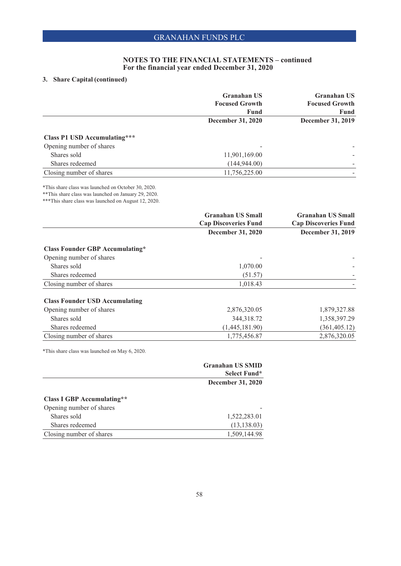## **3. Share Capital (continued)**

|                                     | <b>Granahan US</b><br><b>Focused Growth</b> | <b>Granahan US</b><br><b>Focused Growth</b> |
|-------------------------------------|---------------------------------------------|---------------------------------------------|
|                                     | <b>Fund</b>                                 | Fund                                        |
|                                     | <b>December 31, 2020</b>                    | December 31, 2019                           |
| <b>Class P1 USD Accumulating***</b> |                                             |                                             |
| Opening number of shares            |                                             |                                             |
| Shares sold                         | 11,901,169.00                               |                                             |
| Shares redeemed                     | (144, 944.00)                               |                                             |
| Closing number of shares            | 11,756,225.00                               |                                             |

\*This share class was launched on October 30, 2020.

\*\*This share class was launched on January 29, 2020.

\*\*\*This share class was launched on August 12, 2020.

|                                        | <b>Granahan US Small</b>    | <b>Granahan US Small</b>    |
|----------------------------------------|-----------------------------|-----------------------------|
|                                        | <b>Cap Discoveries Fund</b> | <b>Cap Discoveries Fund</b> |
|                                        | December 31, 2020           | <b>December 31, 2019</b>    |
| <b>Class Founder GBP Accumulating*</b> |                             |                             |
| Opening number of shares               |                             |                             |
| Shares sold                            | 1,070.00                    |                             |
| Shares redeemed                        | (51.57)                     |                             |
| Closing number of shares               | 1,018.43                    |                             |
| <b>Class Founder USD Accumulating</b>  |                             |                             |
| Opening number of shares               | 2,876,320.05                | 1,879,327.88                |
| Shares sold                            | 344,318.72                  | 1,358,397.29                |
| Shares redeemed                        | (1,445,181.90)              | (361, 405.12)               |
| Closing number of shares               | 1,775,456.87                | 2,876,320.05                |

\*This share class was launched on May 6, 2020.

|                                   | <b>Granahan US SMID</b>  |
|-----------------------------------|--------------------------|
|                                   | Select Fund*             |
|                                   | <b>December 31, 2020</b> |
| <b>Class I GBP Accumulating**</b> |                          |
| Opening number of shares          |                          |
| Shares sold                       | 1,522,283.01             |
| Shares redeemed                   | (13, 138.03)             |
| Closing number of shares          | 1,509,144.98             |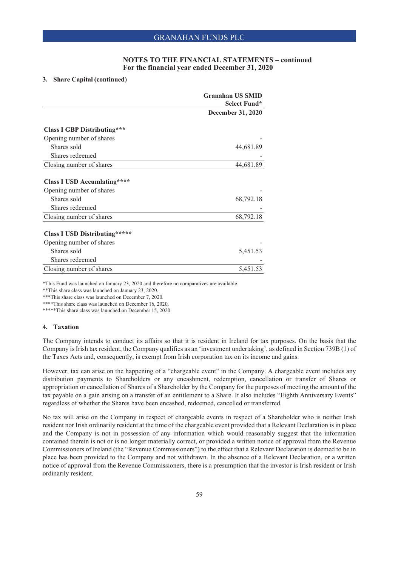### **3. Share Capital (continued)**

|                                      | <b>Granahan US SMID</b>  |
|--------------------------------------|--------------------------|
|                                      | Select Fund*             |
|                                      | <b>December 31, 2020</b> |
| <b>Class I GBP Distributing***</b>   |                          |
| Opening number of shares             |                          |
| Shares sold                          | 44,681.89                |
| Shares redeemed                      |                          |
| Closing number of shares             | 44,681.89                |
| <b>Class I USD Accumlating****</b>   |                          |
| Opening number of shares             |                          |
| Shares sold                          | 68,792.18                |
| Shares redeemed                      |                          |
| Closing number of shares             | 68,792.18                |
| <b>Class I USD Distributing*****</b> |                          |
| Opening number of shares             |                          |
| Shares sold                          | 5,451.53                 |
| Shares redeemed                      |                          |
| Closing number of shares             | 5,451.53                 |

\*This Fund was launched on January 23, 2020 and therefore no comparatives are available.

\*\*This share class was launched on January 23, 2020.

\*\*\*This share class was launched on December 7, 2020.

\*\*\*\*This share class was launched on December 16, 2020.

\*\*\*\*\*This share class was launched on December 15, 2020.

### **4. Taxation**

The Company intends to conduct its affairs so that it is resident in Ireland for tax purposes. On the basis that the Company is Irish tax resident, the Company qualifies as an 'investment undertaking', as defined in Section 739B (1) of the Taxes Acts and, consequently, is exempt from Irish corporation tax on its income and gains.

However, tax can arise on the happening of a "chargeable event" in the Company. A chargeable event includes any distribution payments to Shareholders or any encashment, redemption, cancellation or transfer of Shares or appropriation or cancellation of Shares of a Shareholder by the Company for the purposes of meeting the amount of the tax payable on a gain arising on a transfer of an entitlement to a Share. It also includes "Eighth Anniversary Events" regardless of whether the Shares have been encashed, redeemed, cancelled or transferred.

No tax will arise on the Company in respect of chargeable events in respect of a Shareholder who is neither Irish resident nor Irish ordinarily resident at the time of the chargeable event provided that a Relevant Declaration is in place and the Company is not in possession of any information which would reasonably suggest that the information contained therein is not or is no longer materially correct, or provided a written notice of approval from the Revenue Commissioners of Ireland (the "Revenue Commissioners") to the effect that a Relevant Declaration is deemed to be in place has been provided to the Company and not withdrawn. In the absence of a Relevant Declaration, or a written notice of approval from the Revenue Commissioners, there is a presumption that the investor is Irish resident or Irish ordinarily resident.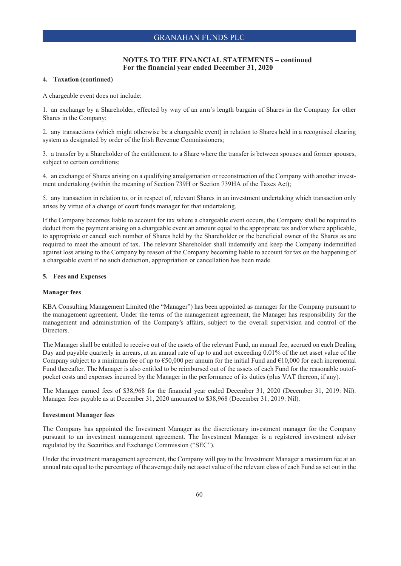### **4. Taxation (continued)**

A chargeable event does not include:

1. an exchange by a Shareholder, effected by way of an arm's length bargain of Shares in the Company for other Shares in the Company;

2. any transactions (which might otherwise be a chargeable event) in relation to Shares held in a recognised clearing system as designated by order of the Irish Revenue Commissioners;

3. a transfer by a Shareholder of the entitlement to a Share where the transfer is between spouses and former spouses, subject to certain conditions;

4. an exchange of Shares arising on a qualifying amalgamation or reconstruction of the Company with another investment undertaking (within the meaning of Section 739H or Section 739HA of the Taxes Act);

5. any transaction in relation to, or in respect of, relevant Shares in an investment undertaking which transaction only arises by virtue of a change of court funds manager for that undertaking.

If the Company becomes liable to account for tax where a chargeable event occurs, the Company shall be required to deduct from the payment arising on a chargeable event an amount equal to the appropriate tax and/or where applicable, to appropriate or cancel such number of Shares held by the Shareholder or the beneficial owner of the Shares as are required to meet the amount of tax. The relevant Shareholder shall indemnify and keep the Company indemnified against loss arising to the Company by reason of the Company becoming liable to account for tax on the happening of a chargeable event if no such deduction, appropriation or cancellation has been made.

### **5. Fees and Expenses**

### **Manager fees**

KBA Consulting Management Limited (the "Manager") has been appointed as manager for the Company pursuant to the management agreement. Under the terms of the management agreement, the Manager has responsibility for the management and administration of the Company's affairs, subject to the overall supervision and control of the Directors.

The Manager shall be entitled to receive out of the assets of the relevant Fund, an annual fee, accrued on each Dealing Day and payable quarterly in arrears, at an annual rate of up to and not exceeding 0.01% of the net asset value of the Company subject to a minimum fee of up to  $\epsilon$ 50,000 per annum for the initial Fund and  $\epsilon$ 10,000 for each incremental Fund thereafter. The Manager is also entitled to be reimbursed out of the assets of each Fund for the reasonable outofpocket costs and expenses incurred by the Manager in the performance of its duties (plus VAT thereon, if any).

The Manager earned fees of \$38,968 for the financial year ended December 31, 2020 (December 31, 2019: Nil). Manager fees payable as at December 31, 2020 amounted to \$38,968 (December 31, 2019: Nil).

### **Investment Manager fees**

The Company has appointed the Investment Manager as the discretionary investment manager for the Company pursuant to an investment management agreement. The Investment Manager is a registered investment adviser regulated by the Securities and Exchange Commission ("SEC").

Under the investment management agreement, the Company will pay to the Investment Manager a maximum fee at an annual rate equal to the percentage of the average daily net asset value of the relevant class of each Fund as set out in the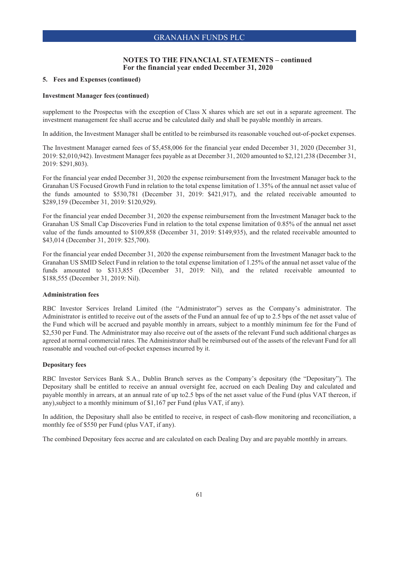## **NOTES TO THE FINANCIAL STATEMENTS – continued For the financial year ended December 31, 2020**

### **5. Fees and Expenses (continued)**

### **Investment Manager fees (continued)**

supplement to the Prospectus with the exception of Class X shares which are set out in a separate agreement. The investment management fee shall accrue and be calculated daily and shall be payable monthly in arrears.

In addition, the Investment Manager shall be entitled to be reimbursed its reasonable vouched out-of-pocket expenses.

The Investment Manager earned fees of \$5,458,006 for the financial year ended December 31, 2020 (December 31, 2019: \$2,010,942). Investment Manager fees payable as at December 31, 2020 amounted to \$2,121,238 (December 31, 2019: \$291,803).

For the financial year ended December 31, 2020 the expense reimbursement from the Investment Manager back to the Granahan US Focused Growth Fund in relation to the total expense limitation of 1.35% of the annual net asset value of the funds amounted to \$530,781 (December 31, 2019: \$421,917), and the related receivable amounted to \$289,159 (December 31, 2019: \$120,929).

For the financial year ended December 31, 2020 the expense reimbursement from the Investment Manager back to the Granahan US Small Cap Discoveries Fund in relation to the total expense limitation of 0.85% of the annual net asset value of the funds amounted to \$109,858 (December 31, 2019: \$149,935), and the related receivable amounted to \$43,014 (December 31, 2019: \$25,700).

For the financial year ended December 31, 2020 the expense reimbursement from the Investment Manager back to the Granahan US SMID Select Fund in relation to the total expense limitation of 1.25% of the annual net asset value of the funds amounted to \$313,855 (December 31, 2019: Nil), and the related receivable amounted to \$188,555 (December 31, 2019: Nil).

### **Administration fees**

RBC Investor Services Ireland Limited (the "Administrator") serves as the Company's administrator. The Administrator is entitled to receive out of the assets of the Fund an annual fee of up to 2.5 bps of the net asset value of the Fund which will be accrued and payable monthly in arrears, subject to a monthly minimum fee for the Fund of \$2,530 per Fund. The Administrator may also receive out of the assets of the relevant Fund such additional charges as agreed at normal commercial rates. The Administrator shall be reimbursed out of the assets of the relevant Fund for all reasonable and vouched out-of-pocket expenses incurred by it.

### **Depositary fees**

RBC Investor Services Bank S.A., Dublin Branch serves as the Company's depositary (the "Depositary"). The Depositary shall be entitled to receive an annual oversight fee, accrued on each Dealing Day and calculated and payable monthly in arrears, at an annual rate of up to2.5 bps of the net asset value of the Fund (plus VAT thereon, if any),subject to a monthly minimum of \$1,167 per Fund (plus VAT, if any).

In addition, the Depositary shall also be entitled to receive, in respect of cash-flow monitoring and reconciliation, a monthly fee of \$550 per Fund (plus VAT, if any).

The combined Depositary fees accrue and are calculated on each Dealing Day and are payable monthly in arrears.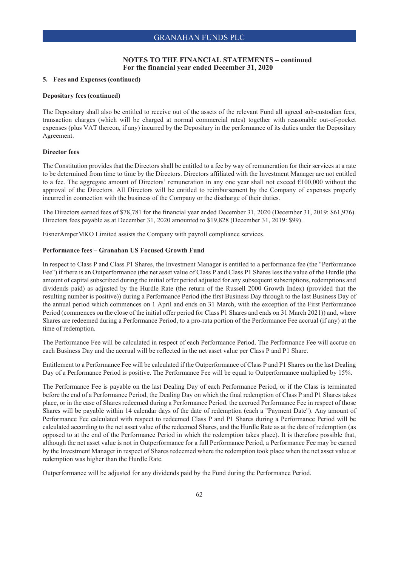### **5. Fees and Expenses (continued)**

#### **Depositary fees (continued)**

The Depositary shall also be entitled to receive out of the assets of the relevant Fund all agreed sub-custodian fees, transaction charges (which will be charged at normal commercial rates) together with reasonable out-of-pocket expenses (plus VAT thereon, if any) incurred by the Depositary in the performance of its duties under the Depositary Agreement.

### **Director fees**

The Constitution provides that the Directors shall be entitled to a fee by way of remuneration for their services at a rate to be determined from time to time by the Directors. Directors affiliated with the Investment Manager are not entitled to a fee. The aggregate amount of Directors' remuneration in any one year shall not exceed  $\epsilon$ 100,000 without the approval of the Directors. All Directors will be entitled to reimbursement by the Company of expenses properly incurred in connection with the business of the Company or the discharge of their duties.

The Directors earned fees of \$78,781 for the financial year ended December 31, 2020 (December 31, 2019: \$61,976). Directors fees payable as at December 31, 2020 amounted to \$19,828 (December 31, 2019: \$99).

EisnerAmperMKO Limited assists the Company with payroll compliance services.

### **Performance fees – Granahan US Focused Growth Fund**

In respect to Class P and Class P1 Shares, the Investment Manager is entitled to a performance fee (the "Performance Fee") if there is an Outperformance (the net asset value of Class P and Class P1 Shares less the value of the Hurdle (the amount of capital subscribed during the initial offer period adjusted for any subsequent subscriptions, redemptions and dividends paid) as adjusted by the Hurdle Rate (the return of the Russell 2000 Growth Index) (provided that the resulting number is positive)) during a Performance Period (the first Business Day through to the last Business Day of the annual period which commences on 1 April and ends on 31 March, with the exception of the First Performance Period (commences on the close of the initial offer period for Class P1 Shares and ends on 31 March 2021)) and, where Shares are redeemed during a Performance Period, to a pro-rata portion of the Performance Fee accrual (if any) at the time of redemption.

The Performance Fee will be calculated in respect of each Performance Period. The Performance Fee will accrue on each Business Day and the accrual will be reflected in the net asset value per Class P and P1 Share.

Entitlement to a Performance Fee will be calculated if the Outperformance of Class P and P1 Shares on the last Dealing Day of a Performance Period is positive. The Performance Fee will be equal to Outperformance multiplied by 15%.

The Performance Fee is payable on the last Dealing Day of each Performance Period, or if the Class is terminated before the end of a Performance Period, the Dealing Day on which the final redemption of Class P and P1 Shares takes place, or in the case of Shares redeemed during a Performance Period, the accrued Performance Fee in respect of those Shares will be payable within 14 calendar days of the date of redemption (each a "Payment Date"). Any amount of Performance Fee calculated with respect to redeemed Class P and P1 Shares during a Performance Period will be calculated according to the net asset value of the redeemed Shares, and the Hurdle Rate as at the date of redemption (as opposed to at the end of the Performance Period in which the redemption takes place). It is therefore possible that, although the net asset value is not in Outperformance for a full Performance Period, a Performance Fee may be earned by the Investment Manager in respect of Shares redeemed where the redemption took place when the net asset value at redemption was higher than the Hurdle Rate.

Outperformance will be adjusted for any dividends paid by the Fund during the Performance Period.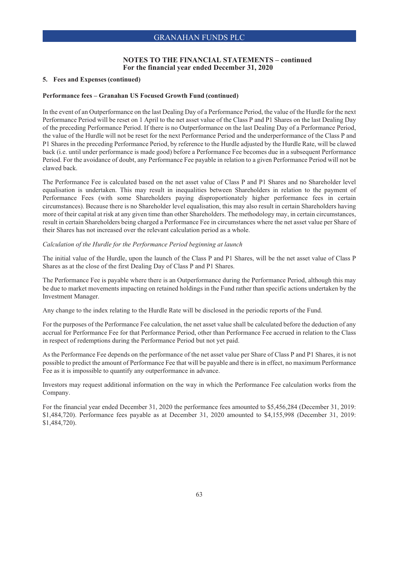### **5. Fees and Expenses (continued)**

#### **Performance fees – Granahan US Focused Growth Fund (continued)**

In the event of an Outperformance on the last Dealing Day of a Performance Period, the value of the Hurdle for the next Performance Period will be reset on 1 April to the net asset value of the Class P and P1 Shares on the last Dealing Day of the preceding Performance Period. If there is no Outperformance on the last Dealing Day of a Performance Period, the value of the Hurdle will not be reset for the next Performance Period and the underperformance of the Class P and P1 Shares in the preceding Performance Period, by reference to the Hurdle adjusted by the Hurdle Rate, will be clawed back (i.e. until under performance is made good) before a Performance Fee becomes due in a subsequent Performance Period. For the avoidance of doubt, any Performance Fee payable in relation to a given Performance Period will not be clawed back.

The Performance Fee is calculated based on the net asset value of Class P and P1 Shares and no Shareholder level equalisation is undertaken. This may result in inequalities between Shareholders in relation to the payment of Performance Fees (with some Shareholders paying disproportionately higher performance fees in certain circumstances). Because there is no Shareholder level equalisation, this may also result in certain Shareholders having more of their capital at risk at any given time than other Shareholders. The methodology may, in certain circumstances, result in certain Shareholders being charged a Performance Fee in circumstances where the net asset value per Share of their Shares has not increased over the relevant calculation period as a whole.

### *Calculation of the Hurdle for the Performance Period beginning at launch*

The initial value of the Hurdle, upon the launch of the Class P and P1 Shares, will be the net asset value of Class P Shares as at the close of the first Dealing Day of Class P and P1 Shares.

The Performance Fee is payable where there is an Outperformance during the Performance Period, although this may be due to market movements impacting on retained holdings in the Fund rather than specific actions undertaken by the Investment Manager.

Any change to the index relating to the Hurdle Rate will be disclosed in the periodic reports of the Fund.

For the purposes of the Performance Fee calculation, the net asset value shall be calculated before the deduction of any accrual for Performance Fee for that Performance Period, other than Performance Fee accrued in relation to the Class in respect of redemptions during the Performance Period but not yet paid.

As the Performance Fee depends on the performance of the net asset value per Share of Class P and P1 Shares, it is not possible to predict the amount of Performance Fee that will be payable and there is in effect, no maximum Performance Fee as it is impossible to quantify any outperformance in advance.

Investors may request additional information on the way in which the Performance Fee calculation works from the Company.

For the financial year ended December 31, 2020 the performance fees amounted to \$5,456,284 (December 31, 2019: \$1,484,720). Performance fees payable as at December 31, 2020 amounted to \$4,155,998 (December 31, 2019: \$1,484,720).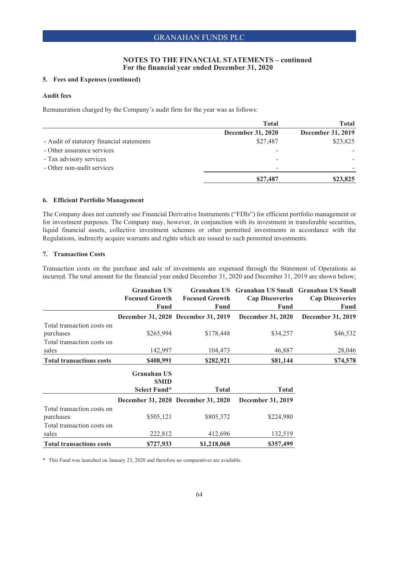## **NOTES TO THE FINANCIAL STATEMENTS – continued For the financial year ended December 31, 2020**

## **5. Fees and Expenses (continued)**

### **Audit fees**

Remuneration charged by the Company's audit firm for the year was as follows:

|                                           | <b>Total</b>             | Total             |
|-------------------------------------------|--------------------------|-------------------|
|                                           | <b>December 31, 2020</b> | December 31, 2019 |
| - Audit of statutory financial statements | \$27,487                 | \$23,825          |
| - Other assurance services                |                          |                   |
| - Tax advisory services                   |                          |                   |
| - Other non-audit services                |                          |                   |
|                                           | \$27,487                 | \$23,825          |

### **6. Efficient Portfolio Management**

The Company does not currently use Financial Derivative Instruments ("FDIs") for efficient portfolio management or for investment purposes. The Company may, however, in conjunction with its investment in transferable securities, liquid financial assets, collective investment schemes or other permitted investments in accordance with the Regulations, indirectly acquire warrants and rights which are issued to such permitted investments.

### **7. Transaction Costs**

Transaction costs on the purchase and sale of investments are expensed through the Statement of Operations as incurred. The total amount for the financial year ended December 31, 2020 and December 31, 2019 are shown below;

|                                         | <b>Granahan US</b><br><b>Focused Growth</b><br>Fund | <b>Focused Growth</b><br>Fund       | Granahan US Granahan US Small Granahan US Small<br><b>Cap Discoveries</b><br>Fund | <b>Cap Discoveries</b><br>Fund |
|-----------------------------------------|-----------------------------------------------------|-------------------------------------|-----------------------------------------------------------------------------------|--------------------------------|
|                                         |                                                     | December 31, 2020 December 31, 2019 | <b>December 31, 2020</b>                                                          | <b>December 31, 2019</b>       |
| Total transaction costs on<br>purchases | \$265,994                                           | \$178,448                           | \$34,257                                                                          | \$46,532                       |
| Total transaction costs on<br>sales     | 142,997                                             | 104,473                             | 46,887                                                                            | 28,046                         |
| <b>Total transactions costs</b>         | \$408,991                                           | \$282,921                           | \$81,144                                                                          | \$74,578                       |
|                                         | <b>Granahan US</b><br><b>SMID</b><br>Select Fund*   | <b>Total</b>                        | <b>Total</b>                                                                      |                                |
|                                         |                                                     | December 31, 2020 December 31, 2020 | December 31, 2019                                                                 |                                |
| Total transaction costs on<br>purchases | \$505,121                                           | \$805,372                           | \$224,980                                                                         |                                |
| Total transaction costs on<br>sales     | 222,812                                             | 412,696                             | 132,519                                                                           |                                |
| <b>Total transactions costs</b>         | \$727,933                                           | \$1,218,068                         | \$357,499                                                                         |                                |

\* This Fund was launched on January 23, 2020 and therefore no comparatives are available.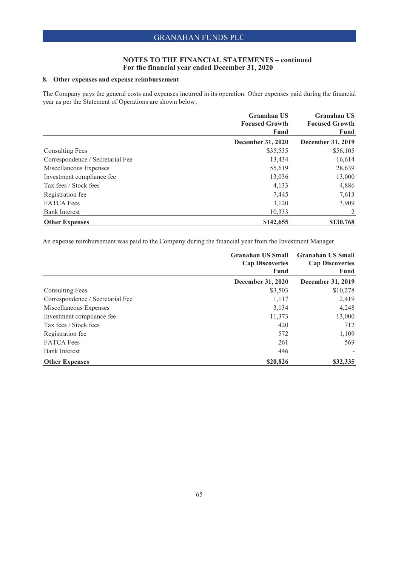## **NOTES TO THE FINANCIAL STATEMENTS – continued For the financial year ended December 31, 2020**

## **8. Other expenses and expense reimbursement**

The Company pays the general costs and expenses incurred in its operation. Other expenses paid during the financial year as per the Statement of Operations are shown below;

|                                  | <b>Granahan US</b>       | <b>Granahan US</b><br><b>Focused Growth</b> |  |
|----------------------------------|--------------------------|---------------------------------------------|--|
|                                  | <b>Focused Growth</b>    |                                             |  |
|                                  | Fund                     | Fund                                        |  |
|                                  | <b>December 31, 2020</b> | December 31, 2019                           |  |
| <b>Consulting Fees</b>           | \$35,535                 | \$56,105                                    |  |
| Correspondence / Secretarial Fee | 13,434                   | 16,614                                      |  |
| Miscellaneous Expenses           | 55,619                   | 28,639                                      |  |
| Investment compliance fee        | 13,036                   | 13,000                                      |  |
| Tax fees / Stock fees            | 4,133                    | 4,886                                       |  |
| Registration fee                 | 7,445                    | 7,613                                       |  |
| <b>FATCA</b> Fees                | 3,120                    | 3,909                                       |  |
| <b>Bank Interest</b>             | 10,333                   | 2                                           |  |
| <b>Other Expenses</b>            | \$142,655                | \$130,768                                   |  |

An expense reimbursement was paid to the Company during the financial year from the Investment Manager.

|                                  | <b>Granahan US Small</b><br><b>Cap Discoveries</b><br>Fund | <b>Granahan US Small</b><br><b>Cap Discoveries</b><br>Fund |  |
|----------------------------------|------------------------------------------------------------|------------------------------------------------------------|--|
|                                  | <b>December 31, 2020</b>                                   | December 31, 2019                                          |  |
| <b>Consulting Fees</b>           | \$3,503                                                    | \$10,278                                                   |  |
| Correspondence / Secretarial Fee | 1,117                                                      | 2,419                                                      |  |
| Miscellaneous Expenses           | 3.134                                                      | 4,248                                                      |  |
| Investment compliance fee        | 11,373                                                     | 13,000                                                     |  |
| Tax fees / Stock fees            | 420                                                        | 712                                                        |  |
| Registration fee                 | 572                                                        | 1,109                                                      |  |
| <b>FATCA Fees</b>                | 261                                                        | 569                                                        |  |
| <b>Bank Interest</b>             | 446                                                        |                                                            |  |
| <b>Other Expenses</b>            | \$20,826                                                   | \$32,335                                                   |  |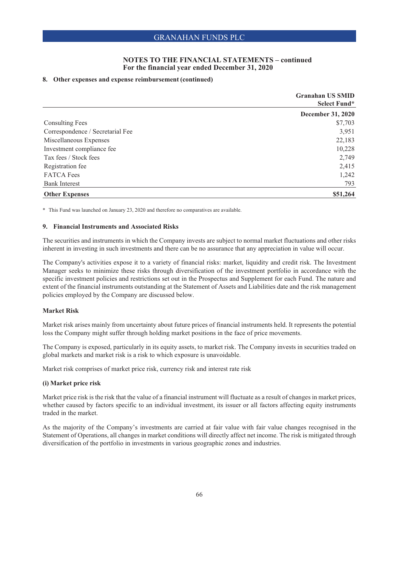### **8. Other expenses and expense reimbursement (continued)**

|                                  | <b>Granahan US SMID</b><br>Select Fund* |
|----------------------------------|-----------------------------------------|
|                                  | <b>December 31, 2020</b>                |
| Consulting Fees                  | \$7,703                                 |
| Correspondence / Secretarial Fee | 3,951                                   |
| Miscellaneous Expenses           | 22,183                                  |
| Investment compliance fee        | 10,228                                  |
| Tax fees / Stock fees            | 2,749                                   |
| Registration fee                 | 2,415                                   |
| <b>FATCA</b> Fees                | 1,242                                   |
| <b>Bank Interest</b>             | 793                                     |
| <b>Other Expenses</b>            | \$51,264                                |

\* This Fund was launched on January 23, 2020 and therefore no comparatives are available.

#### **9. Financial Instruments and Associated Risks**

The securities and instruments in which the Company invests are subject to normal market fluctuations and other risks inherent in investing in such investments and there can be no assurance that any appreciation in value will occur.

The Company's activities expose it to a variety of financial risks: market, liquidity and credit risk. The Investment Manager seeks to minimize these risks through diversification of the investment portfolio in accordance with the specific investment policies and restrictions set out in the Prospectus and Supplement for each Fund. The nature and extent of the financial instruments outstanding at the Statement of Assets and Liabilities date and the risk management policies employed by the Company are discussed below.

## **Market Risk**

Market risk arises mainly from uncertainty about future prices of financial instruments held. It represents the potential loss the Company might suffer through holding market positions in the face of price movements.

The Company is exposed, particularly in its equity assets, to market risk. The Company invests in securities traded on global markets and market risk is a risk to which exposure is unavoidable.

Market risk comprises of market price risk, currency risk and interest rate risk

#### **(i) Market price risk**

Market price risk is the risk that the value of a financial instrument will fluctuate as a result of changes in market prices, whether caused by factors specific to an individual investment, its issuer or all factors affecting equity instruments traded in the market.

As the majority of the Company's investments are carried at fair value with fair value changes recognised in the Statement of Operations, all changes in market conditions will directly affect net income. The risk is mitigated through diversification of the portfolio in investments in various geographic zones and industries.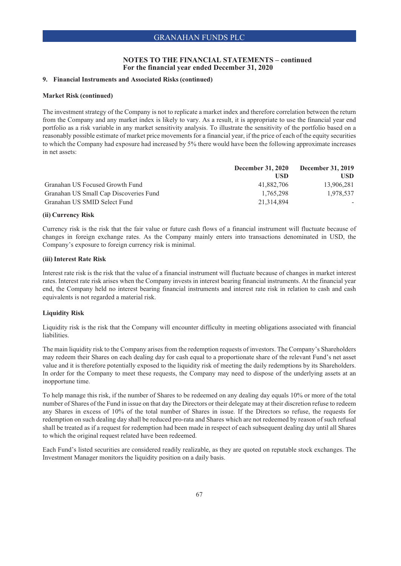### **9. Financial Instruments and Associated Risks (continued)**

### **Market Risk (continued)**

The investment strategy of the Company is not to replicate a market index and therefore correlation between the return from the Company and any market index is likely to vary. As a result, it is appropriate to use the financial year end portfolio as a risk variable in any market sensitivity analysis. To illustrate the sensitivity of the portfolio based on a reasonably possible estimate of market price movements for a financial year, if the price of each of the equity securities to which the Company had exposure had increased by 5% there would have been the following approximate increases in net assets:

|                                        | <b>December 31, 2020</b> | <b>December 31, 2019</b> |
|----------------------------------------|--------------------------|--------------------------|
|                                        | <b>USD</b>               | <b>USD</b>               |
| Granahan US Focused Growth Fund        | 41,882,706               | 13,906,281               |
| Granahan US Small Cap Discoveries Fund | 1.765.298                | 1.978.537                |
| Granahan US SMID Select Fund           | 21,314,894               |                          |

### **(ii) Currency Risk**

Currency risk is the risk that the fair value or future cash flows of a financial instrument will fluctuate because of changes in foreign exchange rates. As the Company mainly enters into transactions denominated in USD, the Company's exposure to foreign currency risk is minimal.

### **(iii) Interest Rate Risk**

Interest rate risk is the risk that the value of a financial instrument will fluctuate because of changes in market interest rates. Interest rate risk arises when the Company invests in interest bearing financial instruments. At the financial year end, the Company held no interest bearing financial instruments and interest rate risk in relation to cash and cash equivalents is not regarded a material risk.

### **Liquidity Risk**

Liquidity risk is the risk that the Company will encounter difficulty in meeting obligations associated with financial liabilities.

The main liquidity risk to the Company arises from the redemption requests of investors. The Company's Shareholders may redeem their Shares on each dealing day for cash equal to a proportionate share of the relevant Fund's net asset value and it is therefore potentially exposed to the liquidity risk of meeting the daily redemptions by its Shareholders. In order for the Company to meet these requests, the Company may need to dispose of the underlying assets at an inopportune time.

To help manage this risk, if the number of Shares to be redeemed on any dealing day equals 10% or more of the total number of Shares of the Fund in issue on that day the Directors or their delegate may at their discretion refuse to redeem any Shares in excess of 10% of the total number of Shares in issue. If the Directors so refuse, the requests for redemption on such dealing day shall be reduced pro-rata and Shares which are not redeemed by reason of such refusal shall be treated as if a request for redemption had been made in respect of each subsequent dealing day until all Shares to which the original request related have been redeemed.

Each Fund's listed securities are considered readily realizable, as they are quoted on reputable stock exchanges. The Investment Manager monitors the liquidity position on a daily basis.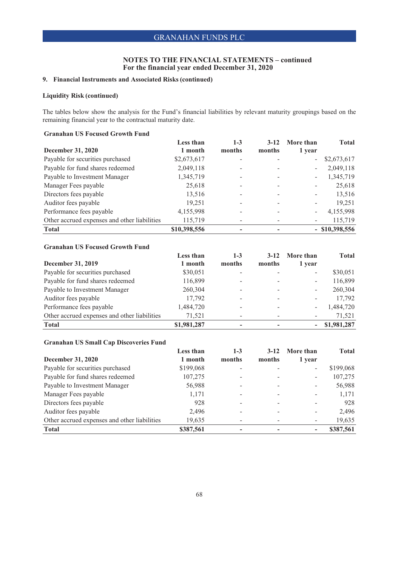## **NOTES TO THE FINANCIAL STATEMENTS – continued For the financial year ended December 31, 2020**

## **9. Financial Instruments and Associated Risks (continued)**

## **Liquidity Risk (continued)**

The tables below show the analysis for the Fund's financial liabilities by relevant maturity groupings based on the remaining financial year to the contractual maturity date.

## **Granahan US Focused Growth Fund**

|                                              | Less than    | $1 - 3$ | $3-12$ | More than                | <b>Total</b>     |
|----------------------------------------------|--------------|---------|--------|--------------------------|------------------|
| December 31, 2020                            | 1 month      | months  | months | 1 year                   |                  |
| Payable for securities purchased             | \$2,673,617  |         |        | $\overline{\phantom{0}}$ | \$2,673,617      |
| Payable for fund shares redeemed             | 2,049,118    |         |        | $\overline{\phantom{0}}$ | 2,049,118        |
| Payable to Investment Manager                | 1,345,719    |         |        | $\overline{\phantom{0}}$ | 1,345,719        |
| Manager Fees payable                         | 25,618       |         |        |                          | 25,618           |
| Directors fees payable                       | 13,516       |         |        |                          | 13,516           |
| Auditor fees payable                         | 19,251       |         |        |                          | 19,251           |
| Performance fees payable                     | 4,155,998    |         |        |                          | 4,155,998        |
| Other accrued expenses and other liabilities | 115,719      |         |        |                          | 115,719          |
| <b>Total</b>                                 | \$10,398,556 |         |        |                          | $-$ \$10,398,556 |

## **Granahan US Focused Growth Fund**

|                                              | Less than   | $1 - 3$                  | $3-12$                   | More than                | <b>Total</b> |
|----------------------------------------------|-------------|--------------------------|--------------------------|--------------------------|--------------|
| <b>December 31, 2019</b>                     | 1 month     | months                   | months                   | 1 year                   |              |
| Payable for securities purchased             | \$30,051    |                          |                          | $\overline{\phantom{0}}$ | \$30,051     |
| Payable for fund shares redeemed             | 116,899     | $\overline{\phantom{a}}$ | -                        | -                        | 116,899      |
| Payable to Investment Manager                | 260,304     | ۰                        |                          | $\overline{\phantom{0}}$ | 260,304      |
| Auditor fees payable                         | 17,792      | -                        | $\overline{\phantom{0}}$ | -                        | 17,792       |
| Performance fees payable                     | 1,484,720   | $\overline{\phantom{0}}$ | $\overline{\phantom{a}}$ | -                        | 1,484,720    |
| Other accrued expenses and other liabilities | 71,521      | -                        |                          | -                        | 71.521       |
| <b>Total</b>                                 | \$1,981,287 |                          |                          |                          | \$1,981,287  |

## **Granahan US Small Cap Discoveries Fund**

|                                              | <b>Less than</b> | $1 - 3$ | $3-12$ | More than | <b>Total</b> |
|----------------------------------------------|------------------|---------|--------|-----------|--------------|
| <b>December 31, 2020</b>                     | 1 month          | months  | months | 1 year    |              |
| Payable for securities purchased             | \$199,068        |         |        |           | \$199,068    |
| Payable for fund shares redeemed             | 107,275          |         |        |           | 107,275      |
| Payable to Investment Manager                | 56,988           |         |        |           | 56,988       |
| Manager Fees payable                         | 1,171            |         |        |           | 1,171        |
| Directors fees payable                       | 928              |         |        |           | 928          |
| Auditor fees payable                         | 2,496            |         |        |           | 2,496        |
| Other accrued expenses and other liabilities | 19,635           |         |        |           | 19,635       |
| <b>Total</b>                                 | \$387,561        |         |        |           | \$387,561    |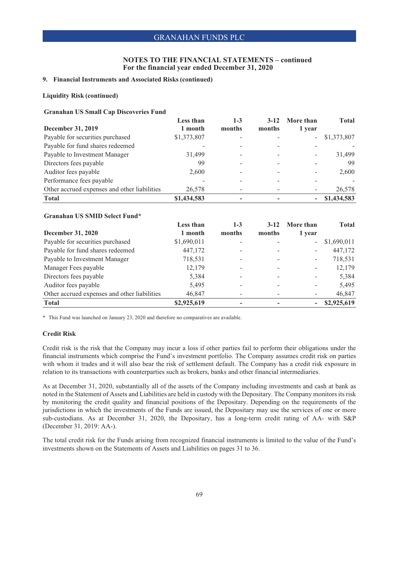### **NOTES TO THE FINANCIAL STATEMENTS – continued For the financial year ended December 31, 2020**

## **9. Financial Instruments and Associated Risks (continued)**

### **Liquidity Risk (continued)**

#### **Granahan US Small Cap Discoveries Fund**

|                                              | <b>Less than</b> | $1 - 3$ | $3-12$ | More than | <b>Total</b> |
|----------------------------------------------|------------------|---------|--------|-----------|--------------|
| December 31, 2019                            | 1 month          | months  | months | 1 year    |              |
| Payable for securities purchased             | \$1,373,807      |         |        | $\sim$    | \$1,373,807  |
| Payable for fund shares redeemed             |                  |         |        |           |              |
| Payable to Investment Manager                | 31,499           |         |        |           | 31.499       |
| Directors fees payable                       | 99               |         |        |           | 99           |
| Auditor fees payable                         | 2.600            |         |        |           | 2,600        |
| Performance fees payable                     |                  |         |        |           |              |
| Other accrued expenses and other liabilities | 26,578           |         |        |           | 26,578       |
| <b>Total</b>                                 | \$1,434,583      |         |        |           | \$1,434,583  |

#### **Granahan US SMID Select Fund\***

|                                              | Less than   | $1 - 3$ | $3-12$ | More than                | <b>Total</b> |
|----------------------------------------------|-------------|---------|--------|--------------------------|--------------|
| <b>December 31, 2020</b>                     | 1 month     | months  | months | 1 year                   |              |
| Payable for securities purchased             | \$1,690,011 |         |        | $\overline{\phantom{a}}$ | \$1,690,011  |
| Payable for fund shares redeemed             | 447,172     |         |        | -                        | 447,172      |
| Payable to Investment Manager                | 718,531     |         |        | -                        | 718,531      |
| Manager Fees payable                         | 12,179      |         |        | -                        | 12,179       |
| Directors fees payable                       | 5,384       |         |        |                          | 5,384        |
| Auditor fees payable                         | 5,495       |         |        |                          | 5,495        |
| Other accrued expenses and other liabilities | 46,847      |         |        |                          | 46,847       |
| <b>Total</b>                                 | \$2,925,619 |         |        |                          | \$2,925,619  |

\* This Fund was launched on January 23, 2020 and therefore no comparatives are available.

### **Credit Risk**

Credit risk is the risk that the Company may incur a loss if other parties fail to perform their obligations under the financial instruments which comprise the Fund's investment portfolio. The Company assumes credit risk on parties with whom it trades and it will also bear the risk of settlement default. The Company has a credit risk exposure in relation to its transactions with counterparties such as brokers, banks and other financial intermediaries.

As at December 31, 2020, substantially all of the assets of the Company including investments and cash at bank as noted in the Statement of Assets and Liabilities are held in custody with the Depositary. The Company monitors its risk by monitoring the credit quality and financial positions of the Depositary. Depending on the requirements of the jurisdictions in which the investments of the Funds are issued, the Depositary may use the services of one or more sub-custodians. As at December 31, 2020, the Depositary, has a long-term credit rating of AA- with S&P (December 31, 2019: AA-).

The total credit risk for the Funds arising from recognized financial instruments is limited to the value of the Fund's investments shown on the Statements of Assets and Liabilities on pages 31 to 36.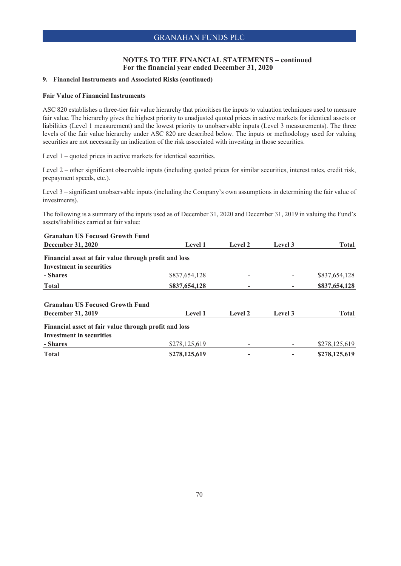### **NOTES TO THE FINANCIAL STATEMENTS – continued For the financial year ended December 31, 2020**

### **9. Financial Instruments and Associated Risks (continued)**

### **Fair Value of Financial Instruments**

ASC 820 establishes a three-tier fair value hierarchy that prioritises the inputs to valuation techniques used to measure fair value. The hierarchy gives the highest priority to unadjusted quoted prices in active markets for identical assets or liabilities (Level 1 measurement) and the lowest priority to unobservable inputs (Level 3 measurements). The three levels of the fair value hierarchy under ASC 820 are described below. The inputs or methodology used for valuing securities are not necessarily an indication of the risk associated with investing in those securities.

Level 1 – quoted prices in active markets for identical securities.

Level 2 – other significant observable inputs (including quoted prices for similar securities, interest rates, credit risk, prepayment speeds, etc.).

Level 3 – significant unobservable inputs (including the Company's own assumptions in determining the fair value of investments).

The following is a summary of the inputs used as of December 31, 2020 and December 31, 2019 in valuing the Fund's assets/liabilities carried at fair value:

| <b>Granahan US Focused Growth Fund</b>                      |                |         |         |               |
|-------------------------------------------------------------|----------------|---------|---------|---------------|
| <b>December 31, 2020</b>                                    | Level 1        | Level 2 | Level 3 | <b>Total</b>  |
| Financial asset at fair value through profit and loss       |                |         |         |               |
| <b>Investment in securities</b>                             |                |         |         |               |
| - Shares                                                    | \$837,654,128  |         |         | \$837,654,128 |
| <b>Total</b>                                                | \$837,654,128  |         |         | \$837,654,128 |
| <b>Granahan US Focused Growth Fund</b><br>December 31, 2019 | <b>Level 1</b> | Level 2 | Level 3 | Total         |
| Financial asset at fair value through profit and loss       |                |         |         |               |
| <b>Investment in securities</b>                             |                |         |         |               |
| - Shares                                                    | \$278,125,619  |         |         | \$278,125,619 |
| <b>Total</b>                                                | \$278,125,619  |         |         | \$278,125,619 |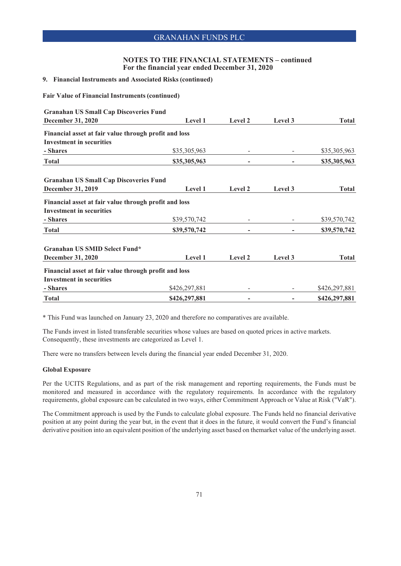## **NOTES TO THE FINANCIAL STATEMENTS – continued For the financial year ended December 31, 2020**

### **9. Financial Instruments and Associated Risks (continued)**

**Fair Value of Financial Instruments (continued)**

| <b>Granahan US Small Cap Discoveries Fund</b>         |               |         |         |               |
|-------------------------------------------------------|---------------|---------|---------|---------------|
| December 31, 2020                                     | Level 1       | Level 2 | Level 3 | <b>Total</b>  |
| Financial asset at fair value through profit and loss |               |         |         |               |
| <b>Investment in securities</b>                       |               |         |         |               |
| - Shares                                              | \$35,305,963  |         |         | \$35,305,963  |
| <b>Total</b>                                          | \$35,305,963  |         |         | \$35,305,963  |
| <b>Granahan US Small Cap Discoveries Fund</b>         |               |         |         |               |
| December 31, 2019                                     | Level 1       | Level 2 | Level 3 | <b>Total</b>  |
| Financial asset at fair value through profit and loss |               |         |         |               |
| <b>Investment in securities</b>                       |               |         |         |               |
| - Shares                                              | \$39,570,742  |         |         | \$39,570,742  |
| <b>Total</b>                                          | \$39,570,742  |         |         | \$39,570,742  |
| Granahan US SMID Select Fund*                         |               |         |         |               |
| <b>December 31, 2020</b>                              | Level 1       | Level 2 | Level 3 | <b>Total</b>  |
| Financial asset at fair value through profit and loss |               |         |         |               |
| <b>Investment in securities</b>                       |               |         |         |               |
| - Shares                                              | \$426,297,881 |         |         | \$426,297,881 |
| <b>Total</b>                                          | \$426,297,881 |         |         | \$426,297,881 |

\* This Fund was launched on January 23, 2020 and therefore no comparatives are available.

The Funds invest in listed transferable securities whose values are based on quoted prices in active markets. Consequently, these investments are categorized as Level 1.

There were no transfers between levels during the financial year ended December 31, 2020.

#### **Global Exposure**

Per the UCITS Regulations, and as part of the risk management and reporting requirements, the Funds must be monitored and measured in accordance with the regulatory requirements. In accordance with the regulatory requirements, global exposure can be calculated in two ways, either Commitment Approach or Value at Risk ("VaR").

The Commitment approach is used by the Funds to calculate global exposure. The Funds held no financial derivative position at any point during the year but, in the event that it does in the future, it would convert the Fund's financial derivative position into an equivalent position of the underlying asset based on themarket value of the underlying asset.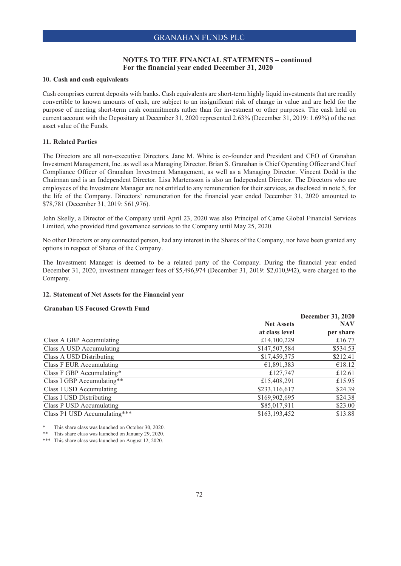### **10. Cash and cash equivalents**

Cash comprises current deposits with banks. Cash equivalents are short-term highly liquid investments that are readily convertible to known amounts of cash, are subject to an insignificant risk of change in value and are held for the purpose of meeting short-term cash commitments rather than for investment or other purposes. The cash held on current account with the Depositary at December 31, 2020 represented 2.63% (December 31, 2019: 1.69%) of the net asset value of the Funds.

### **11. Related Parties**

The Directors are all non-executive Directors. Jane M. White is co-founder and President and CEO of Granahan Investment Management, Inc. as well as a Managing Director. Brian S. Granahan is Chief Operating Officer and Chief Compliance Officer of Granahan Investment Management, as well as a Managing Director. Vincent Dodd is the Chairman and is an Independent Director. Lisa Martensson is also an Independent Director. The Directors who are employees of the Investment Manager are not entitled to any remuneration for their services, as disclosed in note 5, for the life of the Company. Directors' remuneration for the financial year ended December 31, 2020 amounted to \$78,781 (December 31, 2019: \$61,976).

John Skelly, a Director of the Company until April 23, 2020 was also Principal of Carne Global Financial Services Limited, who provided fund governance services to the Company until May 25, 2020.

No other Directors or any connected person, had any interest in the Shares of the Company, nor have been granted any options in respect of Shares of the Company.

The Investment Manager is deemed to be a related party of the Company. During the financial year ended December 31, 2020, investment manager fees of \$5,496,974 (December 31, 2019: \$2,010,942), were charged to the Company.

### **12. Statement of Net Assets for the Financial year**

### **Granahan US Focused Growth Fund**

| <b>December 31, 2020</b> |           |  |
|--------------------------|-----------|--|
| <b>Net Assets</b>        |           |  |
| at class level           | per share |  |
| £14,100,229              | £16.77    |  |
| \$147,507,584            | \$534.53  |  |
| \$17,459,375             | \$212.41  |  |
| €1,891,383               | €18.12    |  |
| £127,747                 | £12.61    |  |
| £15,408,291              | £15.95    |  |
| \$233,116,617            | \$24.39   |  |
| \$169,902,695            | \$24.38   |  |
| \$85,017,911             | \$23.00   |  |
| \$163,193,452            | \$13.88   |  |
|                          |           |  |

This share class was launched on October 30, 2020.

This share class was launched on January 29, 2020.

\*\*\* This share class was launched on August 12, 2020.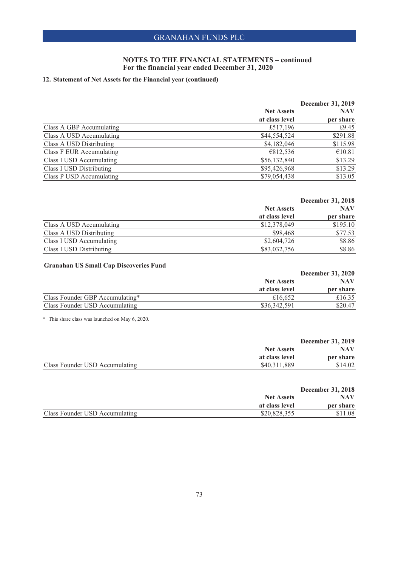### **NOTES TO THE FINANCIAL STATEMENTS – continued For the financial year ended December 31, 2020**

## **12. Statement of Net Assets for the Financial year (continued)**

|                                 |                   | December 31, 2019 |
|---------------------------------|-------------------|-------------------|
|                                 | <b>Net Assets</b> | <b>NAV</b>        |
|                                 | at class level    | per share         |
| Class A GBP Accumulating        | £517,196          | £9.45             |
| Class A USD Accumulating        | \$44,554,524      | \$291.88          |
| Class A USD Distributing        | \$4,182,046       | \$115.98          |
| Class F EUR Accumulating        | €812,536          | €10.81            |
| Class I USD Accumulating        | \$56,132,840      | \$13.29           |
| <b>Class I USD Distributing</b> | \$95,426,968      | \$13.29           |
| Class P USD Accumulating        | \$79,054,438      | \$13.05           |

|                          | December 31, 2018 |            |  |
|--------------------------|-------------------|------------|--|
|                          | <b>Net Assets</b> | <b>NAV</b> |  |
|                          | at class level    | per share  |  |
| Class A USD Accumulating | \$12,378,049      | \$195.10   |  |
| Class A USD Distributing | \$98,468          | \$77.53    |  |
| Class I USD Accumulating | \$2,604,726       | \$8.86     |  |
| Class I USD Distributing | \$83,032,756      | \$8.86     |  |

## **Granahan US Small Cap Discoveries Fund**

| $\sim$ 01 amanan $\sim$ 0 0 man $\sim$ 0.0 $\mu$ 0.000 matrix 1 ama |                                     | <b>December 31, 2020</b> |  |
|---------------------------------------------------------------------|-------------------------------------|--------------------------|--|
|                                                                     | <b>Net Assets</b><br>at class level | <b>NAV</b>               |  |
|                                                                     |                                     | per share                |  |
| Class Founder GBP Accumulating*                                     | £16,652                             | £16.35                   |  |
| Class Founder USD Accumulating                                      | \$36,342,591                        | \$20.47                  |  |

\* This share class was launched on May 6, 2020.

|                                | <b>December 31, 2019</b> |            |  |
|--------------------------------|--------------------------|------------|--|
|                                | <b>Net Assets</b>        | <b>NAV</b> |  |
|                                | at class level           | per share  |  |
| Class Founder USD Accumulating | \$40.311.889             | \$14.02    |  |
|                                |                          |            |  |

| <b>December 31, 2018</b>            |                         |
|-------------------------------------|-------------------------|
| <b>Net Assets</b><br>at class level | <b>NAV</b><br>per share |
|                                     |                         |
|                                     |                         |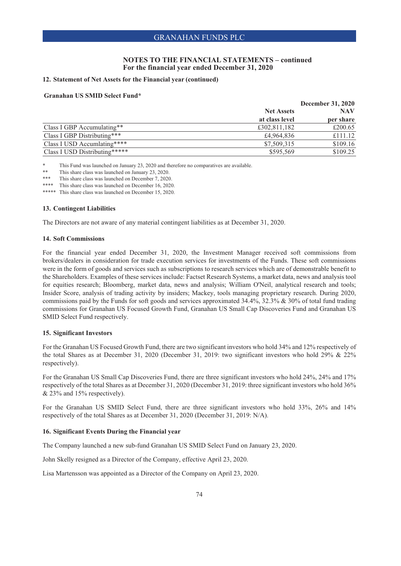### **NOTES TO THE FINANCIAL STATEMENTS – continued For the financial year ended December 31, 2020**

### **12. Statement of Net Assets for the Financial year (continued)**

### **Granahan US SMID Select Fund\***

|                               |                                     | December 31, 2020 |
|-------------------------------|-------------------------------------|-------------------|
|                               | <b>Net Assets</b><br>at class level | <b>NAV</b>        |
|                               |                                     | per share         |
| Class I GBP Accumulating**    | £302,811,182                        | £200.65           |
| Class I GBP Distributing***   | £4,964,836                          | £111.12           |
| Class I USD Accumlating****   | \$7,509,315                         | \$109.16          |
| Class I USD Distributing***** | \$595,569                           | \$109.25          |

\* This Fund was launched on January 23, 2020 and therefore no comparatives are available.<br>\*\* This share also was launched on January 23, 2020.

\*\* This share class was launched on January 23, 2020.

This share class was launched on December 7, 2020.

\*\*\*\* This share class was launched on December 16, 2020.

\*\*\*\*\* This share class was launched on December 15, 2020.

### **13. Contingent Liabilities**

The Directors are not aware of any material contingent liabilities as at December 31, 2020.

### **14. Soft Commissions**

For the financial year ended December 31, 2020, the Investment Manager received soft commissions from brokers/dealers in consideration for trade execution services for investments of the Funds. These soft commissions were in the form of goods and services such as subscriptions to research services which are of demonstrable benefit to the Shareholders. Examples of these services include: Factset Research Systems, a market data, news and analysis tool for equities research; Bloomberg, market data, news and analysis; William O'Neil, analytical research and tools; Insider Score, analysis of trading activity by insiders; Mackey, tools managing proprietary research. During 2020, commissions paid by the Funds for soft goods and services approximated 34.4%, 32.3% & 30% of total fund trading commissions for Granahan US Focused Growth Fund, Granahan US Small Cap Discoveries Fund and Granahan US SMID Select Fund respectively.

### **15. Significant Investors**

For the Granahan US Focused Growth Fund, there are two significant investors who hold 34% and 12% respectively of the total Shares as at December 31, 2020 (December 31, 2019: two significant investors who hold 29% & 22% respectively).

For the Granahan US Small Cap Discoveries Fund, there are three significant investors who hold 24%, 24% and 17% respectively of the total Shares as at December 31, 2020 (December 31, 2019: three significant investors who hold 36% & 23% and 15% respectively).

For the Granahan US SMID Select Fund, there are three significant investors who hold 33%, 26% and 14% respectively of the total Shares as at December 31, 2020 (December 31, 2019: N/A).

#### **16. Significant Events During the Financial year**

The Company launched a new sub-fund Granahan US SMID Select Fund on January 23, 2020.

John Skelly resigned as a Director of the Company, effective April 23, 2020.

Lisa Martensson was appointed as a Director of the Company on April 23, 2020.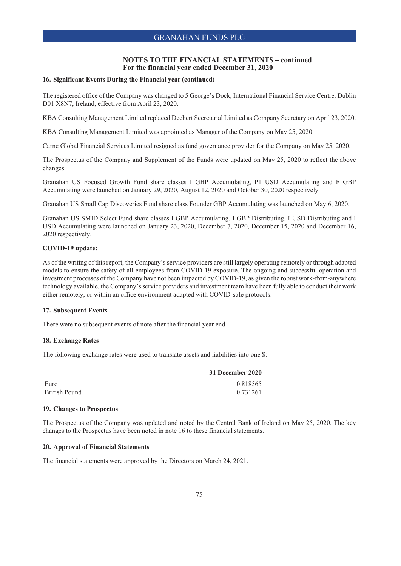### **NOTES TO THE FINANCIAL STATEMENTS – continued For the financial year ended December 31, 2020**

### **16. Significant Events During the Financial year (continued)**

The registered office of the Company was changed to 5 George's Dock, International Financial Service Centre, Dublin D01 X8N7, Ireland, effective from April 23, 2020.

KBA Consulting Management Limited replaced Dechert Secretarial Limited as Company Secretary on April 23, 2020.

KBA Consulting Management Limited was appointed as Manager of the Company on May 25, 2020.

Carne Global Financial Services Limited resigned as fund governance provider for the Company on May 25, 2020.

The Prospectus of the Company and Supplement of the Funds were updated on May 25, 2020 to reflect the above changes.

Granahan US Focused Growth Fund share classes I GBP Accumulating, P1 USD Accumulating and F GBP Accumulating were launched on January 29, 2020, August 12, 2020 and October 30, 2020 respectively.

Granahan US Small Cap Discoveries Fund share class Founder GBP Accumulating was launched on May 6, 2020.

Granahan US SMID Select Fund share classes I GBP Accumulating, I GBP Distributing, I USD Distributing and I USD Accumulating were launched on January 23, 2020, December 7, 2020, December 15, 2020 and December 16, 2020 respectively.

## **COVID-19 update:**

As of the writing of this report, the Company's service providers are still largely operating remotely or through adapted models to ensure the safety of all employees from COVID-19 exposure. The ongoing and successful operation and investment processes of the Company have not been impacted by COVID-19, as given the robust work-from-anywhere technology available, the Company's service providers and investment team have been fully able to conduct their work either remotely, or within an office environment adapted with COVID-safe protocols.

# **17. Subsequent Events**

There were no subsequent events of note after the financial year end.

# **18. Exchange Rates**

The following exchange rates were used to translate assets and liabilities into one \$:

|                      | 31 December 2020 |
|----------------------|------------------|
| Euro                 | 0.818565         |
| <b>British Pound</b> | 0.731261         |

### **19. Changes to Prospectus**

The Prospectus of the Company was updated and noted by the Central Bank of Ireland on May 25, 2020. The key changes to the Prospectus have been noted in note 16 to these financial statements.

### **20. Approval of Financial Statements**

The financial statements were approved by the Directors on March 24, 2021.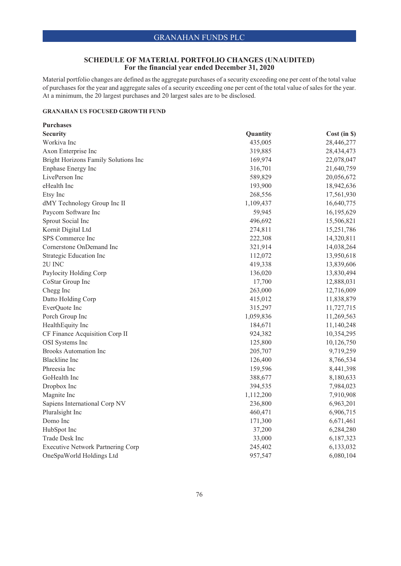# **SCHEDULE OF MATERIAL PORTFOLIO CHANGES (UNAUDITED) For the financial year ended December 31, 2020**

Material portfolio changes are defined as the aggregate purchases of a security exceeding one per cent of the total value of purchases for the year and aggregate sales of a security exceeding one per cent of the total value of sales for the year. At a minimum, the 20 largest purchases and 20 largest sales are to be disclosed.

## **GRANAHAN US FOCUSED GROWTH FUND**

| <b>Purchases</b>                         |           |              |
|------------------------------------------|-----------|--------------|
| <b>Security</b>                          | Quantity  | Cost (in \$) |
| Workiva Inc                              | 435,005   | 28,446,277   |
| Axon Enterprise Inc                      | 319,885   | 28,434,473   |
| Bright Horizons Family Solutions Inc     | 169,974   | 22,078,047   |
| Enphase Energy Inc                       | 316,701   | 21,640,759   |
| LivePerson Inc                           | 589,829   | 20,056,672   |
| eHealth Inc                              | 193,900   | 18,942,636   |
| Etsy Inc                                 | 268,556   | 17,561,930   |
| dMY Technology Group Inc II              | 1,109,437 | 16,640,775   |
| Paycom Software Inc                      | 59,945    | 16,195,629   |
| Sprout Social Inc                        | 496,692   | 15,506,821   |
| Kornit Digital Ltd                       | 274,811   | 15,251,786   |
| SPS Commerce Inc                         | 222,308   | 14,320,811   |
| Cornerstone OnDemand Inc                 | 321,914   | 14,038,264   |
| Strategic Education Inc                  | 112,072   | 13,950,618   |
| 2U INC                                   | 419,338   | 13,839,606   |
| Paylocity Holding Corp                   | 136,020   | 13,830,494   |
| CoStar Group Inc                         | 17,700    | 12,888,031   |
| Chegg Inc                                | 263,000   | 12,716,009   |
| Datto Holding Corp                       | 415,012   | 11,838,879   |
| EverQuote Inc                            | 315,297   | 11,727,715   |
| Porch Group Inc                          | 1,059,836 | 11,269,563   |
| HealthEquity Inc                         | 184,671   | 11,140,248   |
| CF Finance Acquisition Corp II           | 924,382   | 10,354,295   |
| <b>OSI</b> Systems Inc                   | 125,800   | 10,126,750   |
| <b>Brooks Automation Inc</b>             | 205,707   | 9,719,259    |
| <b>Blackline</b> Inc                     | 126,400   | 8,766,534    |
| Phreesia Inc                             | 159,596   | 8,441,398    |
| GoHealth Inc                             | 388,677   | 8,180,633    |
| Dropbox Inc                              | 394,535   | 7,984,023    |
| Magnite Inc                              | 1,112,200 | 7,910,908    |
| Sapiens International Corp NV            | 236,800   | 6,963,201    |
| Pluralsight Inc                          | 460,471   | 6,906,715    |
| Domo Inc                                 | 171,300   | 6,671,461    |
| HubSpot Inc                              | 37,200    | 6,284,280    |
| Trade Desk Inc                           | 33,000    | 6,187,323    |
| <b>Executive Network Partnering Corp</b> | 245,402   | 6,133,032    |
| OneSpaWorld Holdings Ltd                 | 957,547   | 6,080,104    |
|                                          |           |              |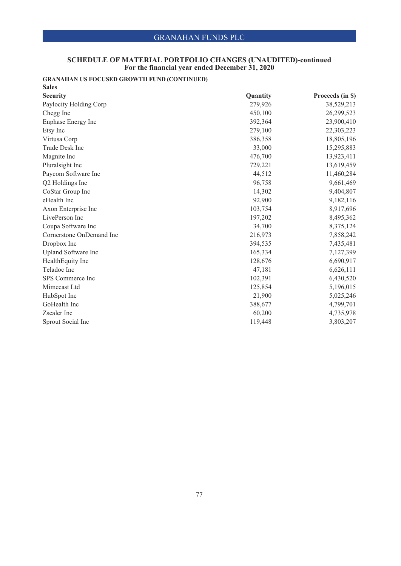### **SCHEDULE OF MATERIAL PORTFOLIO CHANGES (UNAUDITED)-continued For the financial year ended December 31, 2020**

# **GRANAHAN US FOCUSED GROWTH FUND (CONTINUED)**

| <b>Sales</b>             |          |                  |
|--------------------------|----------|------------------|
| <b>Security</b>          | Quantity | Proceeds (in \$) |
| Paylocity Holding Corp   | 279,926  | 38,529,213       |
| Chegg Inc                | 450,100  | 26,299,523       |
| Enphase Energy Inc       | 392,364  | 23,900,410       |
| Etsy Inc                 | 279,100  | 22,303,223       |
| Virtusa Corp             | 386,358  | 18,805,196       |
| <b>Trade Desk Inc</b>    | 33,000   | 15,295,883       |
| Magnite Inc              | 476,700  | 13,923,411       |
| Pluralsight Inc          | 729,221  | 13,619,459       |
| Paycom Software Inc      | 44,512   | 11,460,284       |
| Q2 Holdings Inc          | 96,758   | 9,661,469        |
| CoStar Group Inc         | 14,302   | 9,404,807        |
| eHealth Inc              | 92,900   | 9,182,116        |
| Axon Enterprise Inc      | 103,754  | 8,917,696        |
| LivePerson Inc           | 197,202  | 8,495,362        |
| Coupa Software Inc       | 34,700   | 8,375,124        |
| Cornerstone OnDemand Inc | 216,973  | 7,858,242        |
| Dropbox Inc              | 394,535  | 7,435,481        |
| Upland Software Inc      | 165,334  | 7,127,399        |
| HealthEquity Inc         | 128,676  | 6,690,917        |
| Teladoc Inc              | 47,181   | 6,626,111        |
| SPS Commerce Inc         | 102,391  | 6,430,520        |
| Mimecast Ltd             | 125,854  | 5,196,015        |
| HubSpot Inc              | 21,900   | 5,025,246        |
| GoHealth Inc             | 388,677  | 4,799,701        |
| Zscaler Inc              | 60,200   | 4,735,978        |
| Sprout Social Inc        | 119,448  | 3,803,207        |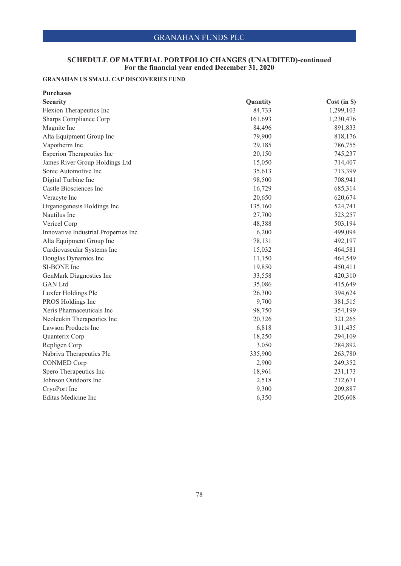### **SCHEDULE OF MATERIAL PORTFOLIO CHANGES (UNAUDITED)-continued For the financial year ended December 31, 2020**

# **GRANAHAN US SMALL CAP DISCOVERIES FUND**

| <b>Purchases</b>                     |          |              |
|--------------------------------------|----------|--------------|
| <b>Security</b>                      | Quantity | Cost (in \$) |
| Flexion Therapeutics Inc             | 84,733   | 1,299,103    |
| Sharps Compliance Corp               | 161,693  | 1,230,476    |
| Magnite Inc                          | 84,496   | 891,833      |
| Alta Equipment Group Inc             | 79,900   | 818,176      |
| Vapotherm Inc                        | 29,185   | 786,755      |
| <b>Esperion Therapeutics Inc</b>     | 20,150   | 745,237      |
| James River Group Holdings Ltd       | 15,050   | 714,407      |
| Sonic Automotive Inc                 | 35,613   | 713,399      |
| Digital Turbine Inc                  | 98,500   | 708,941      |
| Castle Biosciences Inc               | 16,729   | 685,314      |
| Veracyte Inc                         | 20,650   | 620,674      |
| Organogenesis Holdings Inc           | 135,160  | 524,741      |
| Nautilus Inc                         | 27,700   | 523,257      |
| Vericel Corp                         | 48,388   | 503,194      |
| Innovative Industrial Properties Inc | 6,200    | 499,094      |
| Alta Equipment Group Inc             | 78,131   | 492,197      |
| Cardiovascular Systems Inc           | 15,032   | 464,581      |
| Douglas Dynamics Inc                 | 11,150   | 464,549      |
| SI-BONE Inc                          | 19,850   | 450,411      |
| GenMark Diagnostics Inc              | 33,558   | 420,310      |
| <b>GAN</b> Ltd                       | 35,086   | 415,649      |
| Luxfer Holdings Plc                  | 26,300   | 394,624      |
| PROS Holdings Inc                    | 9,700    | 381,515      |
| Xeris Pharmaceuticals Inc            | 98,750   | 354,199      |
| Neoleukin Therapeutics Inc           | 20,326   | 321,265      |
| Lawson Products Inc                  | 6,818    | 311,435      |
| Quanterix Corp                       | 18,250   | 294,109      |
| Repligen Corp                        | 3,050    | 284,892      |
| Nabriva Therapeutics Plc             | 335,900  | 263,780      |
| <b>CONMED Corp</b>                   | 2,900    | 249,352      |
| Spero Therapeutics Inc               | 18,961   | 231,173      |
| Johnson Outdoors Inc                 | 2,518    | 212,671      |
| CryoPort Inc                         | 9,300    | 209,887      |
| Editas Medicine Inc                  | 6,350    | 205,608      |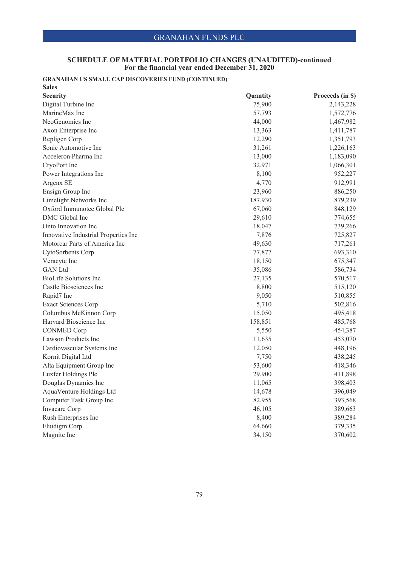### **SCHEDULE OF MATERIAL PORTFOLIO CHANGES (UNAUDITED)-continued For the financial year ended December 31, 2020**

# **GRANAHAN US SMALL CAP DISCOVERIES FUND (CONTINUED)**

| <b>Sales</b>                         |          |                  |
|--------------------------------------|----------|------------------|
| <b>Security</b>                      | Quantity | Proceeds (in \$) |
| Digital Turbine Inc                  | 75,900   | 2,143,228        |
| MarineMax Inc                        | 57,793   | 1,572,776        |
| NeoGenomics Inc                      | 44,000   | 1,467,982        |
| Axon Enterprise Inc                  | 13,363   | 1,411,787        |
| Repligen Corp                        | 12,290   | 1,351,793        |
| Sonic Automotive Inc                 | 31,261   | 1,226,163        |
| Acceleron Pharma Inc                 | 13,000   | 1,183,090        |
| CryoPort Inc                         | 32,971   | 1,066,301        |
| Power Integrations Inc               | 8,100    | 952,227          |
| Argenx SE                            | 4,770    | 912,991          |
| Ensign Group Inc                     | 23,960   | 886,250          |
| Limelight Networks Inc               | 187,930  | 879,239          |
| Oxford Immunotec Global Plc          | 67,060   | 848,129          |
| DMC Global Inc                       | 29,610   | 774,655          |
| Onto Innovation Inc                  | 18,047   | 739,266          |
| Innovative Industrial Properties Inc | 7,876    | 725,827          |
| Motorcar Parts of America Inc        | 49,630   | 717,261          |
| CytoSorbents Corp                    | 77,877   | 693,310          |
| Veracyte Inc                         | 18,150   | 675,347          |
| <b>GAN</b> Ltd                       | 35,086   | 586,734          |
| <b>BioLife Solutions Inc</b>         | 27,135   | 570,517          |
| Castle Biosciences Inc               | 8,800    | 515,120          |
| Rapid7 Inc                           | 9,050    | 510,855          |
| <b>Exact Sciences Corp</b>           | 5,710    | 502,816          |
| Columbus McKinnon Corp               | 15,050   | 495,418          |
| Harvard Bioscience Inc               | 158,851  | 485,768          |
| <b>CONMED Corp</b>                   | 5,550    | 454,387          |
| Lawson Products Inc                  | 11,635   | 453,070          |
| Cardiovascular Systems Inc           | 12,050   | 448,196          |
| Kornit Digital Ltd                   | 7,750    | 438,245          |
| Alta Equipment Group Inc             | 53,600   | 418,346          |
| Luxfer Holdings Plc                  | 29,900   | 411,898          |
| Douglas Dynamics Inc                 | 11,065   | 398,403          |
| AquaVenture Holdings Ltd             | 14,678   | 396,049          |
| Computer Task Group Inc              | 82,955   | 393,568          |
| <b>Invacare Corp</b>                 | 46,105   | 389,663          |
| Rush Enterprises Inc                 | 8,400    | 389,284          |
| Fluidigm Corp                        | 64,660   | 379,335          |
| Magnite Inc                          | 34,150   | 370,602          |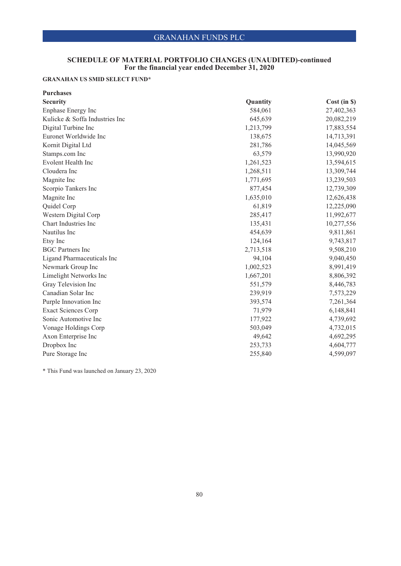### **SCHEDULE OF MATERIAL PORTFOLIO CHANGES (UNAUDITED)-continued For the financial year ended December 31, 2020**

# **GRANAHAN US SMID SELECT FUND\***

| <b>Purchases</b>               |           |                 |
|--------------------------------|-----------|-----------------|
| <b>Security</b>                | Quantity  | $Cost (in \$))$ |
| Enphase Energy Inc             | 584,061   | 27,402,363      |
| Kulicke & Soffa Industries Inc | 645,639   | 20,082,219      |
| Digital Turbine Inc            | 1,213,799 | 17,883,554      |
| Euronet Worldwide Inc          | 138,675   | 14,713,391      |
| Kornit Digital Ltd             | 281,786   | 14,045,569      |
| Stamps.com Inc                 | 63,579    | 13,990,920      |
| Evolent Health Inc             | 1,261,523 | 13,594,615      |
| Cloudera Inc                   | 1,268,511 | 13,309,744      |
| Magnite Inc                    | 1,771,695 | 13,239,503      |
| Scorpio Tankers Inc            | 877,454   | 12,739,309      |
| Magnite Inc                    | 1,635,010 | 12,626,438      |
| Quidel Corp                    | 61,819    | 12,225,090      |
| Western Digital Corp           | 285,417   | 11,992,677      |
| Chart Industries Inc           | 135,431   | 10,277,556      |
| Nautilus Inc                   | 454,639   | 9,811,861       |
| Etsy Inc                       | 124,164   | 9,743,817       |
| <b>BGC</b> Partners Inc        | 2,713,518 | 9,508,210       |
| Ligand Pharmaceuticals Inc     | 94,104    | 9,040,450       |
| Newmark Group Inc              | 1,002,523 | 8,991,419       |
| Limelight Networks Inc         | 1,667,201 | 8,806,392       |
| Gray Television Inc            | 551,579   | 8,446,783       |
| Canadian Solar Inc             | 239,919   | 7,573,229       |
| Purple Innovation Inc          | 393,574   | 7,261,364       |
| <b>Exact Sciences Corp</b>     | 71,979    | 6,148,841       |
| Sonic Automotive Inc           | 177,922   | 4,739,692       |
| Vonage Holdings Corp           | 503,049   | 4,732,015       |
| Axon Enterprise Inc            | 49,642    | 4,692,295       |
| Dropbox Inc                    | 253,733   | 4,604,777       |
| Pure Storage Inc               | 255,840   | 4,599,097       |

\* This Fund was launched on January 23, 2020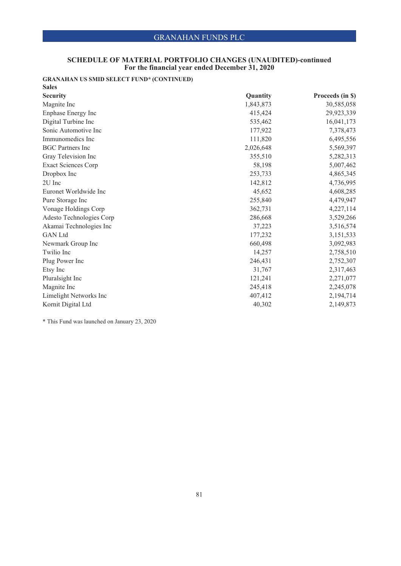### **SCHEDULE OF MATERIAL PORTFOLIO CHANGES (UNAUDITED)-continued For the financial year ended December 31, 2020**

# **GRANAHAN US SMID SELECT FUND\* (CONTINUED)**

| <b>Sales</b>               |           |                  |
|----------------------------|-----------|------------------|
| <b>Security</b>            | Quantity  | Proceeds (in \$) |
| Magnite Inc                | 1,843,873 | 30,585,058       |
| Enphase Energy Inc         | 415,424   | 29,923,339       |
| Digital Turbine Inc        | 535,462   | 16,041,173       |
| Sonic Automotive Inc       | 177,922   | 7,378,473        |
| Immunomedics Inc           | 111,820   | 6,495,556        |
| <b>BGC</b> Partners Inc    | 2,026,648 | 5,569,397        |
| Gray Television Inc        | 355,510   | 5,282,313        |
| <b>Exact Sciences Corp</b> | 58,198    | 5,007,462        |
| Dropbox Inc                | 253,733   | 4,865,345        |
| 2U Inc                     | 142,812   | 4,736,995        |
| Euronet Worldwide Inc      | 45,652    | 4,608,285        |
| Pure Storage Inc           | 255,840   | 4,479,947        |
| Vonage Holdings Corp       | 362,731   | 4,227,114        |
| Adesto Technologies Corp   | 286,668   | 3,529,266        |
| Akamai Technologies Inc    | 37,223    | 3,516,574        |
| <b>GAN</b> Ltd             | 177,232   | 3,151,533        |
| Newmark Group Inc          | 660,498   | 3,092,983        |
| Twilio Inc                 | 14,257    | 2,758,510        |
| Plug Power Inc             | 246,431   | 2,752,307        |
| Etsy Inc                   | 31,767    | 2,317,463        |
| Pluralsight Inc            | 121,241   | 2,271,077        |
| Magnite Inc                | 245,418   | 2,245,078        |
| Limelight Networks Inc     | 407,412   | 2,194,714        |
| Kornit Digital Ltd         | 40,302    | 2,149,873        |

\* This Fund was launched on January 23, 2020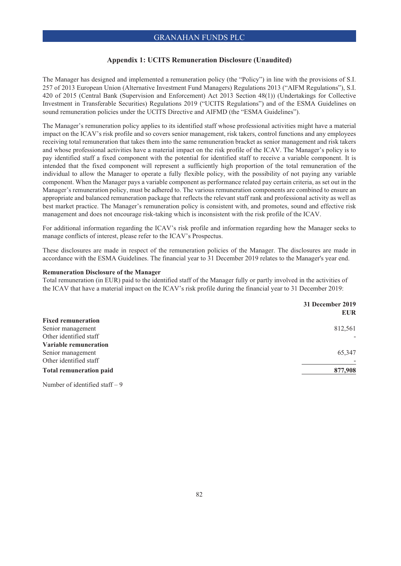# **Appendix 1: UCITS Remuneration Disclosure (Unaudited)**

The Manager has designed and implemented a remuneration policy (the "Policy") in line with the provisions of S.I. 257 of 2013 European Union (Alternative Investment Fund Managers) Regulations 2013 ("AIFM Regulations"), S.I. 420 of 2015 (Central Bank (Supervision and Enforcement) Act 2013 Section 48(1)) (Undertakings for Collective Investment in Transferable Securities) Regulations 2019 ("UCITS Regulations") and of the ESMA Guidelines on sound remuneration policies under the UCITS Directive and AIFMD (the "ESMA Guidelines").

The Manager's remuneration policy applies to its identified staff whose professional activities might have a material impact on the ICAV's risk profile and so covers senior management, risk takers, control functions and any employees receiving total remuneration that takes them into the same remuneration bracket as senior management and risk takers and whose professional activities have a material impact on the risk profile of the ICAV. The Manager's policy is to pay identified staff a fixed component with the potential for identified staff to receive a variable component. It is intended that the fixed component will represent a sufficiently high proportion of the total remuneration of the individual to allow the Manager to operate a fully flexible policy, with the possibility of not paying any variable component. When the Manager pays a variable component as performance related pay certain criteria, as set out in the Manager's remuneration policy, must be adhered to. The various remuneration components are combined to ensure an appropriate and balanced remuneration package that reflects the relevant staff rank and professional activity as well as best market practice. The Manager's remuneration policy is consistent with, and promotes, sound and effective risk management and does not encourage risk-taking which is inconsistent with the risk profile of the ICAV.

For additional information regarding the ICAV's risk profile and information regarding how the Manager seeks to manage conflicts of interest, please refer to the ICAV's Prospectus.

These disclosures are made in respect of the remuneration policies of the Manager. The disclosures are made in accordance with the ESMA Guidelines. The financial year to 31 December 2019 relates to the Manager's year end.

### **Remuneration Disclosure of the Manager**

Total remuneration (in EUR) paid to the identified staff of the Manager fully or partly involved in the activities of the ICAV that have a material impact on the ICAV's risk profile during the financial year to 31 December 2019:

|                                                                                                                                                                                                                                                                                                                                                             | 31 December 2019<br><b>EUR</b> |
|-------------------------------------------------------------------------------------------------------------------------------------------------------------------------------------------------------------------------------------------------------------------------------------------------------------------------------------------------------------|--------------------------------|
| <b>Fixed remuneration</b>                                                                                                                                                                                                                                                                                                                                   |                                |
| Senior management                                                                                                                                                                                                                                                                                                                                           | 812,561                        |
| Other identified staff                                                                                                                                                                                                                                                                                                                                      |                                |
| Variable remuneration                                                                                                                                                                                                                                                                                                                                       |                                |
| Senior management                                                                                                                                                                                                                                                                                                                                           | 65,347                         |
| Other identified staff                                                                                                                                                                                                                                                                                                                                      |                                |
| <b>Total remuneration paid</b>                                                                                                                                                                                                                                                                                                                              | 877,908                        |
| $\mathcal{N}$ $\mathcal{N}$ $\mathcal{N}$ $\mathcal{N}$ $\mathcal{N}$ $\mathcal{N}$ $\mathcal{N}$ $\mathcal{N}$ $\mathcal{N}$ $\mathcal{N}$ $\mathcal{N}$ $\mathcal{N}$ $\mathcal{N}$ $\mathcal{N}$ $\mathcal{N}$ $\mathcal{N}$ $\mathcal{N}$ $\mathcal{N}$ $\mathcal{N}$ $\mathcal{N}$ $\mathcal{N}$ $\mathcal{N}$ $\mathcal{N}$ $\mathcal{N}$ $\mathcal{$ |                                |

Number of identified staff – 9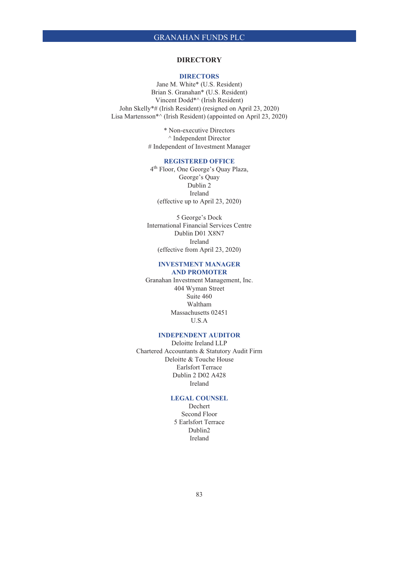# **DIRECTORY**

### **DIRECTORS**

Jane M. White\* (U.S. Resident) Brian S. Granahan\* (U.S. Resident) Vincent Dodd\*^ (Irish Resident) John Skelly\*# (Irish Resident) (resigned on April 23, 2020) Lisa Martensson\*^ (Irish Resident) (appointed on April 23, 2020)

> \* Non-executive Directors ^ Independent Director # Independent of Investment Manager

### **REGISTERED OFFICE**

4th Floor, One George's Quay Plaza, George's Quay Dublin 2 Ireland (effective up to April 23, 2020)

5 George's Dock International Financial Services Centre Dublin D01 X8N7 Ireland (effective from April 23, 2020)

## **INVESTMENT MANAGER AND PROMOTER**

Granahan Investment Management, Inc. 404 Wyman Street Suite 460 Waltham Massachusetts 02451 U.S.A

# **INDEPENDENT AUDITOR**

Deloitte Ireland LLP Chartered Accountants & Statutory Audit Firm Deloitte & Touche House Earlsfort Terrace Dublin 2 D02 A428 Ireland

## **LEGAL COUNSEL**

Dechert Second Floor 5 Earlsfort Terrace Dublin2 Ireland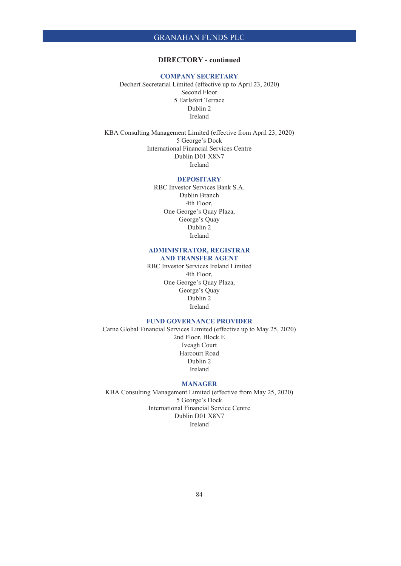# **DIRECTORY - continued**

### **COMPANY SECRETARY**

Dechert Secretarial Limited (effective up to April 23, 2020) Second Floor 5 Earlsfort Terrace Dublin 2 Ireland

KBA Consulting Management Limited (effective from April 23, 2020) 5 George's Dock International Financial Services Centre Dublin D01 X8N7 Ireland

## **DEPOSITARY**

RBC Investor Services Bank S.A. Dublin Branch 4th Floor, One George's Quay Plaza, George's Quay Dublin 2 Ireland

## **ADMINISTRATOR, REGISTRAR AND TRANSFER AGENT**

RBC Investor Services Ireland Limited 4th Floor, One George's Quay Plaza, George's Quay Dublin 2 Ireland

# **FUND GOVERNANCE PROVIDER**

Carne Global Financial Services Limited (effective up to May 25, 2020) 2nd Floor, Block E Iveagh Court Harcourt Road Dublin 2 Ireland

### **MANAGER**

KBA Consulting Management Limited (effective from May 25, 2020) 5 George's Dock International Financial Service Centre Dublin D01 X8N7 Ireland